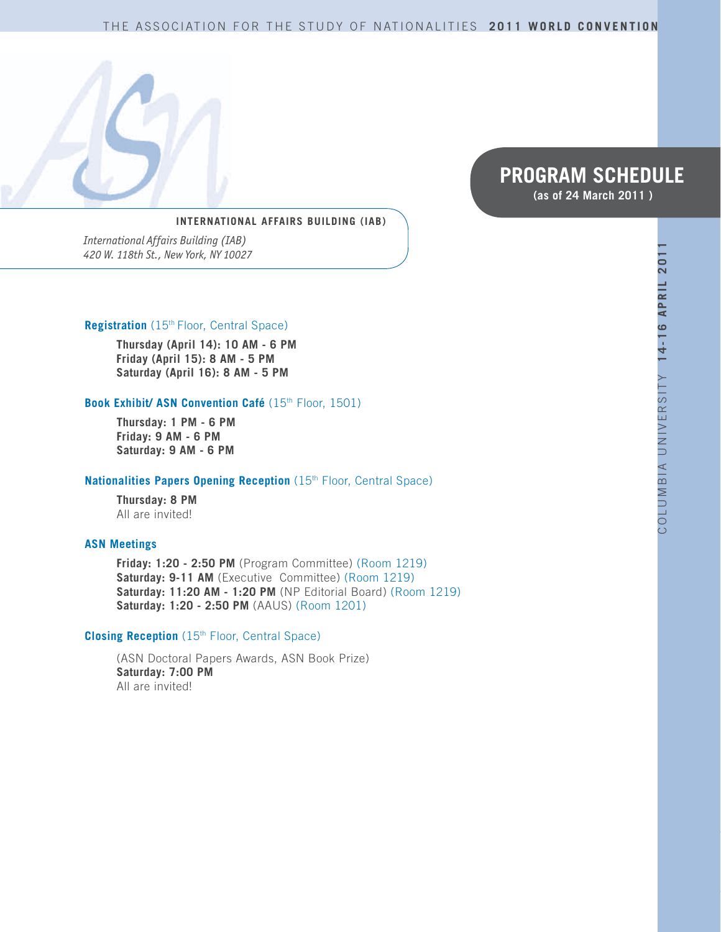#### THE ASSOCIATION FOR THE STUDY OF NATIONALITIES **2011 WORLD CONVENTION**



# **PROGRAM SCHEDULE (as of 24 March 2011 )**

**INTERNATIONAL AFFAIRS BUILDING (IAB)** 

*International Affairs Building (IAB) 420 W. 118th St., New York, NY 10027*

#### **Registration** (15th Floor, Central Space)

**Thursday (April 14): 10 AM - 6 PM Friday (April 15): 8 AM - 5 PM Saturday (April 16): 8 AM - 5 PM** 

#### **Book Exhibit/ ASN Convention Café** (15th Floor, 1501)

**Thursday: 1 PM - 6 PM Friday: 9 AM - 6 PM Saturday: 9 AM - 6 PM** 

#### **Nationalities Papers Opening Reception** (15<sup>th</sup> Floor, Central Space)

**Thursday: 8 PM**  All are invited!

#### **ASN Meetings**

**Friday: 1:20 - 2:50 PM** (Program Committee) (Room 1219) **Saturday: 9-11 AM** (Executive Committee) (Room 1219) **Saturday: 11:20 AM - 1:20 PM** (NP Editorial Board) (Room 1219) **Saturday: 1:20 - 2:50 PM** (AAUS) (Room 1201)

#### **Closing Reception** (15<sup>th</sup> Floor, Central Space)

(ASN Doctoral Papers Awards, ASN Book Prize) **Saturday: 7:00 PM**  All are invited!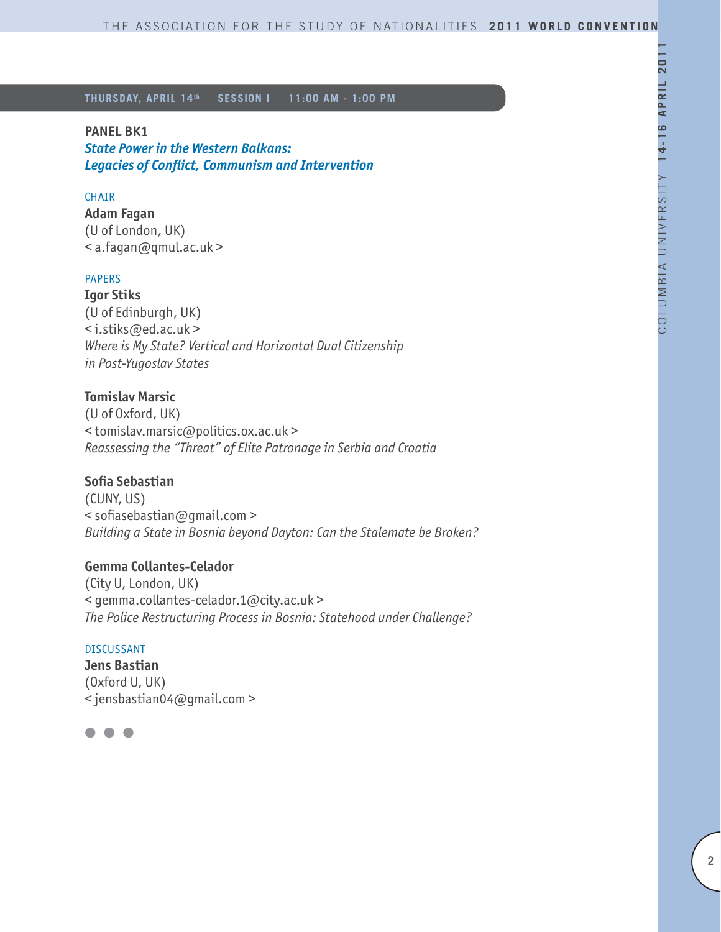### **PANEL BK1**

*State Power in the Western Balkans: Legacies of Conflict, Communism and Intervention* 

# **CHAIR**

**Adam Fagan** (U of London, UK) < a.fagan@qmul.ac.uk >

### PAPERS

**Igor Stiks** (U of Edinburgh, UK) < i.stiks@ed.ac.uk > *Where is My State? Vertical and Horizontal Dual Citizenship in Post-Yugoslav States*

### **Tomislav Marsic**

(U of Oxford, UK) < tomislav.marsic@politics.ox.ac.uk > *Reassessing the "Threat" of Elite Patronage in Serbia and Croatia*

### **Sofia Sebastian**

(CUNY, US) < sofiasebastian@gmail.com > *Building a State in Bosnia beyond Dayton: Can the Stalemate be Broken?*

### **Gemma Collantes-Celador**

(City U, London, UK) < gemma.collantes-celador.1@city.ac.uk > *The Police Restructuring Process in Bosnia: Statehood under Challenge?*

#### DISCUSSANT

**Jens Bastian** (Oxford U, UK) < jensbastian04@gmail.com >

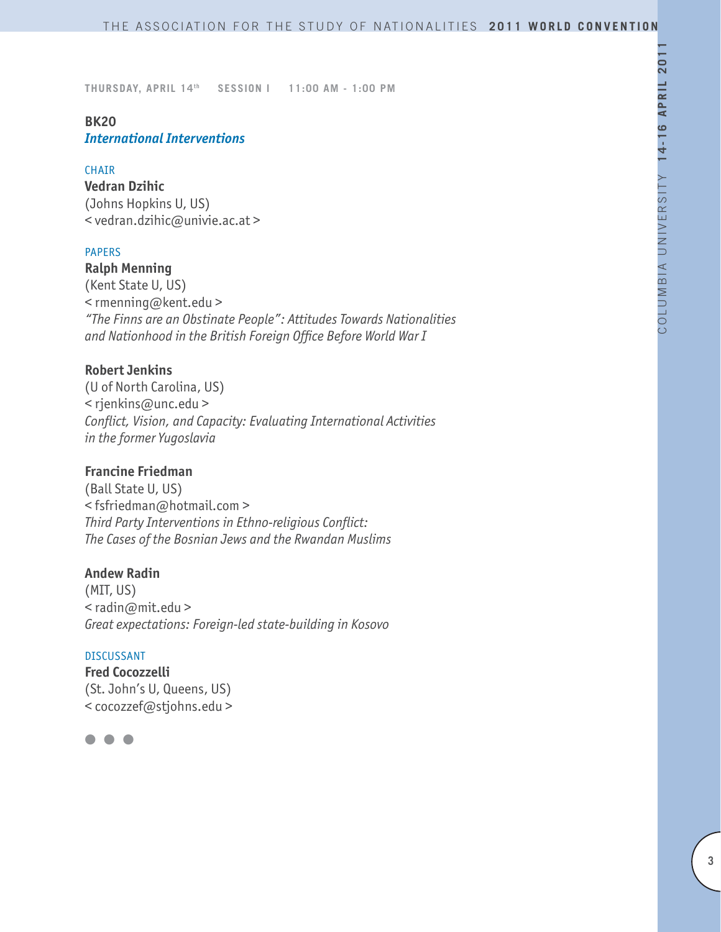## **BK20** *International Interventions*

#### **CHATR**

**Vedran Dzihic** (Johns Hopkins U, US) < vedran.dzihic@univie.ac.at >

### PAPERS

**Ralph Menning** (Kent State U, US) < rmenning@kent.edu > *"The Finns are an Obstinate People": Attitudes Towards Nationalities and Nationhood in the British Foreign Office Before World War I*

### **Robert Jenkins**

(U of North Carolina, US) < rjenkins@unc.edu > *Conflict, Vision, and Capacity: Evaluating International Activities in the former Yugoslavia*

### **Francine Friedman**

(Ball State U, US) < fsfriedman@hotmail.com > *Third Party Interventions in Ethno-religious Conflict: The Cases of the Bosnian Jews and the Rwandan Muslims*

### **Andew Radin**

(MIT, US) < radin@mit.edu > *Great expectations: Foreign-led state-building in Kosovo*

#### DISCUSSANT

**Fred Cocozzelli** (St. John's U, Queens, US) < cocozzef@stjohns.edu >

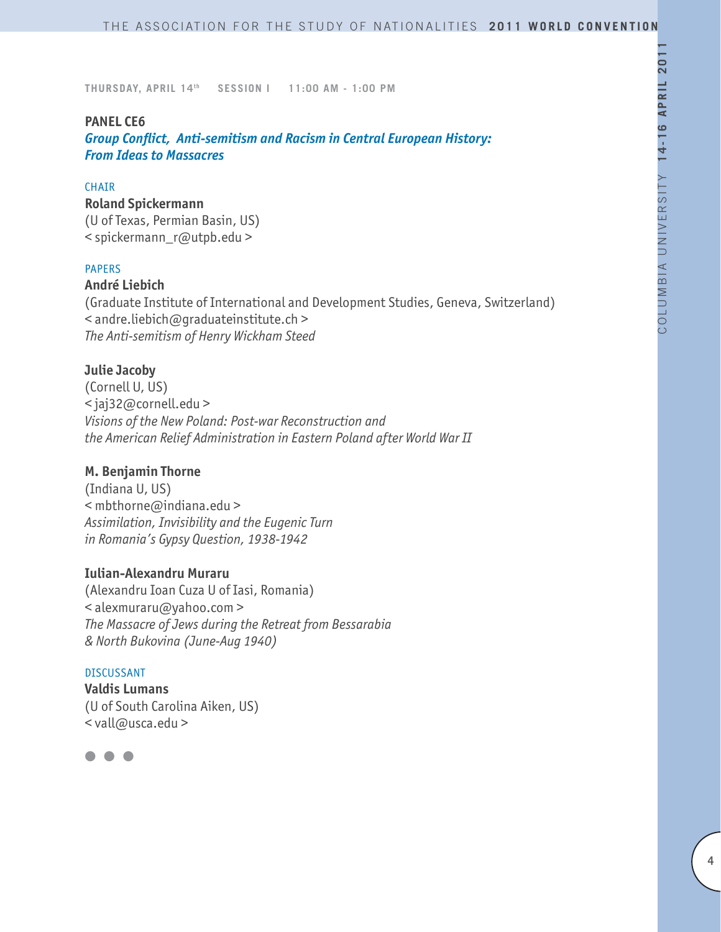### **PANEL CE6**

*Group Conflict, Anti-semitism and Racism in Central European History: From Ideas to Massacres* 

#### **CHAIR**

**Roland Spickermann** (U of Texas, Permian Basin, US) < spickermann\_r@utpb.edu >

### PAPERS

### **André Liebich**

(Graduate Institute of International and Development Studies, Geneva, Switzerland) < andre.liebich@graduateinstitute.ch > *The Anti-semitism of Henry Wickham Steed*

#### **Julie Jacoby**

(Cornell U, US) < jaj32@cornell.edu > *Visions of the New Poland: Post-war Reconstruction and the American Relief Administration in Eastern Poland after World War II*

# **M. Benjamin Thorne**

(Indiana U, US) < mbthorne@indiana.edu > *Assimilation, Invisibility and the Eugenic Turn in Romania's Gypsy Question, 1938-1942*

### **Iulian-Alexandru Muraru**

(Alexandru Ioan Cuza U of Iasi, Romania) < alexmuraru@yahoo.com > *The Massacre of Jews during the Retreat from Bessarabia & North Bukovina (June-Aug 1940)* 

### DISCUSSANT

**Valdis Lumans** (U of South Carolina Aiken, US) < vall@usca.edu >

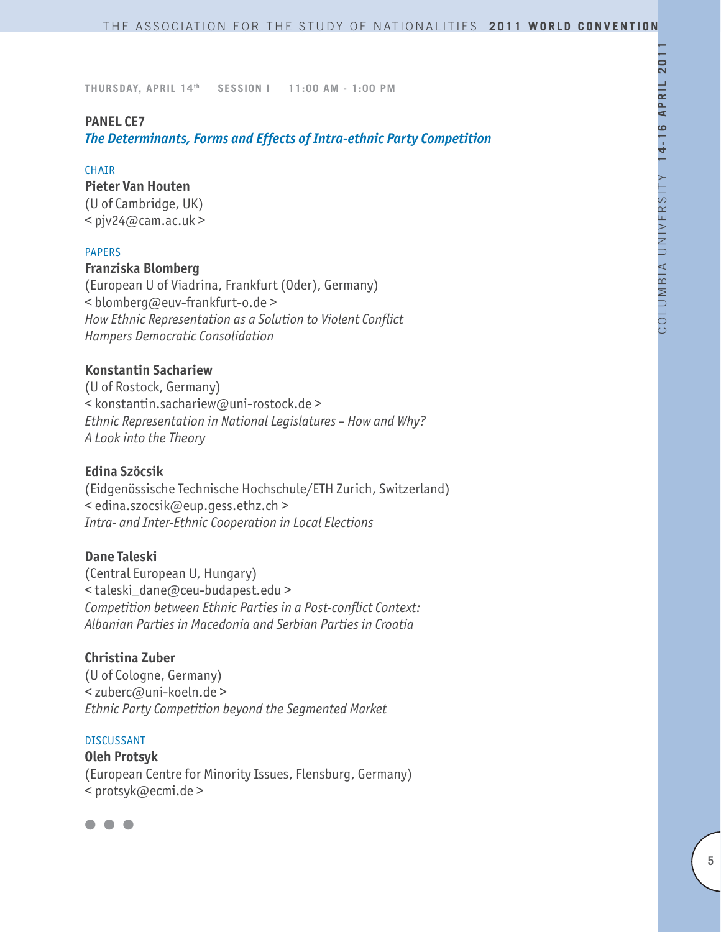### **PANEL CE7**

*The Determinants, Forms and Effects of Intra-ethnic Party Competition*

#### **CHAIR**

#### **Pieter Van Houten**

(U of Cambridge, UK)  $<$  pjv24@cam.ac.uk >

#### PAPERS

### **Franziska Blomberg**

(European U of Viadrina, Frankfurt (Oder), Germany) < blomberg@euv-frankfurt-o.de > *How Ethnic Representation as a Solution to Violent Conflict Hampers Democratic Consolidation* 

### **Konstantin Sachariew**

(U of Rostock, Germany) < konstantin.sachariew@uni-rostock.de > *Ethnic Representation in National Legislatures – How and Why? A Look into the Theory* 

#### **Edina Szöcsik**

(Eidgenössische Technische Hochschule/ETH Zurich, Switzerland) < edina.szocsik@eup.gess.ethz.ch > *Intra- and Inter-Ethnic Cooperation in Local Elections*

## **Dane Taleski**

(Central European U, Hungary) < taleski\_dane@ceu-budapest.edu > *Competition between Ethnic Parties in a Post-conflict Context: Albanian Parties in Macedonia and Serbian Parties in Croatia*

# **Christina Zuber**

(U of Cologne, Germany) < zuberc@uni-koeln.de > *Ethnic Party Competition beyond the Segmented Market* 

#### DISCUSSANT

**Oleh Protsyk**  (European Centre for Minority Issues, Flensburg, Germany) < protsyk@ecmi.de >

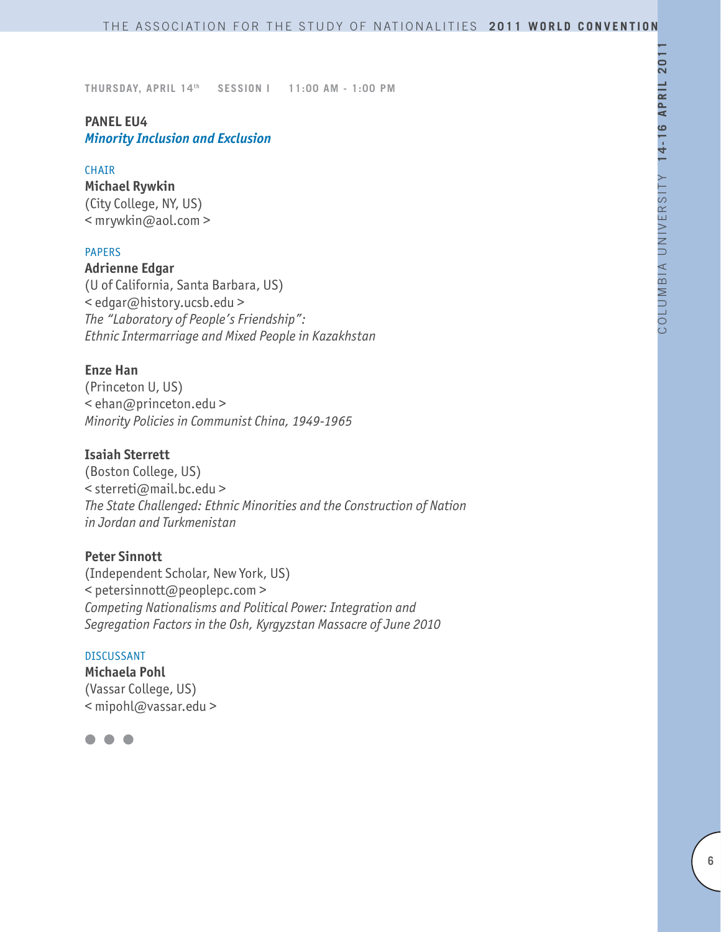### **PANEL EU4** *Minority Inclusion and Exclusion*

#### CHAIR

**Michael Rywkin** (City College, NY, US) < mrywkin@aol.com >

### PAPERS

**Adrienne Edgar** (U of California, Santa Barbara, US)

< edgar@history.ucsb.edu > *The "Laboratory of People's Friendship": Ethnic Intermarriage and Mixed People in Kazakhstan*

#### **Enze Han**

(Princeton U, US) < ehan@princeton.edu > *Minority Policies in Communist China, 1949-1965*

## **Isaiah Sterrett**

(Boston College, US) < sterreti@mail.bc.edu > *The State Challenged: Ethnic Minorities and the Construction of Nation in Jordan and Turkmenistan*

## **Peter Sinnott**

(Independent Scholar, New York, US) < petersinnott@peoplepc.com > *Competing Nationalisms and Political Power: Integration and Segregation Factors in the Osh, Kyrgyzstan Massacre of June 2010*

#### DISCUSSANT

**Michaela Pohl** (Vassar College, US) < mipohl@vassar.edu >

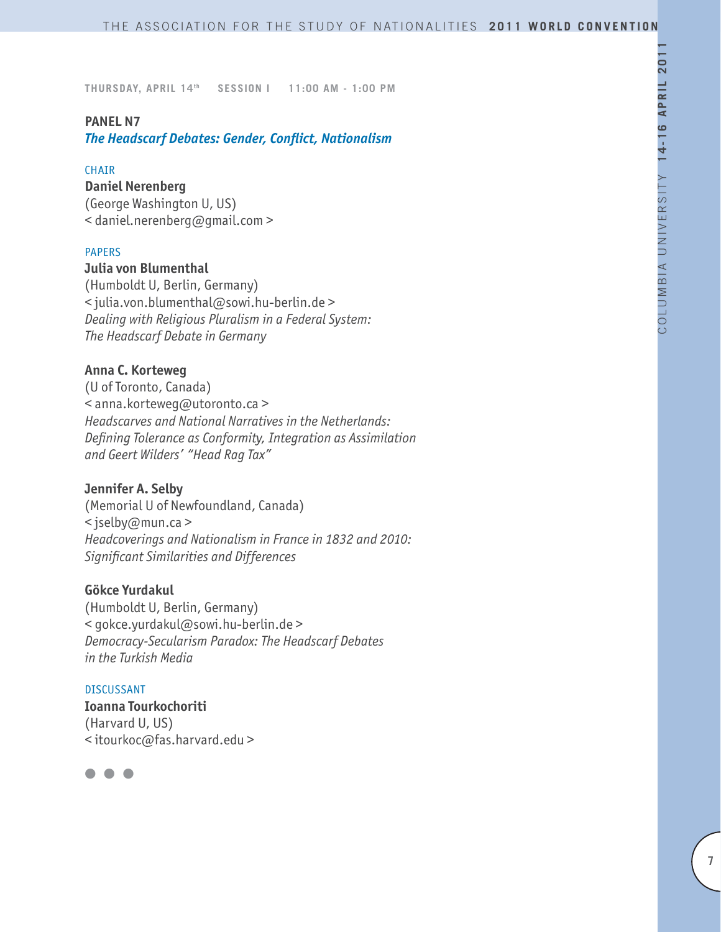### **PANEL N7**

*The Headscarf Debates: Gender, Conflict, Nationalism*

#### CHAIR

#### **Daniel Nerenberg**

(George Washington U, US) < daniel.nerenberg@gmail.com >

### PAPERS

# **Julia von Blumenthal**

(Humboldt U, Berlin, Germany) < julia.von.blumenthal@sowi.hu-berlin.de > *Dealing with Religious Pluralism in a Federal System: The Headscarf Debate in Germany*

### **Anna C. Korteweg**

(U of Toronto, Canada) < anna.korteweg@utoronto.ca > *Headscarves and National Narratives in the Netherlands: Defining Tolerance as Conformity, Integration as Assimilation and Geert Wilders' "Head Rag Tax"*

### **Jennifer A. Selby**

(Memorial U of Newfoundland, Canada) < jselby@mun.ca > *Headcoverings and Nationalism in France in 1832 and 2010: Significant Similarities and Differences*

### **Gökce Yurdakul**

(Humboldt U, Berlin, Germany) < gokce.yurdakul@sowi.hu-berlin.de > *Democracy-Secularism Paradox: The Headscarf Debates in the Turkish Media*

DISCUSSANT **Ioanna Tourkochoriti** (Harvard U, US) < itourkoc@fas.harvard.edu >

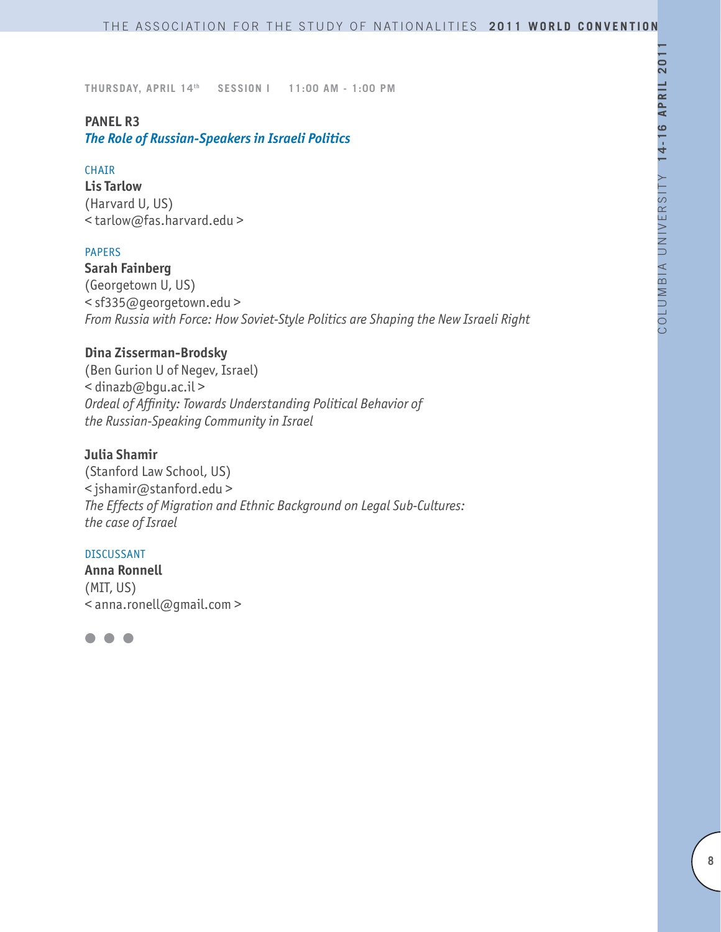### **PANEL R3**

*The Role of Russian-Speakers in Israeli Politics*

#### **CHAIR**

**Lis Tarlow** (Harvard U, US) < tarlow@fas.harvard.edu >

### PAPERS

**Sarah Fainberg** (Georgetown U, US) < sf335@georgetown.edu > *From Russia with Force: How Soviet-Style Politics are Shaping the New Israeli Right*

# **Dina Zisserman-Brodsky**

(Ben Gurion U of Negev, Israel) < dinazb@bgu.ac.il > *Ordeal of Affinity: Towards Understanding Political Behavior of the Russian-Speaking Community in Israel*

### **Julia Shamir**

(Stanford Law School, US) < jshamir@stanford.edu > *The Effects of Migration and Ethnic Background on Legal Sub-Cultures: the case of Israel*

#### DISCUSSANT

**Anna Ronnell** (MIT, US) < anna.ronell@gmail.com >

l l l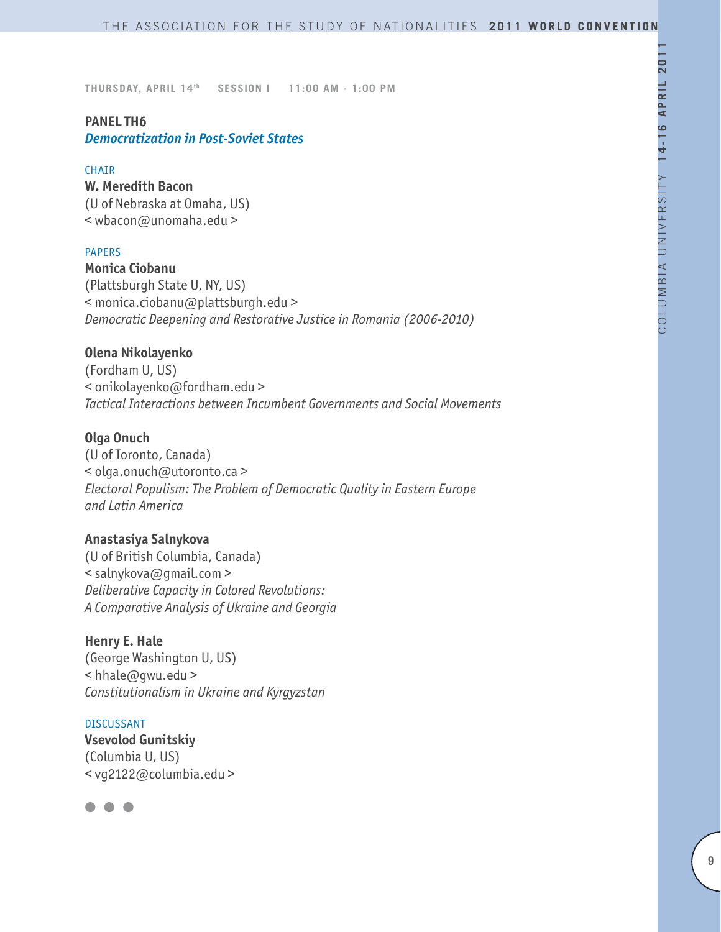# **PANEL TH6** *Democratization in Post-Soviet States*

#### **CHATR**

**W. Meredith Bacon**  (U of Nebraska at Omaha, US) < wbacon@unomaha.edu >

### PAPERS

**Monica Ciobanu** (Plattsburgh State U, NY, US) < monica.ciobanu@plattsburgh.edu > *Democratic Deepening and Restorative Justice in Romania (2006-2010)*

### **Olena Nikolayenko**

(Fordham U, US) < onikolayenko@fordham.edu > *Tactical Interactions between Incumbent Governments and Social Movements*

### **Olga Onuch**

(U of Toronto, Canada) < olga.onuch@utoronto.ca > *Electoral Populism: The Problem of Democratic Quality in Eastern Europe and Latin America*

#### **Anastasiya Salnykova**

(U of British Columbia, Canada) < salnykova@gmail.com > *Deliberative Capacity in Colored Revolutions: A Comparative Analysis of Ukraine and Georgia*

### **Henry E. Hale**

(George Washington U, US) < hhale@gwu.edu > *Constitutionalism in Ukraine and Kyrgyzstan*

#### DISCUSSANT

**Vsevolod Gunitskiy** (Columbia U, US) < vg2122@columbia.edu >

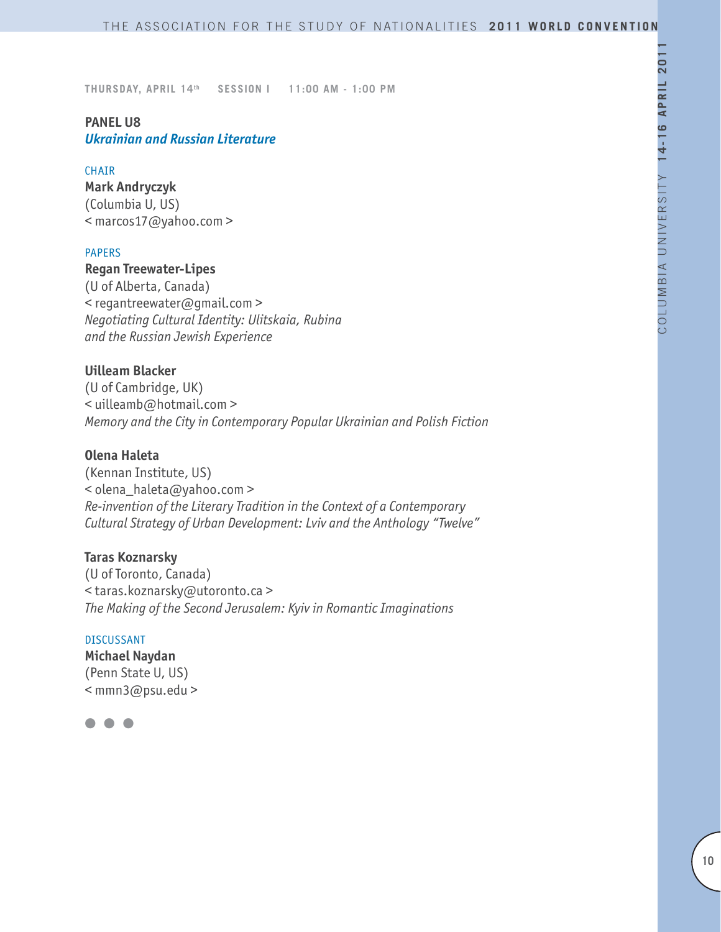# **PANEL U8** *Ukrainian and Russian Literature*

#### CHAIR

**Mark Andryczyk** (Columbia U, US) < marcos17@yahoo.com >

#### PAPERS

### **Regan Treewater-Lipes**

(U of Alberta, Canada) < regantreewater@gmail.com > *Negotiating Cultural Identity: Ulitskaia, Rubina and the Russian Jewish Experience*

### **Uilleam Blacker**

(U of Cambridge, UK) < uilleamb@hotmail.com > *Memory and the City in Contemporary Popular Ukrainian and Polish Fiction*

## **Olena Haleta**

(Kennan Institute, US) < olena\_haleta@yahoo.com > *Re-invention of the Literary Tradition in the Context of a Contemporary Cultural Strategy of Urban Development: Lviv and the Anthology "Twelve"*

### **Taras Koznarsky**

(U of Toronto, Canada) < taras.koznarsky@utoronto.ca > *The Making of the Second Jerusalem: Kyiv in Romantic Imaginations*

#### DISCUSSANT

**Michael Naydan** (Penn State U, US) < mmn3@psu.edu >

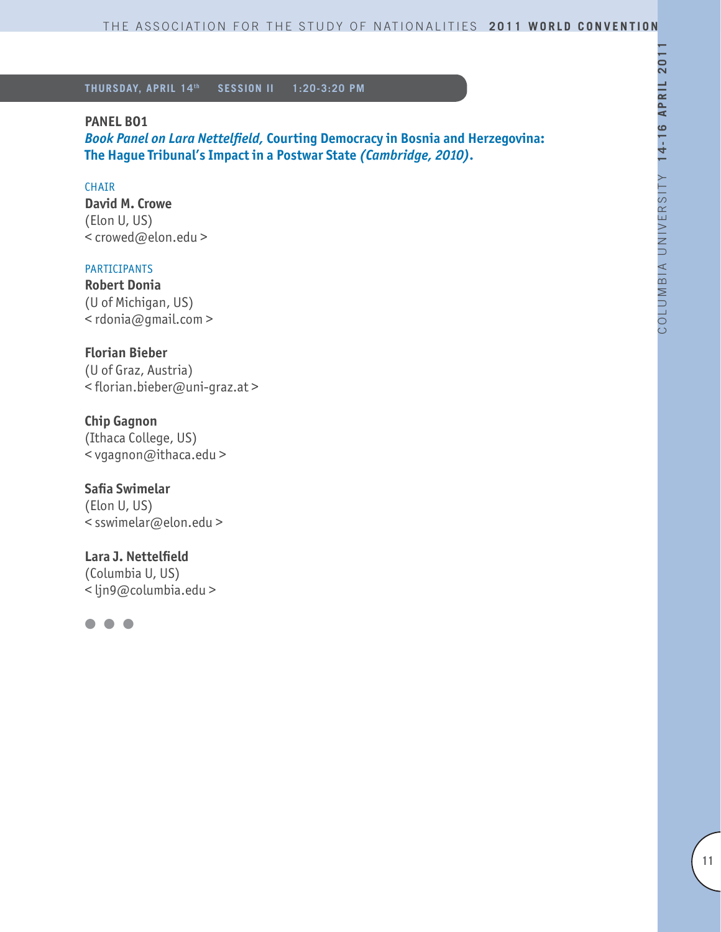### **PANEL BO1**

*Book Panel on Lara Nettelfield,* **Courting Democracy in Bosnia and Herzegovina: The Hague Tribunal's Impact in a Postwar State** *(Cambridge, 2010).*

### **CHAIR**

**David M. Crowe** (Elon U, US) < crowed@elon.edu >

### PARTICIPANTS

**Robert Donia** (U of Michigan, US) < rdonia@gmail.com >

# **Florian Bieber**

(U of Graz, Austria) < florian.bieber@uni-graz.at >

# **Chip Gagnon**

(Ithaca College, US) < vgagnon@ithaca.edu >

### **Safia Swimelar**

(Elon U, US) < sswimelar@elon.edu >

# **Lara J. Nettelfield** (Columbia U, US) < ljn9@columbia.edu >

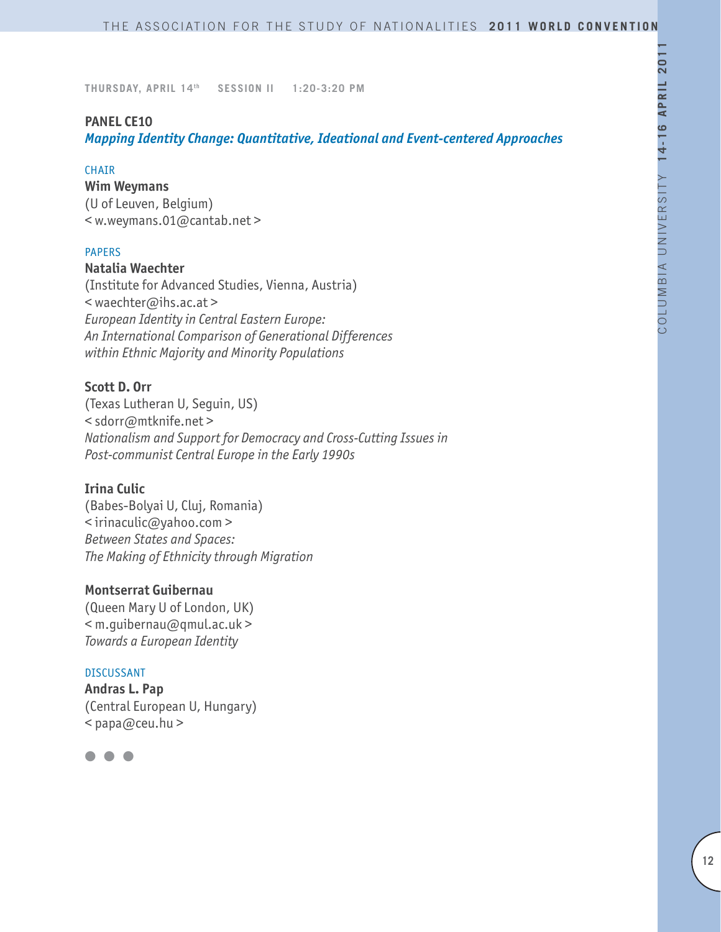### **PANEL CE10**

*Mapping Identity Change: Quantitative, Ideational and Event-centered Approaches*

#### **CHAIR**

**Wim Weymans**

(U of Leuven, Belgium) < w.weymans.01@cantab.net >

#### PAPERS

#### **Natalia Waechter**

(Institute for Advanced Studies, Vienna, Austria) < waechter@ihs.ac.at > *European Identity in Central Eastern Europe: An International Comparison of Generational Differences within Ethnic Majority and Minority Populations*

# **Scott D. Orr**

(Texas Lutheran U, Seguin, US) < sdorr@mtknife.net > *Nationalism and Support for Democracy and Cross-Cutting Issues in Post-communist Central Europe in the Early 1990s*

### **Irina Culic**

(Babes-Bolyai U, Cluj, Romania) < irinaculic@yahoo.com > *Between States and Spaces: The Making of Ethnicity through Migration*

### **Montserrat Guibernau**

(Queen Mary U of London, UK) < m.guibernau@qmul.ac.uk > *Towards a European Identity* 

#### DISCUSSANT

**Andras L. Pap** (Central European U, Hungary) < papa@ceu.hu >

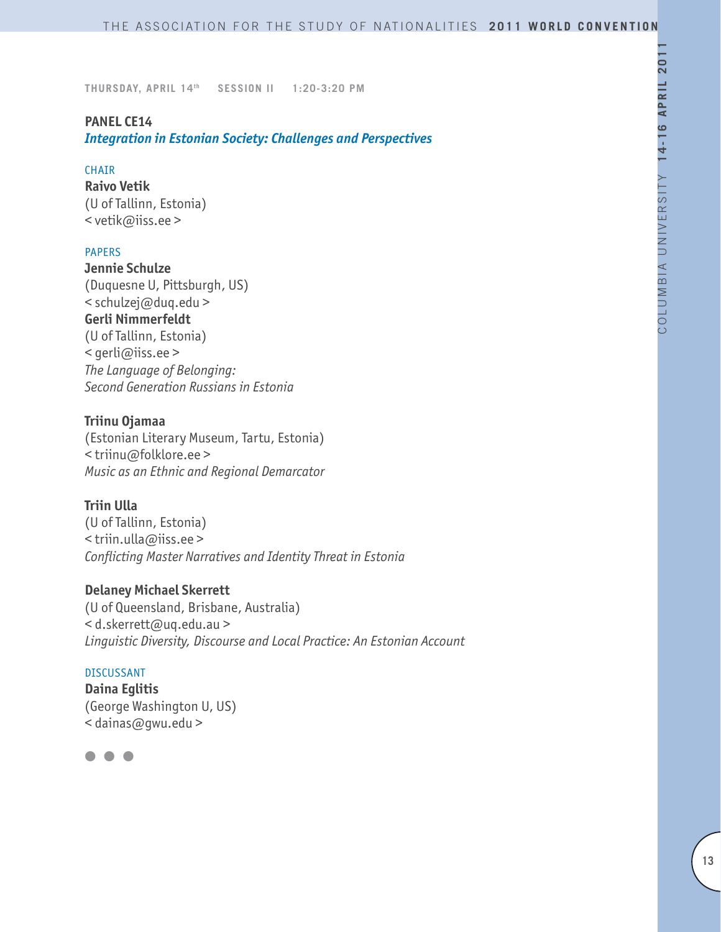### **PANEL CE14**

*Integration in Estonian Society: Challenges and Perspectives*

#### CHAIR

**Raivo Vetik** (U of Tallinn, Estonia) < vetik@iiss.ee >

### PAPERS

**Jennie Schulze** (Duquesne U, Pittsburgh, US) < schulzej@duq.edu > **Gerli Nimmerfeldt** (U of Tallinn, Estonia) < gerli@iiss.ee > *The Language of Belonging: Second Generation Russians in Estonia*

## **Triinu Ojamaa**

(Estonian Literary Museum, Tartu, Estonia) < triinu@folklore.ee > *Music as an Ethnic and Regional Demarcator* 

### **Triin Ulla**

(U of Tallinn, Estonia) < triin.ulla@iiss.ee > *Conflicting Master Narratives and Identity Threat in Estonia*

### **Delaney Michael Skerrett**

(U of Queensland, Brisbane, Australia) < d.skerrett@uq.edu.au > *Linguistic Diversity, Discourse and Local Practice: An Estonian Account*

#### DISCUSSANT

**Daina Eglitis** (George Washington U, US) < dainas@gwu.edu >

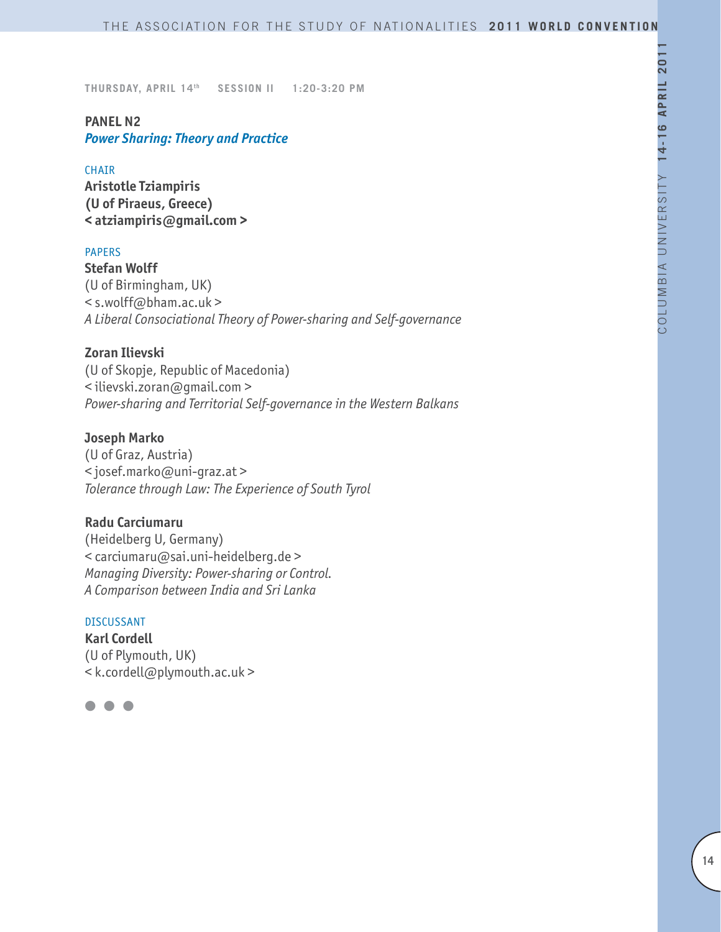### **PANEL N2** *Power Sharing: Theory and Practice*

#### CHAIR

**Aristotle Tziampiris (U of Piraeus, Greece) < atziampiris@gmail.com >**

### PAPERS

**Stefan Wolff** (U of Birmingham, UK) < s.wolff@bham.ac.uk > *A Liberal Consociational Theory of Power-sharing and Self-governance*

### **Zoran Ilievski**

(U of Skopje, Republic of Macedonia) < ilievski.zoran@gmail.com > *Power-sharing and Territorial Self-governance in the Western Balkans*

### **Joseph Marko**

(U of Graz, Austria) < josef.marko@uni-graz.at > *Tolerance through Law: The Experience of South Tyrol*

### **Radu Carciumaru**

(Heidelberg U, Germany) < carciumaru@sai.uni-heidelberg.de > *Managing Diversity: Power-sharing or Control. A Comparison between India and Sri Lanka*

# DISCUSSANT

**Karl Cordell** (U of Plymouth, UK) < k.cordell@plymouth.ac.uk >

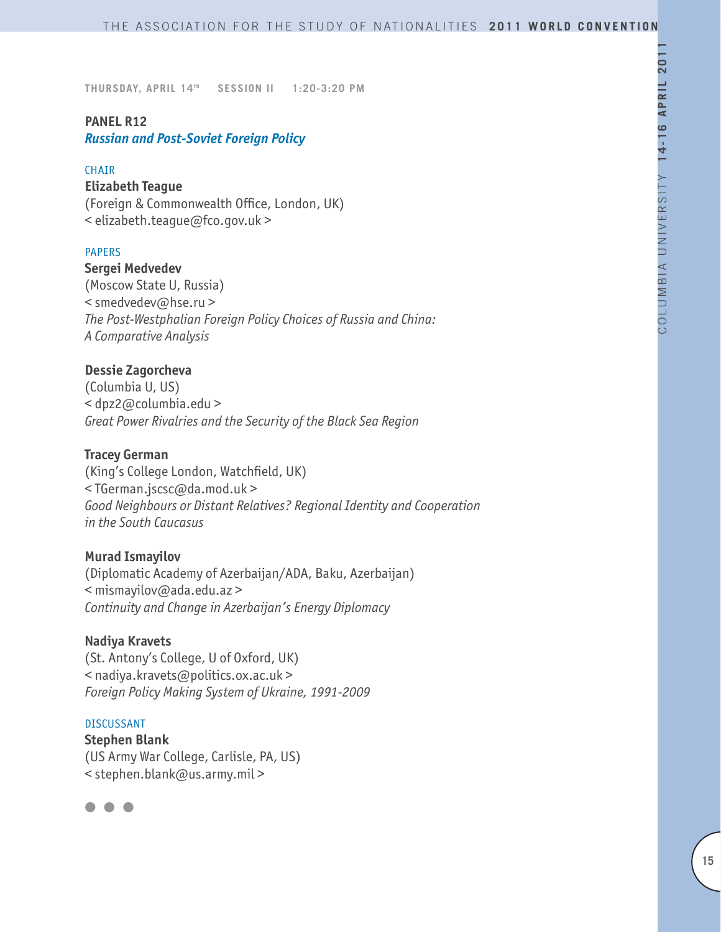# **PANEL R12**

# *Russian and Post-Soviet Foreign Policy*

#### **CHAIR**

### **Elizabeth Teague**

(Foreign & Commonwealth Office, London, UK) < elizabeth.teague@fco.gov.uk >

### PAPERS

**Sergei Medvedev** (Moscow State U, Russia) < smedvedev@hse.ru > *The Post-Westphalian Foreign Policy Choices of Russia and China: A Comparative Analysis*

### **Dessie Zagorcheva**

(Columbia U, US) < dpz2@columbia.edu > *Great Power Rivalries and the Security of the Black Sea Region*

### **Tracey German**

(King's College London, Watchfield, UK) < TGerman.jscsc@da.mod.uk > *Good Neighbours or Distant Relatives? Regional Identity and Cooperation in the South Caucasus*

### **Murad Ismayilov**

(Diplomatic Academy of Azerbaijan/ADA, Baku, Azerbaijan) < mismayilov@ada.edu.az > *Continuity and Change in Azerbaijan's Energy Diplomacy*

### **Nadiya Kravets**

(St. Antony's College, U of Oxford, UK) < nadiya.kravets@politics.ox.ac.uk > *Foreign Policy Making System of Ukraine, 1991-2009*

#### DISCUSSANT

**Stephen Blank** (US Army War College, Carlisle, PA, US) < stephen.blank@us.army.mil >

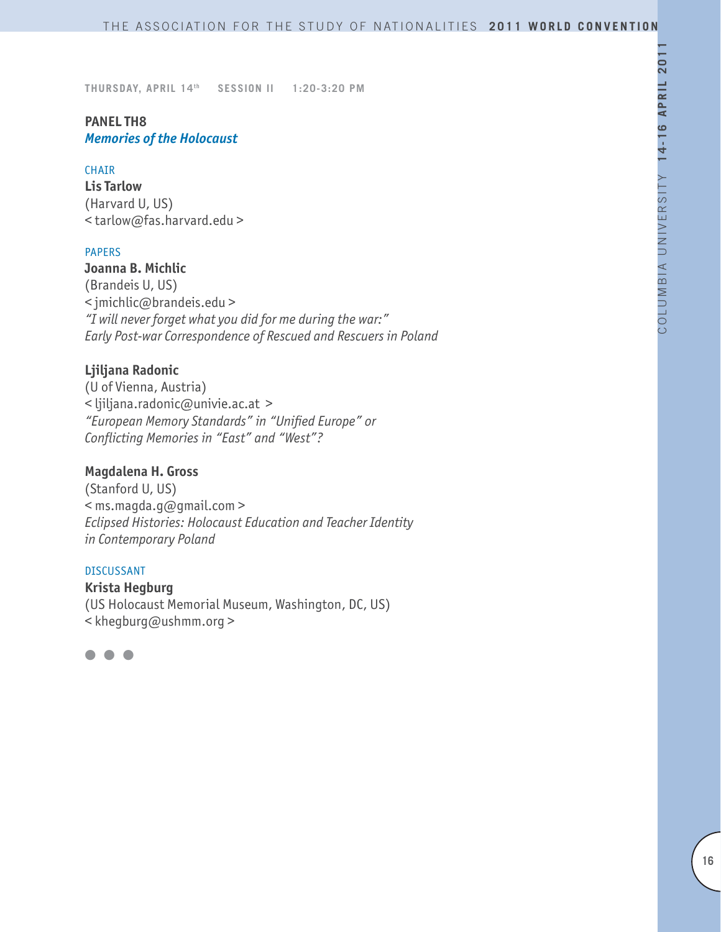# **PANEL TH8** *Memories of the Holocaust*

#### **CHAIR**

**Lis Tarlow** (Harvard U, US) < tarlow@fas.harvard.edu >

#### PAPERS

# **Joanna B. Michlic**

(Brandeis U, US) < jmichlic@brandeis.edu > *"I will never forget what you did for me during the war:" Early Post-war Correspondence of Rescued and Rescuers in Poland*

### **Ljiljana Radonic**

(U of Vienna, Austria) < ljiljana.radonic@univie.ac.at > *"European Memory Standards" in "Unified Europe" or Conflicting Memories in "East" and "West"?*

# **Magdalena H. Gross**

(Stanford U, US) < ms.magda.g@gmail.com > *Eclipsed Histories: Holocaust Education and Teacher Identity in Contemporary Poland*

#### DISCUSSANT

**Krista Hegburg** (US Holocaust Memorial Museum, Washington, DC, US) < khegburg@ushmm.org >

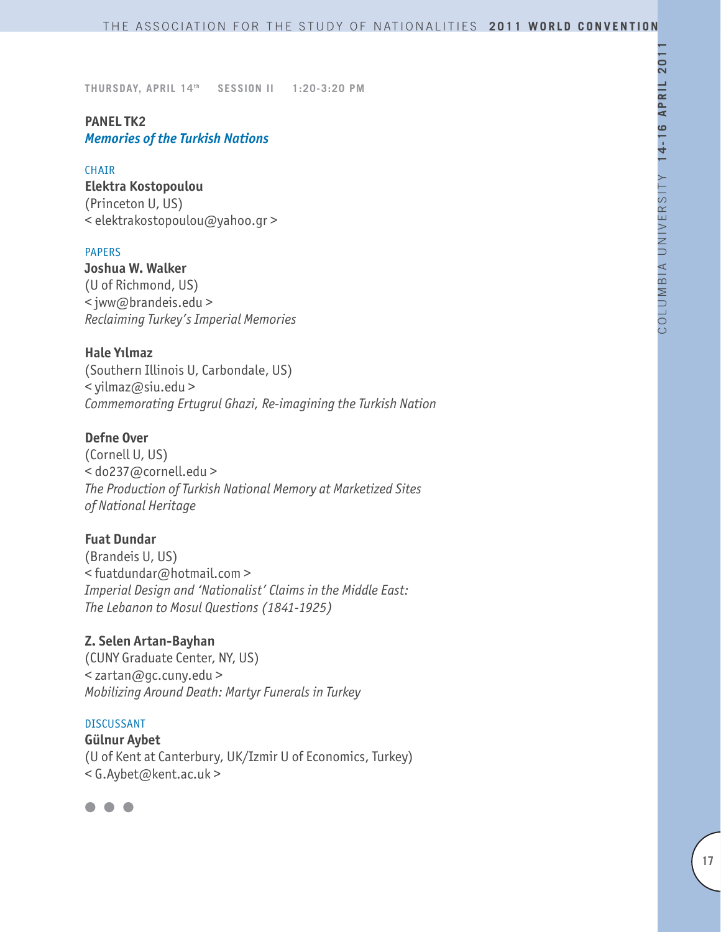# **PANEL TK2** *Memories of the Turkish Nations*

#### CHAIR

**Elektra Kostopoulou** (Princeton U, US) < elektrakostopoulou@yahoo.gr >

#### PAPERS

**Joshua W. Walker** (U of Richmond, US) < jww@brandeis.edu > *Reclaiming Turkey's Imperial Memories*

**Hale Yılmaz** (Southern Illinois U, Carbondale, US) < yilmaz@siu.edu > *Commemorating Ertugrul Ghazi, Re-imagining the Turkish Nation*

# **Defne Over**

(Cornell U, US) < do237@cornell.edu > *The Production of Turkish National Memory at Marketized Sites of National Heritage* 

### **Fuat Dundar**

(Brandeis U, US) < fuatdundar@hotmail.com > *Imperial Design and 'Nationalist' Claims in the Middle East: The Lebanon to Mosul Questions (1841-1925)* 

#### **Z. Selen Artan-Bayhan**

(CUNY Graduate Center, NY, US) < zartan@gc.cuny.edu > *Mobilizing Around Death: Martyr Funerals in Turkey*

#### DISCUSSANT

**Gülnur Aybet** (U of Kent at Canterbury, UK/Izmir U of Economics, Turkey) < G.Aybet@kent.ac.uk >

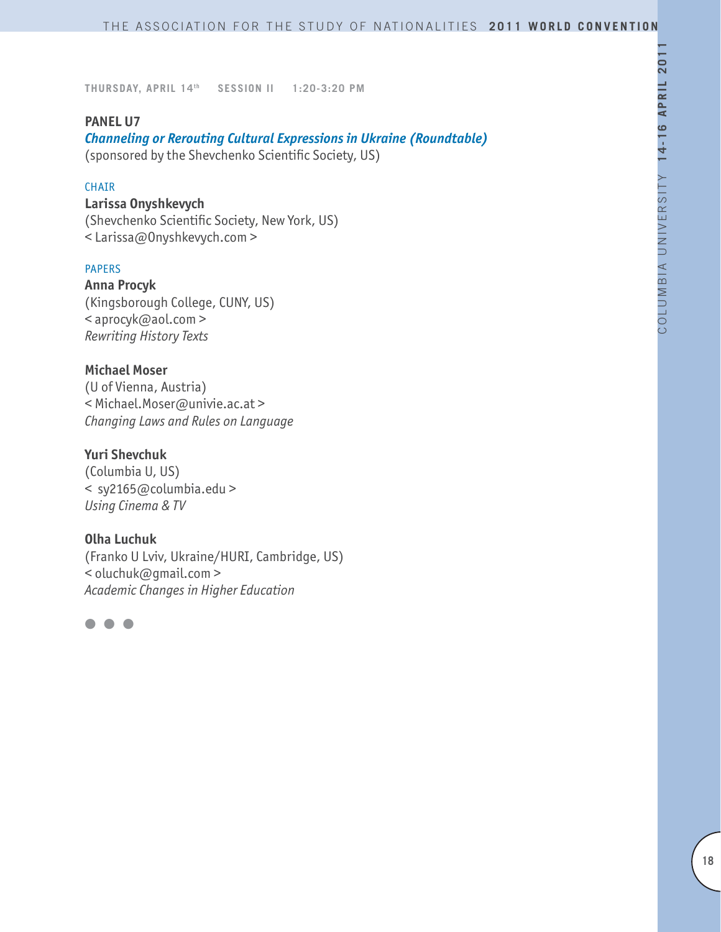### **PANEL U7**

*Channeling or Rerouting Cultural Expressions in Ukraine (Roundtable)* (sponsored by the Shevchenko Scientific Society, US)

#### **CHAIR**

### **Larissa Onyshkevych**

(Shevchenko Scientific Society, New York, US) < Larissa@Onyshkevych.com >

### PAPERS

**Anna Procyk**  (Kingsborough College, CUNY, US) < aprocyk@aol.com > *Rewriting History Texts* 

### **Michael Moser**

(U of Vienna, Austria) < Michael.Moser@univie.ac.at > *Changing Laws and Rules on Language* 

## **Yuri Shevchuk**

(Columbia U, US) < sy2165@columbia.edu > *Using Cinema & TV* 

#### **Olha Luchuk**

(Franko U Lviv, Ukraine/HURI, Cambridge, US) < oluchuk@gmail.com > *Academic Changes in Higher Education* 

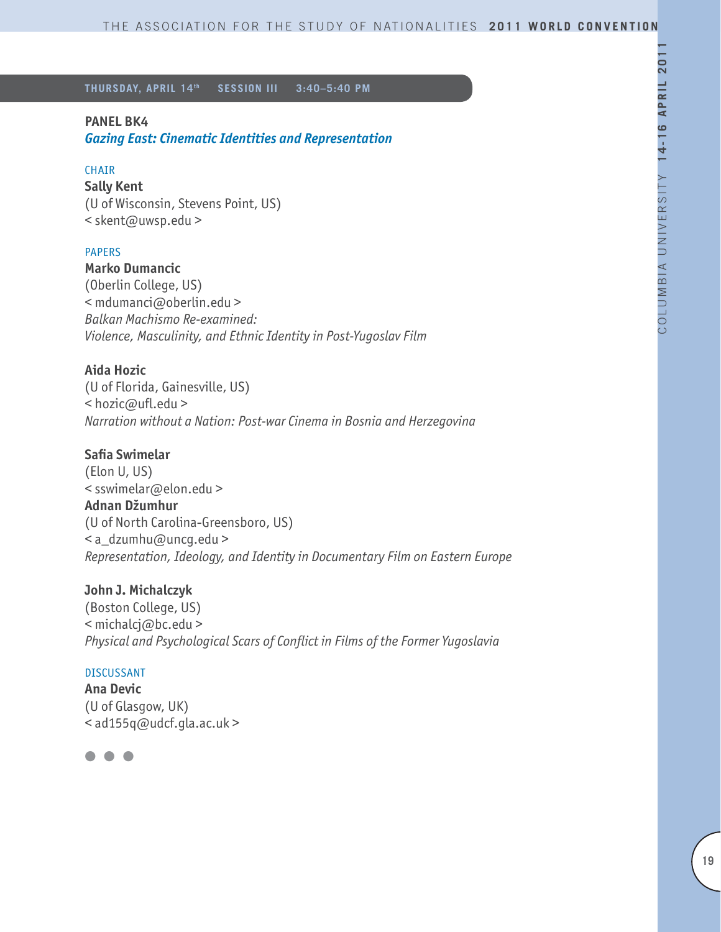# **PANEL BK4**

*Gazing East: Cinematic Identities and Representation* 

### CHAIR

**Sally Kent** (U of Wisconsin, Stevens Point, US) < skent@uwsp.edu >

### PAPERS

**Marko Dumancic**

(Oberlin College, US) < mdumanci@oberlin.edu > *Balkan Machismo Re-examined: Violence, Masculinity, and Ethnic Identity in Post-Yugoslav Film*

# **Aida Hozic**

(U of Florida, Gainesville, US) < hozic@ufl.edu > *Narration without a Nation: Post-war Cinema in Bosnia and Herzegovina*

# **Safia Swimelar**

(Elon U, US) < sswimelar@elon.edu > **Adnan Džumhur**  (U of North Carolina-Greensboro, US) < a\_dzumhu@uncg.edu > *Representation, Ideology, and Identity in Documentary Film on Eastern Europe* 

### **John J. Michalczyk**

(Boston College, US) < michalcj@bc.edu > *Physical and Psychological Scars of Conflict in Films of the Former Yugoslavia*

### DISCUSSANT

**Ana Devic**  (U of Glasgow, UK) < ad155q@udcf.gla.ac.uk >

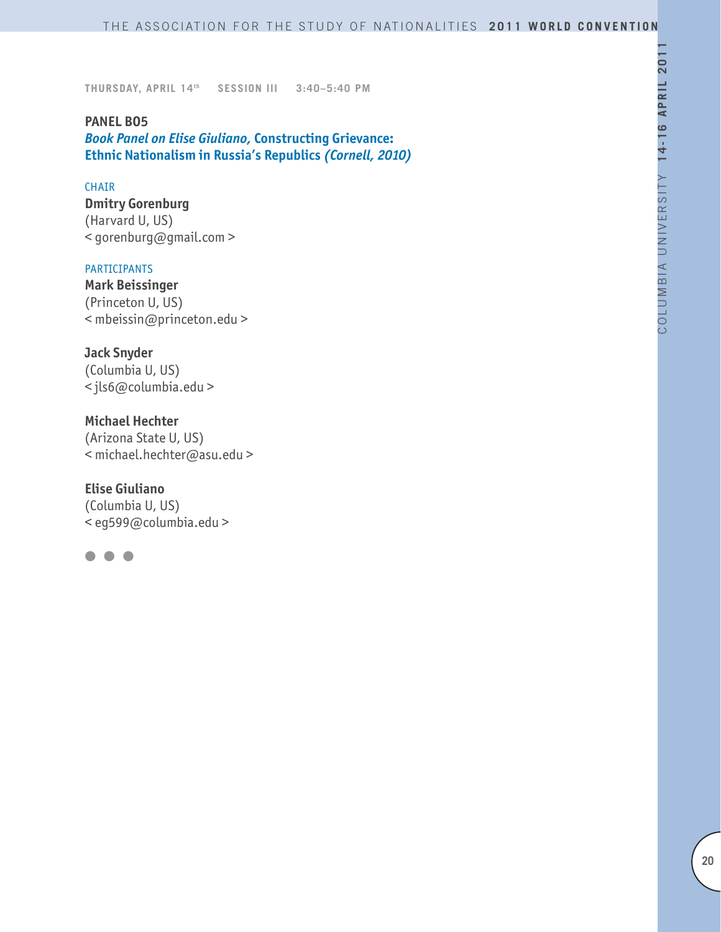**PANEL BO5** *Book Panel on Elise Giuliano,* **Constructing Grievance: Ethnic Nationalism in Russia's Republics** *(Cornell, 2010)*

#### **CHAIR**

**Dmitry Gorenburg** (Harvard U, US) < gorenburg@gmail.com >

#### PARTICIPANTS

**Mark Beissinger**  (Princeton U, US) < mbeissin@princeton.edu >

### **Jack Snyder**

(Columbia U, US) < jls6@columbia.edu >

#### **Michael Hechter**

(Arizona State U, US) < michael.hechter@asu.edu >

#### **Elise Giuliano**

(Columbia U, US) < eg599@columbia.edu >

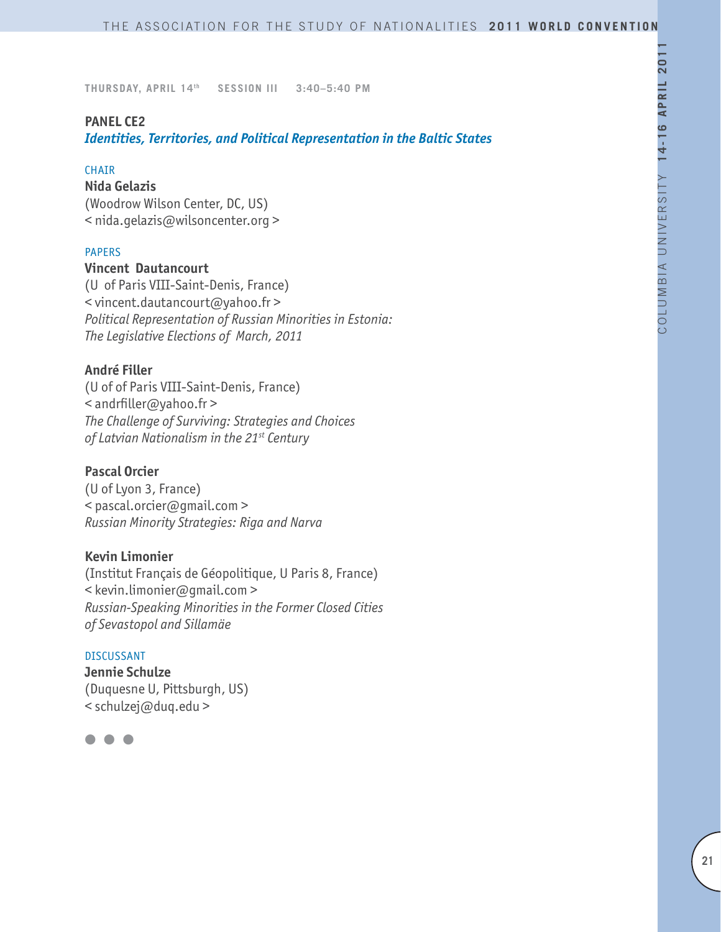### **PANEL CE2**

*Identities, Territories, and Political Representation in the Baltic States*

#### CHAIR

### **Nida Gelazis**

(Woodrow Wilson Center, DC, US) < nida.gelazis@wilsoncenter.org >

### PAPERS

### **Vincent Dautancourt**

(U of Paris VIII-Saint-Denis, France) < vincent.dautancourt@yahoo.fr > *Political Representation of Russian Minorities in Estonia: The Legislative Elections of March, 2011*

### **André Filler**

(U of of Paris VIII-Saint-Denis, France) < andrfiller@yahoo.fr > *The Challenge of Surviving: Strategies and Choices of Latvian Nationalism in the 21st Century*

### **Pascal Orcier**

(U of Lyon 3, France) < pascal.orcier@gmail.com > *Russian Minority Strategies: Riga and Narva*

### **Kevin Limonier**

(Institut Français de Géopolitique, U Paris 8, France) < kevin.limonier@gmail.com > *Russian-Speaking Minorities in the Former Closed Cities of Sevastopol and Sillamäe*

#### DISCUSSANT

**Jennie Schulze** (Duquesne U, Pittsburgh, US) < schulzej@duq.edu >

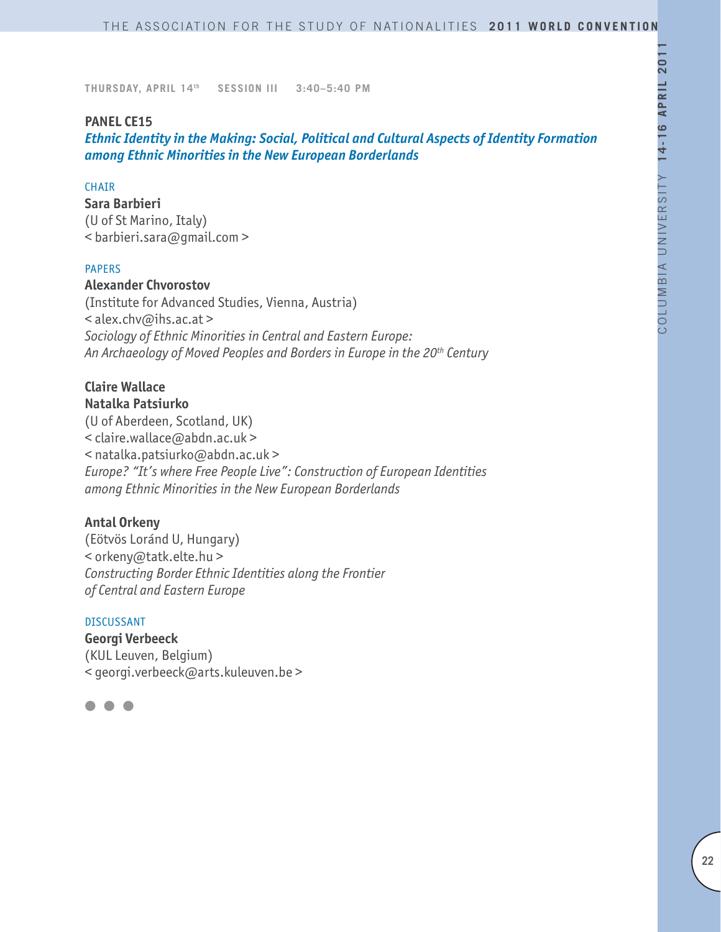#### **PANEL CE15**

*Ethnic Identity in the Making: Social, Political and Cultural Aspects of Identity Formation among Ethnic Minorities in the New European Borderlands*

### **CHAIR**

**Sara Barbieri** (U of St Marino, Italy) < barbieri.sara@gmail.com >

### PAPERS

# **Alexander Chvorostov**

(Institute for Advanced Studies, Vienna, Austria) < alex.chv@ihs.ac.at > *Sociology of Ethnic Minorities in Central and Eastern Europe: An Archaeology of Moved Peoples and Borders in Europe in the 20th Century*

# **Claire Wallace**

**Natalka Patsiurko**

(U of Aberdeen, Scotland, UK) < claire.wallace@abdn.ac.uk > < natalka.patsiurko@abdn.ac.uk > *Europe? "It's where Free People Live": Construction of European Identities among Ethnic Minorities in the New European Borderlands*

### **Antal Orkeny**

(Eötvös Loránd U, Hungary) < orkeny@tatk.elte.hu > *Constructing Border Ethnic Identities along the Frontier of Central and Eastern Europe*

#### DISCUSSANT

**Georgi Verbeeck** (KUL Leuven, Belgium) < georgi.verbeeck@arts.kuleuven.be >

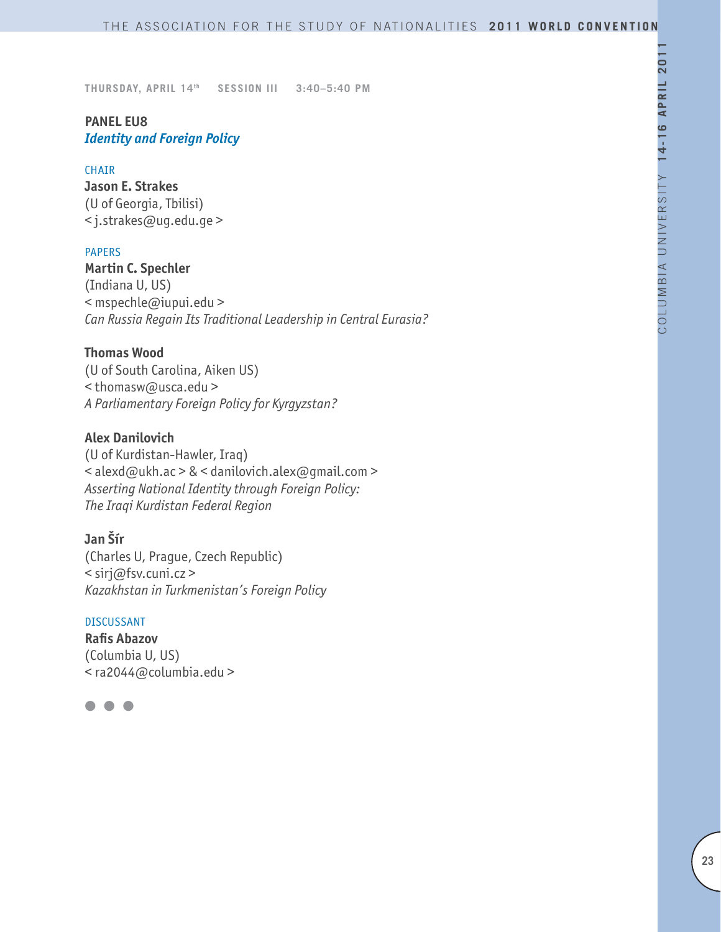# **PANEL EU8** *Identity and Foreign Policy*

#### CHAIR

**Jason E. Strakes**  (U of Georgia, Tbilisi) < j.strakes@ug.edu.ge >

### PAPERS

**Martin C. Spechler**  (Indiana U, US) < mspechle@iupui.edu > *Can Russia Regain Its Traditional Leadership in Central Eurasia?*

### **Thomas Wood**

(U of South Carolina, Aiken US) < thomasw@usca.edu > *A Parliamentary Foreign Policy for Kyrgyzstan?*

### **Alex Danilovich**

(U of Kurdistan-Hawler, Iraq) < alexd@ukh.ac > & < danilovich.alex@gmail.com > *Asserting National Identity through Foreign Policy: The Iraqi Kurdistan Federal Region*

### **Jan Šír**

(Charles U, Prague, Czech Republic) < sirj@fsv.cuni.cz > *Kazakhstan in Turkmenistan's Foreign Policy*

### DISCUSSANT

**Rafis Abazov** (Columbia U, US) < ra2044@columbia.edu >

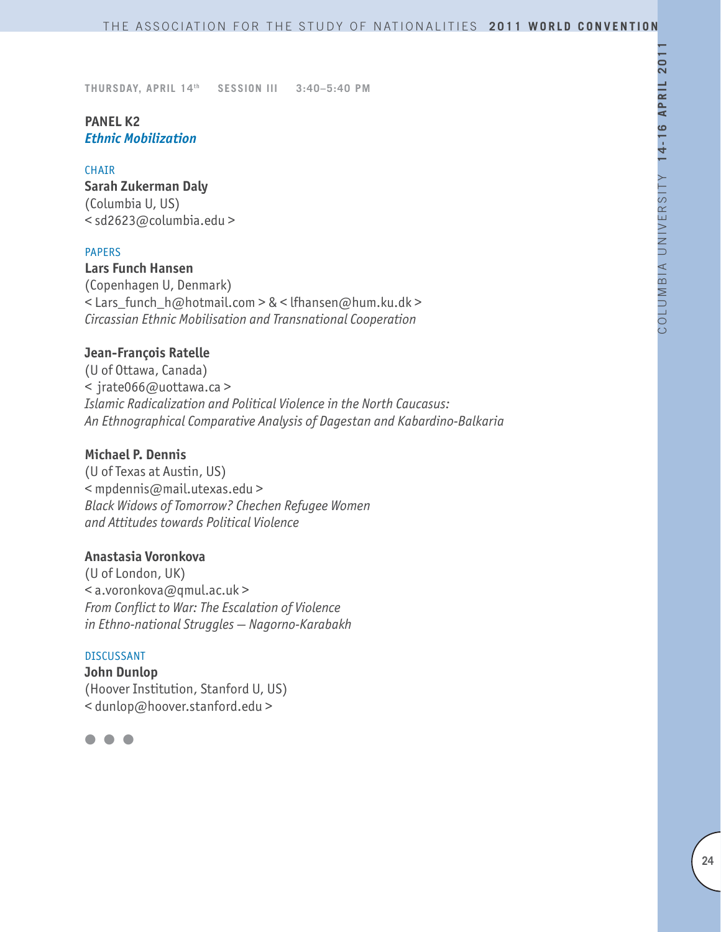# **PANEL K2** *Ethnic Mobilization*

#### CHAIR

**Sarah Zukerman Daly**  (Columbia U, US) < sd2623@columbia.edu >

### PAPERS

**Lars Funch Hansen** (Copenhagen U, Denmark) < Lars\_funch\_h@hotmail.com > & < lfhansen@hum.ku.dk > *Circassian Ethnic Mobilisation and Transnational Cooperation*

### **Jean-François Ratelle**

(U of Ottawa, Canada) < jrate066@uottawa.ca > *Islamic Radicalization and Political Violence in the North Caucasus: An Ethnographical Comparative Analysis of Dagestan and Kabardino-Balkaria*

# **Michael P. Dennis**

(U of Texas at Austin, US) < mpdennis@mail.utexas.edu > *Black Widows of Tomorrow? Chechen Refugee Women and Attitudes towards Political Violence*

### **Anastasia Voronkova**

(U of London, UK) < a.voronkova@qmul.ac.uk > *From Conflict to War: The Escalation of Violence in Ethno-national Struggles — Nagorno-Karabakh* 

#### DISCUSSANT

**John Dunlop** (Hoover Institution, Stanford U, US) < dunlop@hoover.stanford.edu >

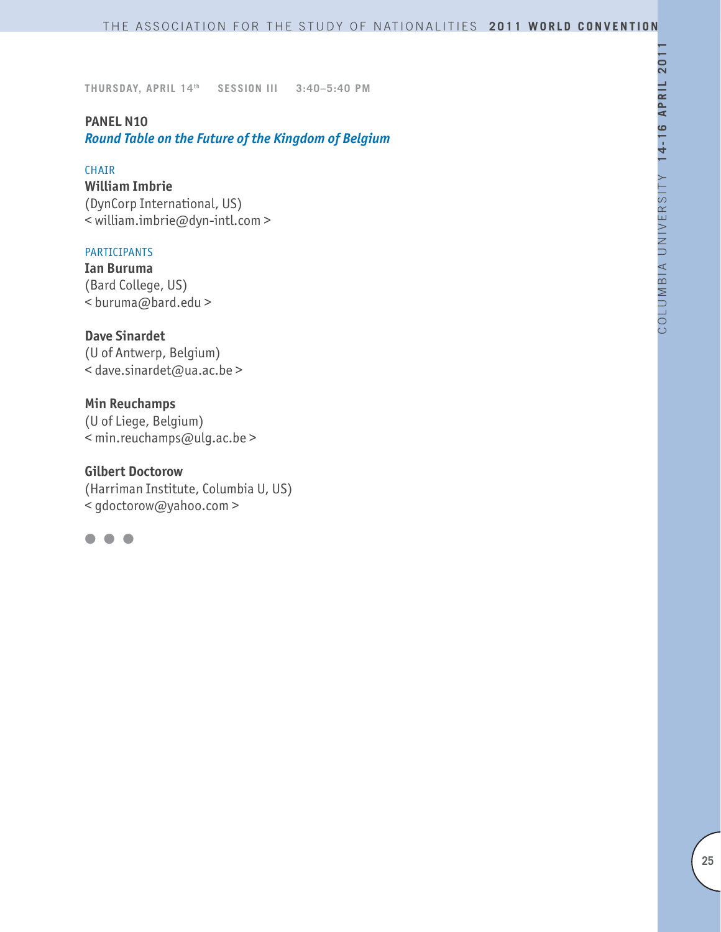# **PANEL N10**

*Round Table on the Future of the Kingdom of Belgium*

#### CHAIR

**William Imbrie** (DynCorp International, US) < william.imbrie@dyn-intl.com >

### PARTICIPANTS

**Ian Buruma**  (Bard College, US) < buruma@bard.edu >

### **Dave Sinardet**

(U of Antwerp, Belgium) < dave.sinardet@ua.ac.be >

### **Min Reuchamps**

(U of Liege, Belgium) < min.reuchamps@ulg.ac.be >

### **Gilbert Doctorow**

(Harriman Institute, Columbia U, US) < gdoctorow@yahoo.com >

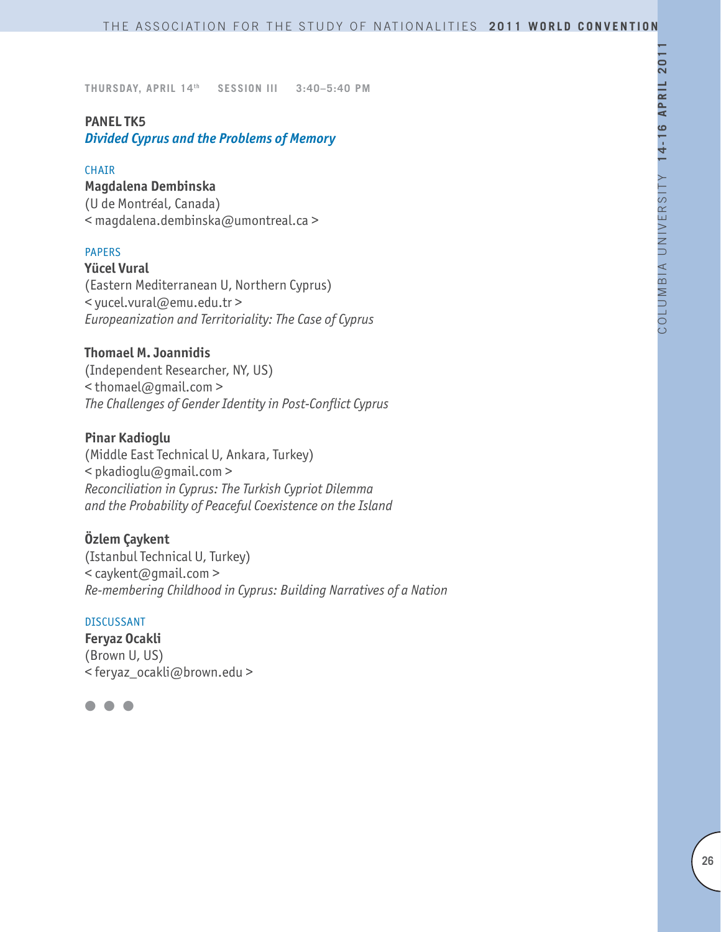### **PANEL TK5**

*Divided Cyprus and the Problems of Memory*

#### **CHAIR**

**Magdalena Dembinska**

(U de Montréal, Canada) < magdalena.dembinska@umontreal.ca >

### PAPERS

**Yücel Vural** (Eastern Mediterranean U, Northern Cyprus) < yucel.vural@emu.edu.tr > *Europeanization and Territoriality: The Case of Cyprus*

### **Thomael M. Joannidis**

(Independent Researcher, NY, US) < thomael@gmail.com > *The Challenges of Gender Identity in Post-Conflict Cyprus*

### **Pinar Kadioglu**

(Middle East Technical U, Ankara, Turkey) < pkadioglu@gmail.com > *Reconciliation in Cyprus: The Turkish Cypriot Dilemma and the Probability of Peaceful Coexistence on the Island*

### **Özlem Çaykent**

(Istanbul Technical U, Turkey) < caykent@gmail.com > *Re-membering Childhood in Cyprus: Building Narratives of a Nation*

#### DISCUSSANT

**Feryaz Ocakli** (Brown U, US) < feryaz\_ocakli@brown.edu >

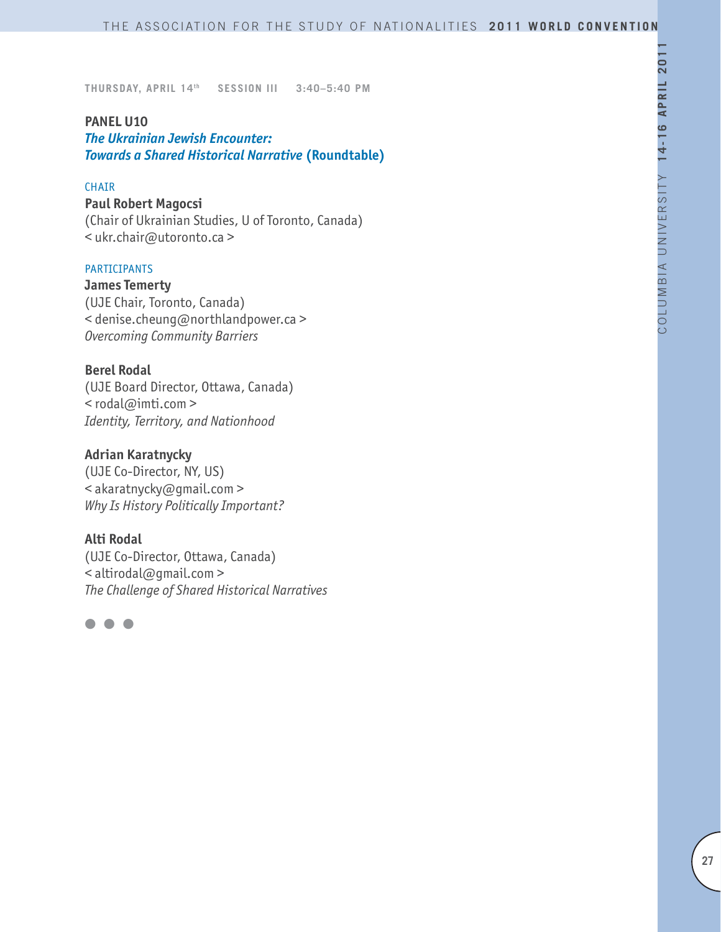#### **PANEL U10**

*The Ukrainian Jewish Encounter: Towards a Shared Historical Narrative* **(Roundtable)**

### CHAIR

#### **Paul Robert Magocsi**

(Chair of Ukrainian Studies, U of Toronto, Canada) < ukr.chair@utoronto.ca >

### PARTICIPANTS

**James Temerty** (UJE Chair, Toronto, Canada) < denise.cheung@northlandpower.ca > *Overcoming Community Barriers*

### **Berel Rodal**

(UJE Board Director, Ottawa, Canada) < rodal@imti.com > *Identity, Territory, and Nationhood*

### **Adrian Karatnycky**

(UJE Co-Director, NY, US) < akaratnycky@gmail.com > *Why Is History Politically Important?*

### **Alti Rodal**

(UJE Co-Director, Ottawa, Canada) < altirodal@gmail.com > *The Challenge of Shared Historical Narratives*

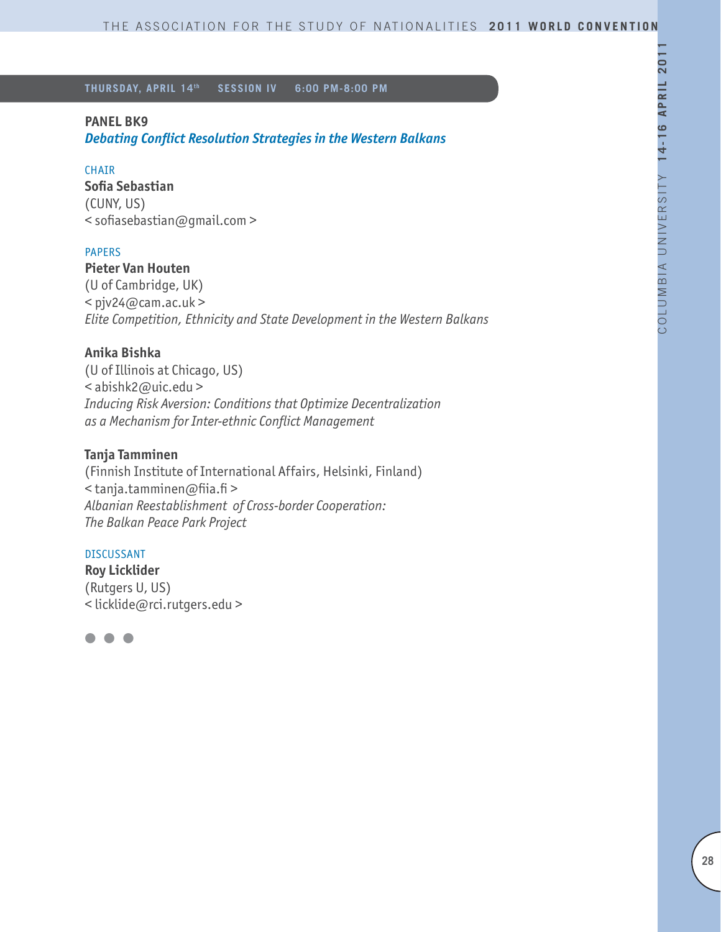### **PANEL BK9**

*Debating Conflict Resolution Strategies in the Western Balkans*

#### CHAIR

**Sofia Sebastian** (CUNY, US) < sofiasebastian@gmail.com >

### PAPERS

# **Pieter Van Houten**

(U of Cambridge, UK)  $<$  pjv24@cam.ac.uk > *Elite Competition, Ethnicity and State Development in the Western Balkans* 

### **Anika Bishka**

(U of Illinois at Chicago, US) < abishk2@uic.edu > *Inducing Risk Aversion: Conditions that Optimize Decentralization as a Mechanism for Inter-ethnic Conflict Management*

### **Tanja Tamminen**

(Finnish Institute of International Affairs, Helsinki, Finland) < tanja.tamminen@fiia.fi > *Albanian Reestablishment of Cross-border Cooperation: The Balkan Peace Park Project*

#### DISCUSSANT

**Roy Licklider**  (Rutgers U, US) < licklide@rci.rutgers.edu >

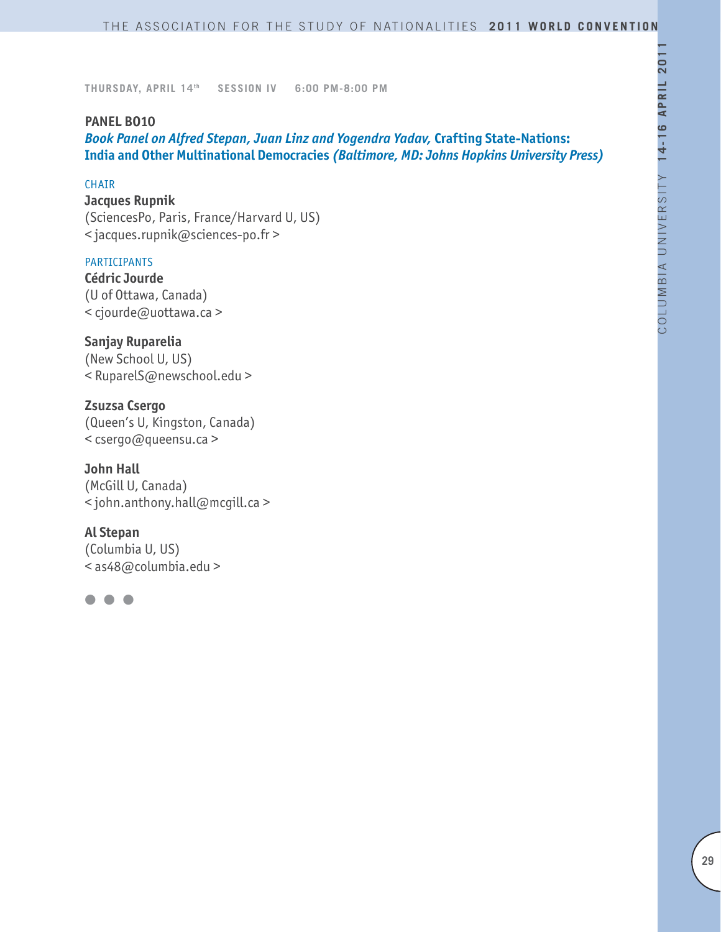### **PANEL BO10**

*Book Panel on Alfred Stepan, Juan Linz and Yogendra Yadav,* **Crafting State-Nations: India and Other Multinational Democracies** *(Baltimore, MD: Johns Hopkins University Press)*

### **CHATR**

**Jacques Rupnik** (SciencesPo, Paris, France/Harvard U, US) < jacques.rupnik@sciences-po.fr >

#### PARTICIPANTS

**Cédric Jourde** (U of Ottawa, Canada) < cjourde@uottawa.ca >

**Sanjay Ruparelia** (New School U, US) < RuparelS@newschool.edu >

**Zsuzsa Csergo** (Queen's U, Kingston, Canada) < csergo@queensu.ca >

**John Hall** (McGill U, Canada) < john.anthony.hall@mcgill.ca >

### **Al Stepan**

(Columbia U, US) < as48@columbia.edu >

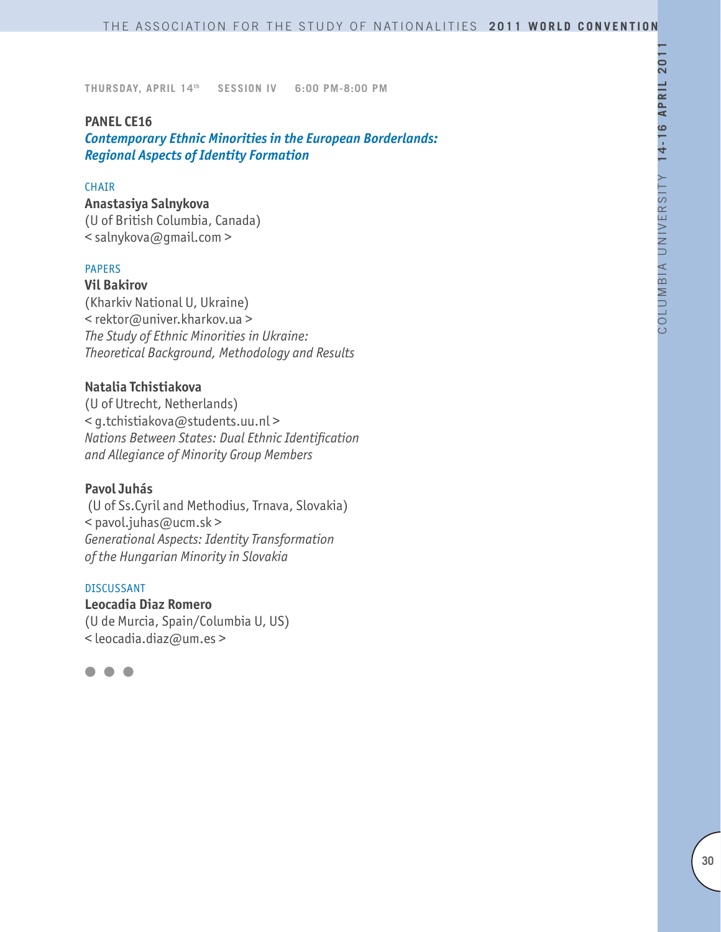#### **PANEL CE16**

*Contemporary Ethnic Minorities in the European Borderlands: Regional Aspects of Identity Formation*

### **CHAIR**

**Anastasiya Salnykova** (U of British Columbia, Canada) < salnykova@gmail.com >

### PAPERS

### **Vil Bakirov**

(Kharkiv National U, Ukraine) < rektor@univer.kharkov.ua > *The Study of Ethnic Minorities in Ukraine: Theoretical Background, Methodology and Results*

### **Natalia Tchistiakova**

(U of Utrecht, Netherlands) < g.tchistiakova@students.uu.nl > *Nations Between States: Dual Ethnic Identification and Allegiance of Minority Group Members* 

#### **Pavol Juhás**

 (U of Ss.Cyril and Methodius, Trnava, Slovakia) < pavol.juhas@ucm.sk > *Generational Aspects: Identity Transformation of the Hungarian Minority in Slovakia*

### DISCUSSANT

**Leocadia Diaz Romero** (U de Murcia, Spain/Columbia U, US) < leocadia.diaz@um.es >

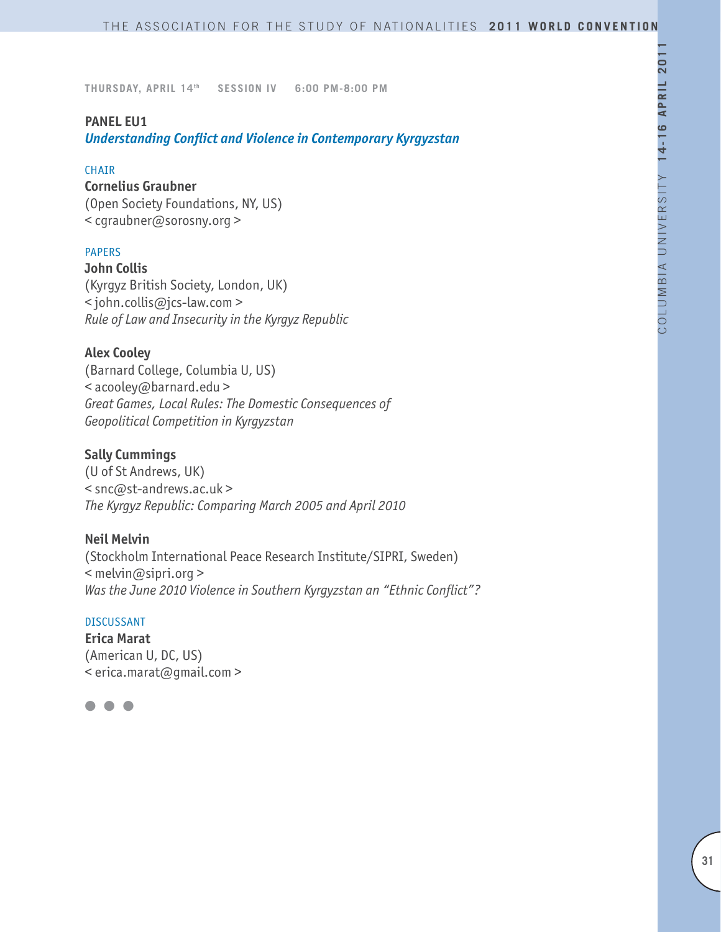### **PANEL EU1**

*Understanding Conflict and Violence in Contemporary Kyrgyzstan*

#### **CHAIR**

### **Cornelius Graubner**

(Open Society Foundations, NY, US) < cgraubner@sorosny.org >

## PAPERS

**John Collis** (Kyrgyz British Society, London, UK) < john.collis@jcs-law.com > *Rule of Law and Insecurity in the Kyrgyz Republic*

### **Alex Cooley**

(Barnard College, Columbia U, US) < acooley@barnard.edu > *Great Games, Local Rules: The Domestic Consequences of Geopolitical Competition in Kyrgyzstan*

### **Sally Cummings**

(U of St Andrews, UK) < snc@st-andrews.ac.uk > *The Kyrgyz Republic: Comparing March 2005 and April 2010*

#### **Neil Melvin**

(Stockholm International Peace Research Institute/SIPRI, Sweden) < melvin@sipri.org > *Was the June 2010 Violence in Southern Kyrgyzstan an "Ethnic Conflict"?*

### DISCUSSANT

**Erica Marat** (American U, DC, US) < erica.marat@gmail.com >

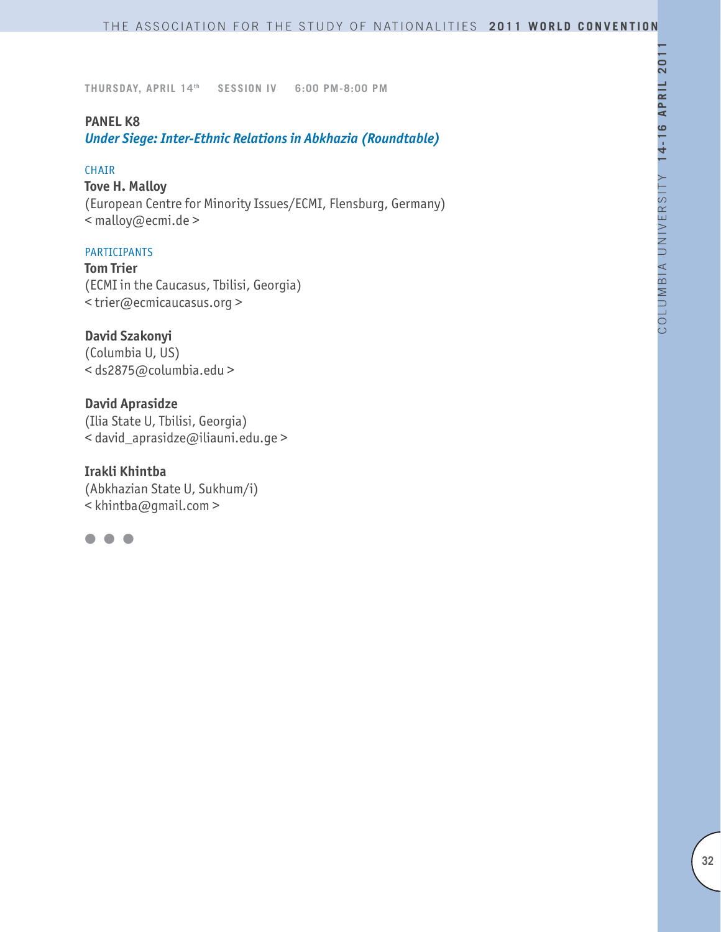### **PANEL K8**

*Under Siege: Inter-Ethnic Relations in Abkhazia (Roundtable)*

#### CHAIR

## **Tove H. Malloy**

(European Centre for Minority Issues/ECMI, Flensburg, Germany) < malloy@ecmi.de >

### PARTICIPANTS

**Tom Trier**  (ECMI in the Caucasus, Tbilisi, Georgia) < trier@ecmicaucasus.org >

**David Szakonyi**  (Columbia U, US) < ds2875@columbia.edu >

**David Aprasidze**  (Ilia State U, Tbilisi, Georgia) < david\_aprasidze@iliauni.edu.ge >

**Irakli Khintba**  (Abkhazian State U, Sukhum/i)  $\leq$  khintba@qmail.com >

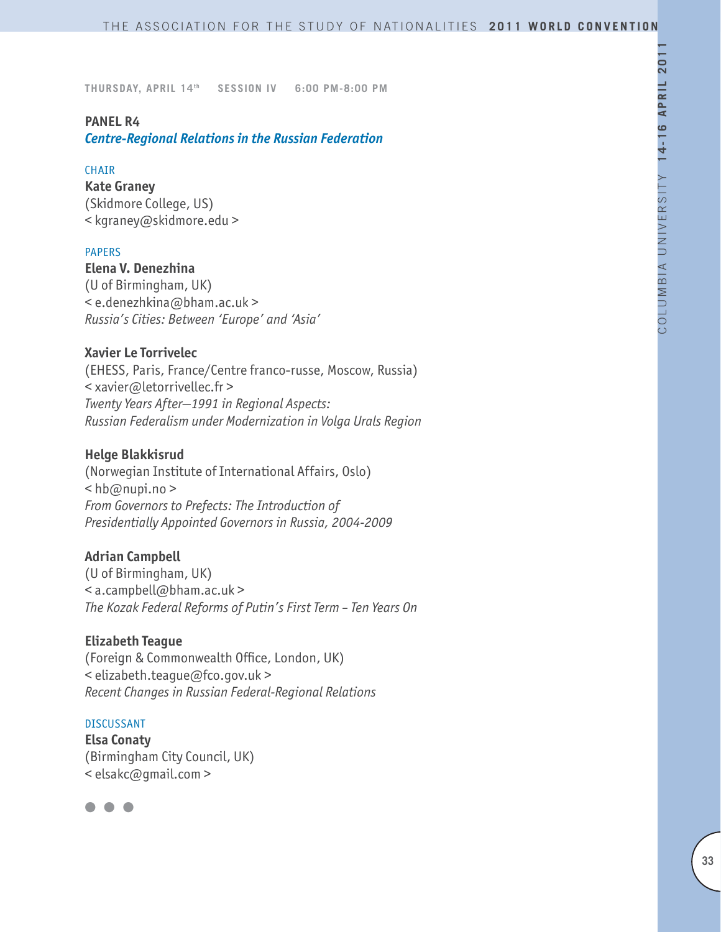### **PANEL R4**

*Centre-Regional Relations in the Russian Federation*

#### **CHAIR**

**Kate Graney** (Skidmore College, US) < kgraney@skidmore.edu >

### PAPERS

**Elena V. Denezhina** (U of Birmingham, UK) < e.denezhkina@bham.ac.uk > *Russia's Cities: Between 'Europe' and 'Asia'*

### **Xavier Le Torrivelec**

(EHESS, Paris, France/Centre franco-russe, Moscow, Russia) < xavier@letorrivellec.fr > *Twenty Years After—1991 in Regional Aspects: Russian Federalism under Modernization in Volga Urals Region*

### **Helge Blakkisrud**

(Norwegian Institute of International Affairs, Oslo)  $\lt$ hb@nupi.no > *From Governors to Prefects: The Introduction of Presidentially Appointed Governors in Russia, 2004-2009*

### **Adrian Campbell**

(U of Birmingham, UK) < a.campbell@bham.ac.uk > *The Kozak Federal Reforms of Putin's First Term – Ten Years On*

#### **Elizabeth Teague**

(Foreign & Commonwealth Office, London, UK) < elizabeth.teague@fco.gov.uk > *Recent Changes in Russian Federal-Regional Relations*

#### DISCUSSANT

**Elsa Conaty** (Birmingham City Council, UK) < elsakc@gmail.com >

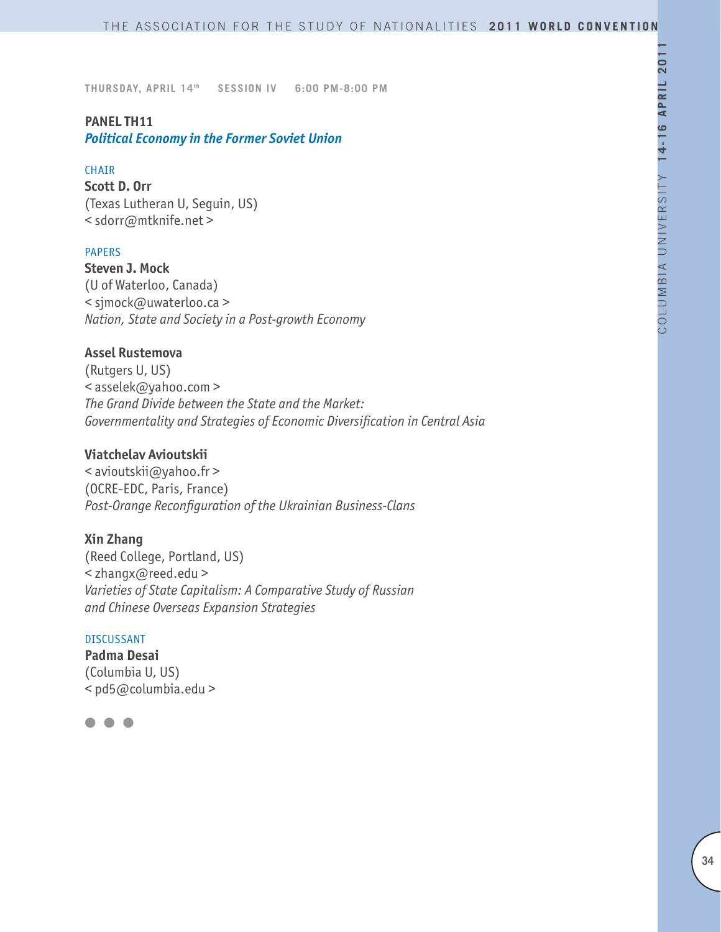# **PANEL TH11**

*Political Economy in the Former Soviet Union*

### CHAIR

**Scott D. Orr**  (Texas Lutheran U, Seguin, US) < sdorr@mtknife.net >

### PAPERS

**Steven J. Mock** (U of Waterloo, Canada) < sjmock@uwaterloo.ca > *Nation, State and Society in a Post-growth Economy*

### **Assel Rustemova**

(Rutgers U, US) < asselek@yahoo.com > *The Grand Divide between the State and the Market: Governmentality and Strategies of Economic Diversification in Central Asia*

## **Viatchelav Avioutskii**

< avioutskii@yahoo.fr > (OCRE-EDC, Paris, France) *Post-Orange Reconfiguration of the Ukrainian Business-Clans*

# **Xin Zhang**

(Reed College, Portland, US) < zhangx@reed.edu > *Varieties of State Capitalism: A Comparative Study of Russian and Chinese Overseas Expansion Strategies*

#### DISCUSSANT

**Padma Desai** (Columbia U, US) < pd5@columbia.edu >

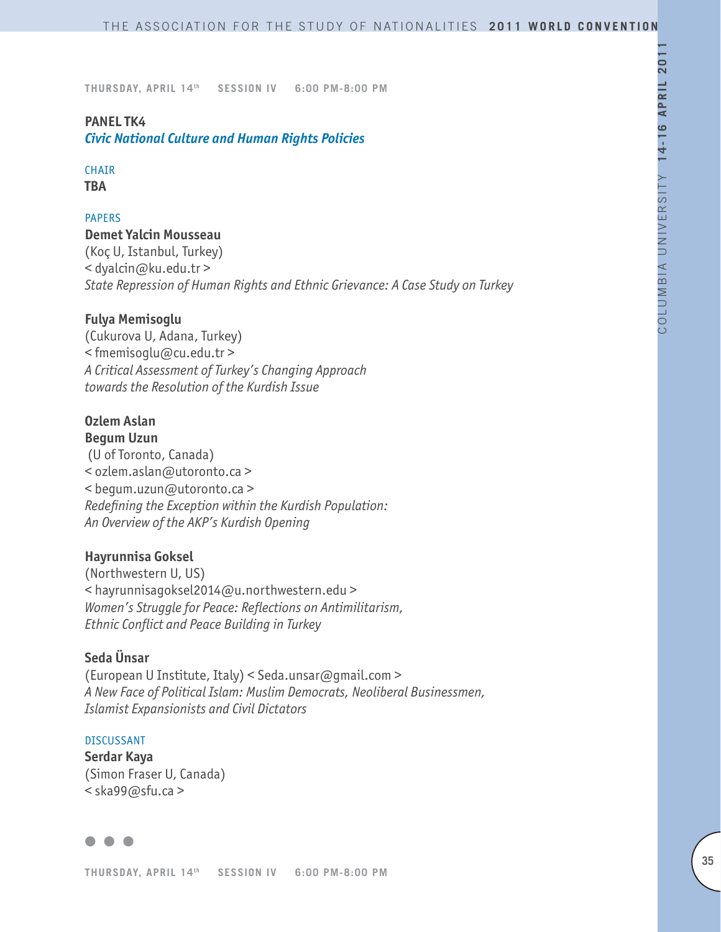# **PANEL TK4**

*Civic National Culture and Human Rights Policies*

# CHAIR

**TBA**

# PAPERS

### **Demet Yalcin Mousseau**

(Koç U, Istanbul, Turkey) < dyalcin@ku.edu.tr > *State Repression of Human Rights and Ethnic Grievance: A Case Study on Turkey*

# **Fulya Memisoglu**

(Cukurova U, Adana, Turkey) < fmemisoglu@cu.edu.tr > *A Critical Assessment of Turkey's Changing Approach towards the Resolution of the Kurdish Issue*

### **Ozlem Aslan Begum Uzun**

 (U of Toronto, Canada) < ozlem.aslan@utoronto.ca > < begum.uzun@utoronto.ca > *Redefining the Exception within the Kurdish Population: An Overview of the AKP's Kurdish Opening*

# **Hayrunnisa Goksel**

(Northwestern U, US) < hayrunnisagoksel2014@u.northwestern.edu > *Women's Struggle for Peace: Reflections on Antimilitarism, Ethnic Conflict and Peace Building in Turkey*

# **Seda Ünsar**

(European U Institute, Italy) < Seda.unsar@gmail.com > *A New Face of Political Islam: Muslim Democrats, Neoliberal Businessmen, Islamist Expansionists and Civil Dictators* 

### DISCUSSANT

**Serdar Kaya** (Simon Fraser U, Canada) < ska99@sfu.ca >

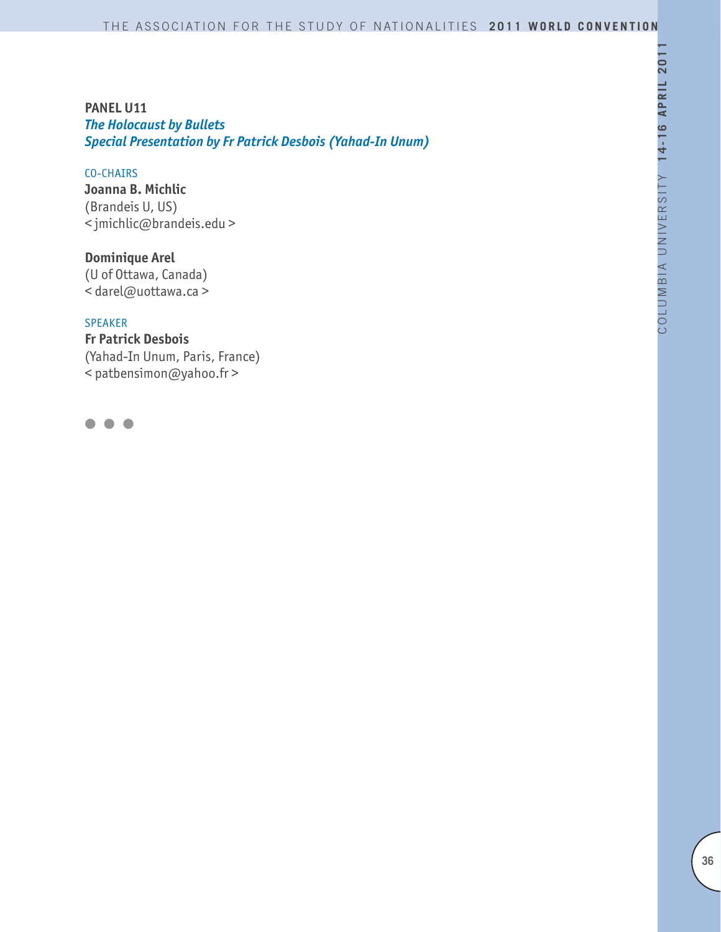# **PANEL U11** *The Holocaust by Bullets Special Presentation by Fr Patrick Desbois (Yahad-In Unum)*

### CO-CHAIRS

**Joanna B. Michlic** (Brandeis U, US) < jmichlic@brandeis.edu >

**Dominique Arel** (U of Ottawa, Canada) < darel@uottawa.ca >

### SPEAKER

**Fr Patrick Desbois** (Yahad-In Unum, Paris, France) < patbensimon@yahoo.fr >

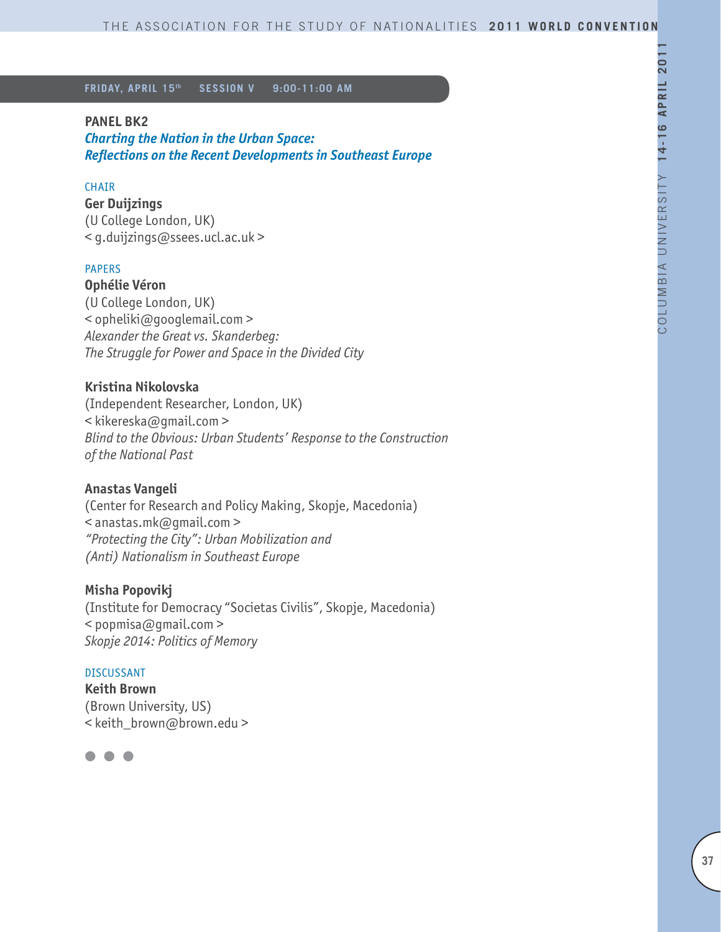### **PANEL BK2**

*Charting the Nation in the Urban Space: Reflections on the Recent Developments in Southeast Europe* 

### CHAIR

**Ger Duijzings** (U College London, UK) < g.duijzings@ssees.ucl.ac.uk >

#### PAPERS

**Ophélie Véron** (U College London, UK) < opheliki@googlemail.com > *Alexander the Great vs. Skanderbeg: The Struggle for Power and Space in the Divided City*

## **Kristina Nikolovska**

(Independent Researcher, London, UK) < kikereska@gmail.com > *Blind to the Obvious: Urban Students' Response to the Construction of the National Past*

### **Anastas Vangeli**

(Center for Research and Policy Making, Skopje, Macedonia) < anastas.mk@gmail.com > *"Protecting the City": Urban Mobilization and (Anti) Nationalism in Southeast Europe*

### **Misha Popovikj**

(Institute for Democracy "Societas Civilis", Skopje, Macedonia) < popmisa@gmail.com > *Skopje 2014: Politics of Memory*

#### DISCUSSANT

**Keith Brown** (Brown University, US) < keith\_brown@brown.edu >

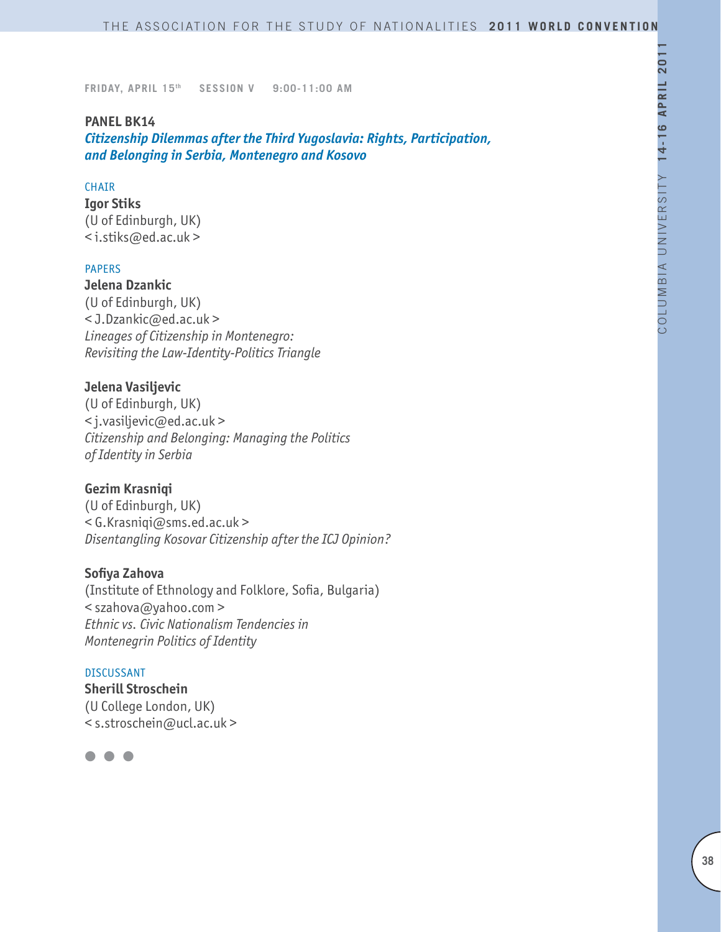### **PANEL BK14**

*Citizenship Dilemmas after the Third Yugoslavia: Rights, Participation, and Belonging in Serbia, Montenegro and Kosovo* 

### **CHAIR**

**Igor Stiks** (U of Edinburgh, UK) < i.stiks@ed.ac.uk >

#### PAPERS

**Jelena Dzankic**  (U of Edinburgh, UK) < J.Dzankic@ed.ac.uk > *Lineages of Citizenship in Montenegro: Revisiting the Law-Identity-Politics Triangle*

### **Jelena Vasiljevic**

(U of Edinburgh, UK) < j.vasiljevic@ed.ac.uk > *Citizenship and Belonging: Managing the Politics of Identity in Serbia*

### **Gezim Krasniqi**

(U of Edinburgh, UK) < G.Krasniqi@sms.ed.ac.uk > *Disentangling Kosovar Citizenship after the ICJ Opinion?*

#### **Sofiya Zahova**

(Institute of Ethnology and Folklore, Sofia, Bulgaria) < szahova@yahoo.com > *Ethnic vs. Civic Nationalism Tendencies in Montenegrin Politics of Identity*

#### DISCUSSANT

**Sherill Stroschein**  (U College London, UK) < s.stroschein@ucl.ac.uk >

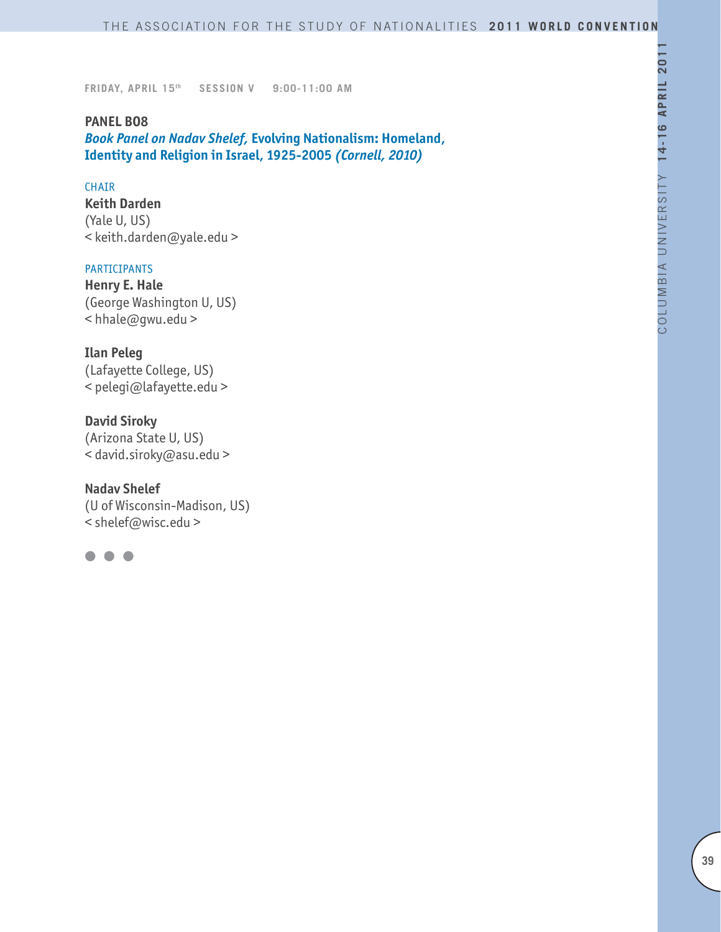**PANEL BO8** *Book Panel on Nadav Shelef,* **Evolving Nationalism: Homeland, Identity and Religion in Israel, 1925-2005** *(Cornell, 2010)*

#### **CHAIR**

**Keith Darden** (Yale U, US) < keith.darden@yale.edu >

### PARTICIPANTS

**Henry E. Hale** (George Washington U, US) < hhale@gwu.edu >

# **Ilan Peleg**

(Lafayette College, US) < pelegi@lafayette.edu >

### **David Siroky**

(Arizona State U, US) < david.siroky@asu.edu >

### **Nadav Shelef**

(U of Wisconsin-Madison, US) < shelef@wisc.edu >

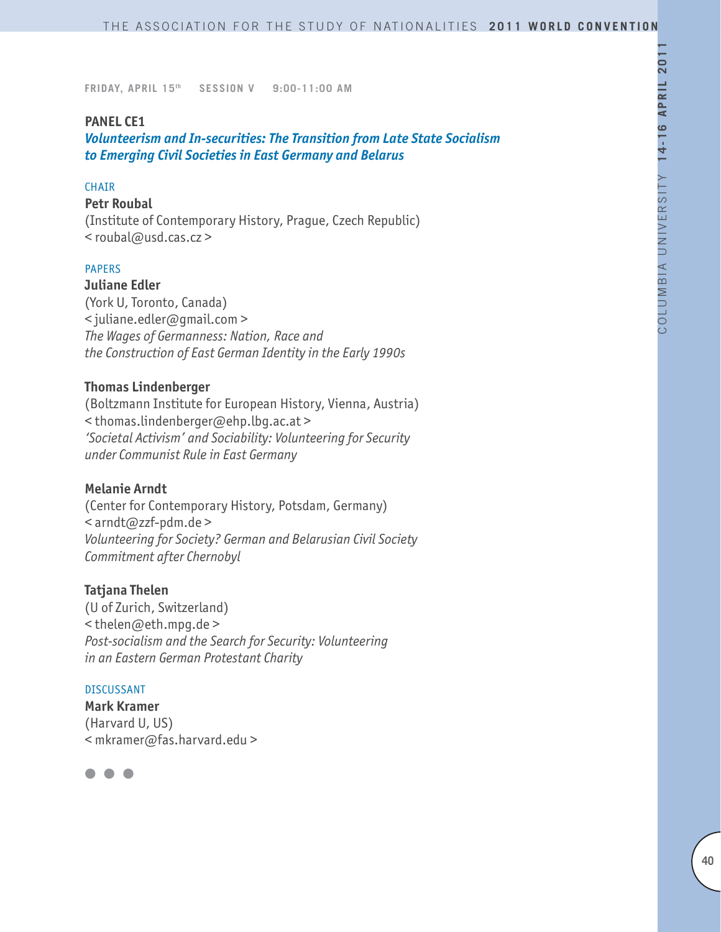### **PANEL CE1**

*Volunteerism and In-securities: The Transition from Late State Socialism to Emerging Civil Societies in East Germany and Belarus*

### **CHAIR**

#### **Petr Roubal**

(Institute of Contemporary History, Prague, Czech Republic) < roubal@usd.cas.cz >

### PAPERS

**Juliane Edler** (York U, Toronto, Canada) < juliane.edler@gmail.com > *The Wages of Germanness: Nation, Race and the Construction of East German Identity in the Early 1990s*

#### **Thomas Lindenberger**

(Boltzmann Institute for European History, Vienna, Austria) < thomas.lindenberger@ehp.lbg.ac.at > *'Societal Activism' and Sociability: Volunteering for Security under Communist Rule in East Germany*

#### **Melanie Arndt**

(Center for Contemporary History, Potsdam, Germany) < arndt@zzf-pdm.de > *Volunteering for Society? German and Belarusian Civil Society Commitment after Chernobyl*

#### **Tatjana Thelen**

(U of Zurich, Switzerland) < thelen@eth.mpg.de > *Post-socialism and the Search for Security: Volunteering in an Eastern German Protestant Charity*

#### DISCUSSANT

**Mark Kramer** (Harvard U, US) < mkramer@fas.harvard.edu >

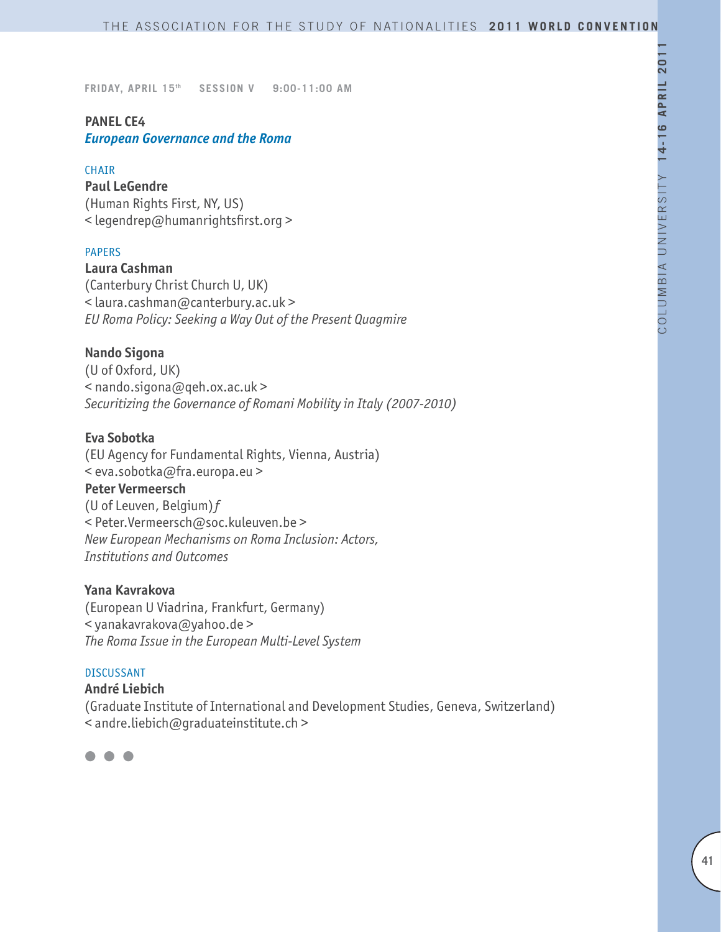# **PANEL CE4**

*European Governance and the Roma*

### CHAIR

**Paul LeGendre** (Human Rights First, NY, US) < legendrep@humanrightsfirst.org >

### PAPERS

**Laura Cashman**  (Canterbury Christ Church U, UK) < laura.cashman@canterbury.ac.uk > *EU Roma Policy: Seeking a Way Out of the Present Quagmire*

### **Nando Sigona**

(U of Oxford, UK) < nando.sigona@qeh.ox.ac.uk > *Securitizing the Governance of Romani Mobility in Italy (2007-2010)*

# **Eva Sobotka**

(EU Agency for Fundamental Rights, Vienna, Austria) < eva.sobotka@fra.europa.eu > **Peter Vermeersch**  (U of Leuven, Belgium) $f$ < Peter.Vermeersch@soc.kuleuven.be > *New European Mechanisms on Roma Inclusion: Actors, Institutions and Outcomes* 

### **Yana Kavrakova**

(European U Viadrina, Frankfurt, Germany) < yanakavrakova@yahoo.de > *The Roma Issue in the European Multi-Level System*

#### DISCUSSANT

### **André Liebich**

(Graduate Institute of International and Development Studies, Geneva, Switzerland) < andre.liebich@graduateinstitute.ch >

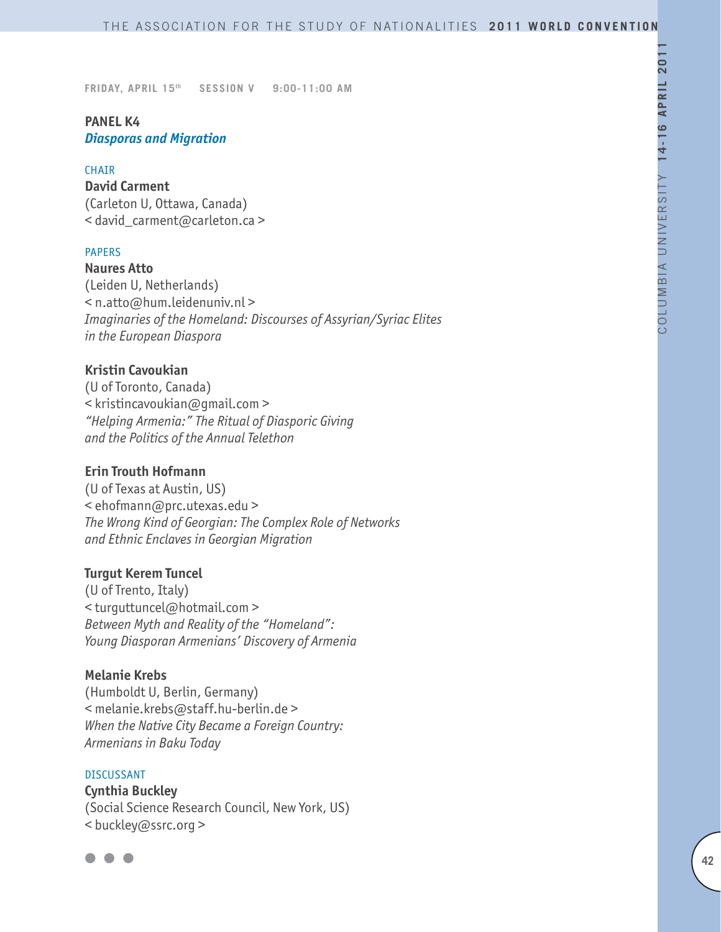# **PANEL K4** *Diasporas and Migration*

#### **CHAIR**

**David Carment** (Carleton U, Ottawa, Canada) < david\_carment@carleton.ca >

#### PAPERS

**Naures Atto** (Leiden U, Netherlands) < n.atto@hum.leidenuniv.nl > *Imaginaries of the Homeland: Discourses of Assyrian/Syriac Elites in the European Diaspora*

### **Kristin Cavoukian**

(U of Toronto, Canada) < kristincavoukian@gmail.com > *"Helping Armenia:" The Ritual of Diasporic Giving and the Politics of the Annual Telethon*

### **Erin Trouth Hofmann**

(U of Texas at Austin, US) < ehofmann@prc.utexas.edu > *The Wrong Kind of Georgian: The Complex Role of Networks and Ethnic Enclaves in Georgian Migration*

#### **Turgut Kerem Tuncel**

(U of Trento, Italy) < turguttuncel@hotmail.com > *Between Myth and Reality of the "Homeland": Young Diasporan Armenians' Discovery of Armenia*

#### **Melanie Krebs**

(Humboldt U, Berlin, Germany) < melanie.krebs@staff.hu-berlin.de > *When the Native City Became a Foreign Country: Armenians in Baku Today*

#### **DISCUSSANT**

**Cynthia Buckley** (Social Science Research Council, New York, US) < buckley@ssrc.org >

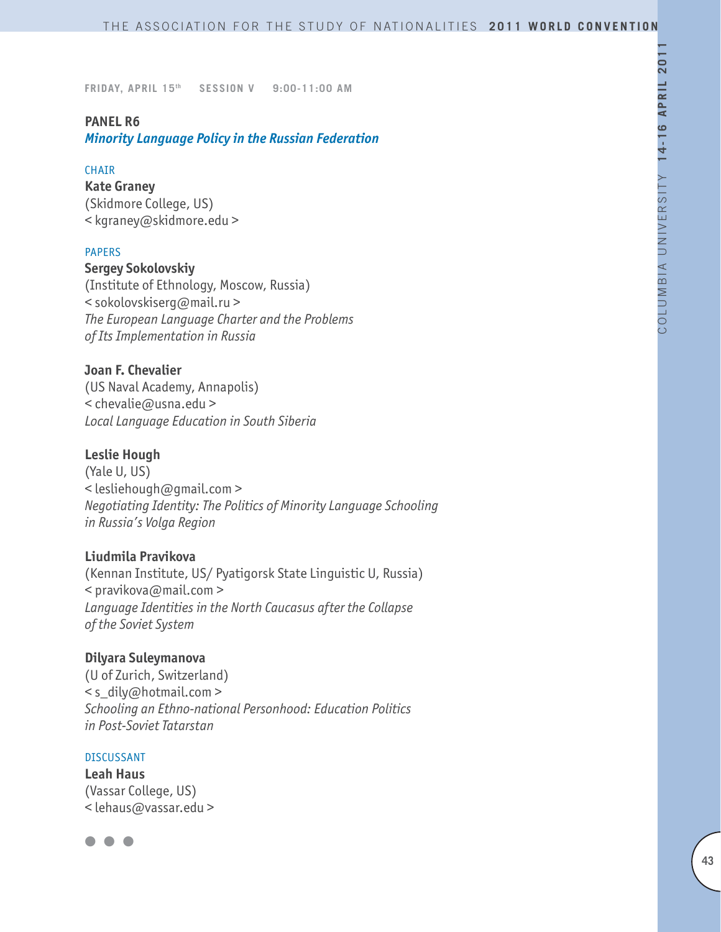### **PANEL R6**

*Minority Language Policy in the Russian Federation*

### **CHAIR**

**Kate Graney** (Skidmore College, US) < kgraney@skidmore.edu >

#### PAPERS

### **Sergey Sokolovskiy**

(Institute of Ethnology, Moscow, Russia) < sokolovskiserg@mail.ru > *The European Language Charter and the Problems of Its Implementation in Russia*

### **Joan F. Chevalier**

(US Naval Academy, Annapolis) < chevalie@usna.edu > *Local Language Education in South Siberia*

# **Leslie Hough**

(Yale U, US) < lesliehough@gmail.com > *Negotiating Identity: The Politics of Minority Language Schooling in Russia's Volga Region*

# **Liudmila Pravikova**

(Kennan Institute, US/ Pyatigorsk State Linguistic U, Russia)  $\leq$  pravikova@mail.com > *Language Identities in the North Caucasus after the Collapse of the Soviet System*

### **Dilyara Suleymanova**

(U of Zurich, Switzerland) < s\_dily@hotmail.com > *Schooling an Ethno-national Personhood: Education Politics in Post-Soviet Tatarstan*

#### DISCUSSANT

**Leah Haus** (Vassar College, US) < lehaus@vassar.edu >

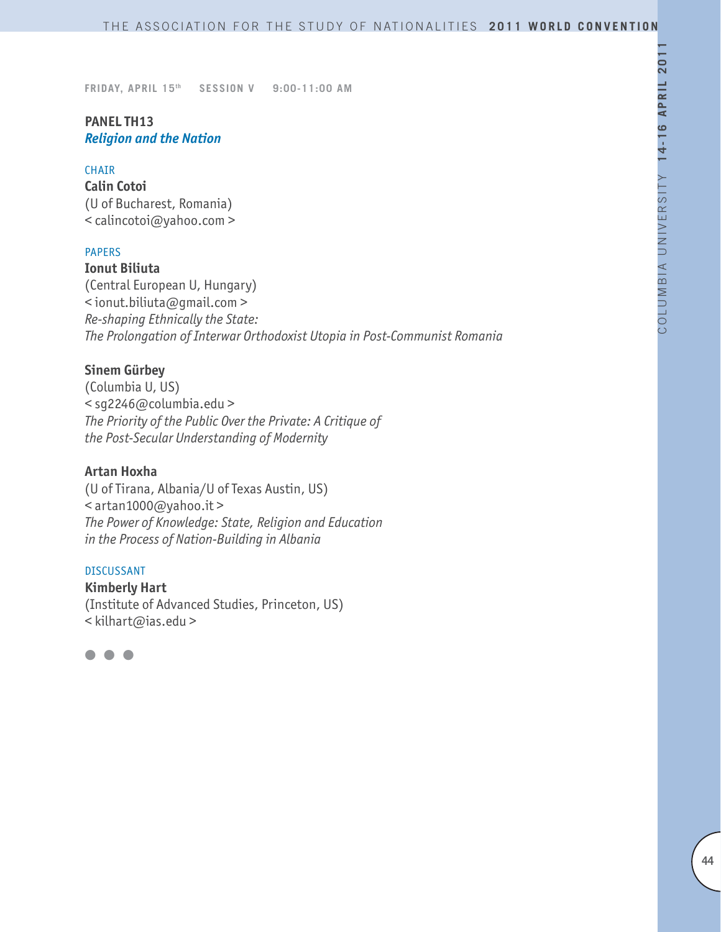# **PANEL TH13** *Religion and the Nation*

#### CHAIR

**Calin Cotoi** (U of Bucharest, Romania) < calincotoi@yahoo.com >

### PAPERS

**Ionut Biliuta**

(Central European U, Hungary) < ionut.biliuta@gmail.com > *Re-shaping Ethnically the State: The Prolongation of Interwar Orthodoxist Utopia in Post-Communist Romania*

### **Sinem Gürbey**

(Columbia U, US) < sg2246@columbia.edu > *The Priority of the Public Over the Private: A Critique of the Post-Secular Understanding of Modernity*

#### **Artan Hoxha**

(U of Tirana, Albania/U of Texas Austin, US) < artan1000@yahoo.it > *The Power of Knowledge: State, Religion and Education in the Process of Nation-Building in Albania*

#### DISCUSSANT

**Kimberly Hart** (Institute of Advanced Studies, Princeton, US) < kilhart@ias.edu >

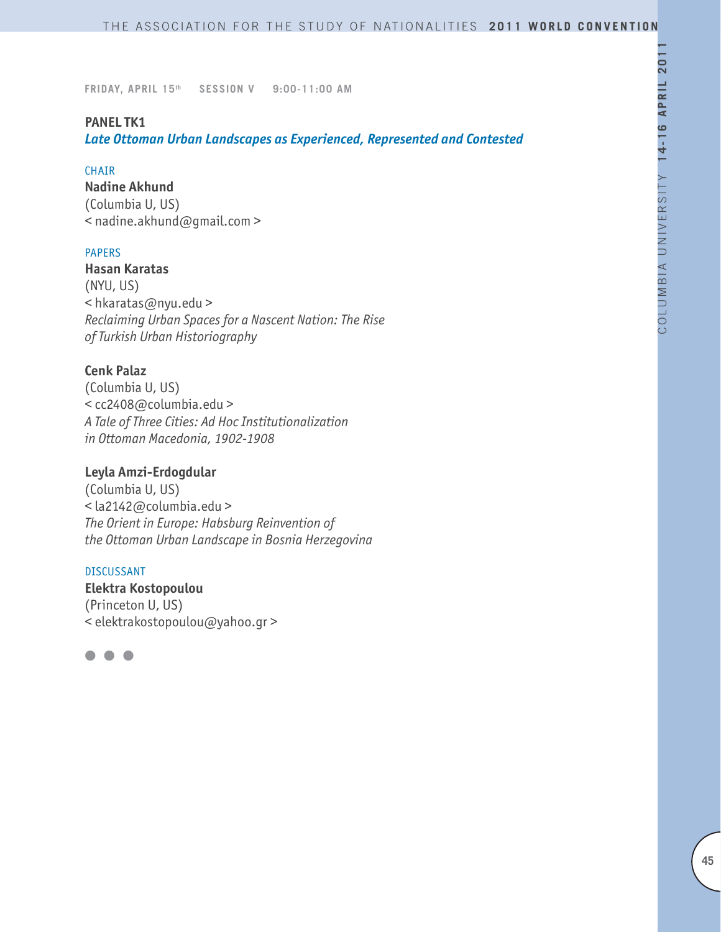### **PANEL TK1**

*Late Ottoman Urban Landscapes as Experienced, Represented and Contested* 

#### CHAIR

**Nadine Akhund**

(Columbia U, US) < nadine.akhund@gmail.com >

#### PAPERS

**Hasan Karatas** (NYU, US) < hkaratas@nyu.edu > *Reclaiming Urban Spaces for a Nascent Nation: The Rise of Turkish Urban Historiography*

### **Cenk Palaz**

(Columbia U, US) < cc2408@columbia.edu > *A Tale of Three Cities: Ad Hoc Institutionalization in Ottoman Macedonia, 1902-1908*

# **Leyla Amzi-Erdogdular**

(Columbia U, US) < la2142@columbia.edu > *The Orient in Europe: Habsburg Reinvention of the Ottoman Urban Landscape in Bosnia Herzegovina*

#### DISCUSSANT

**Elektra Kostopoulou** (Princeton U, US) < elektrakostopoulou@yahoo.gr >

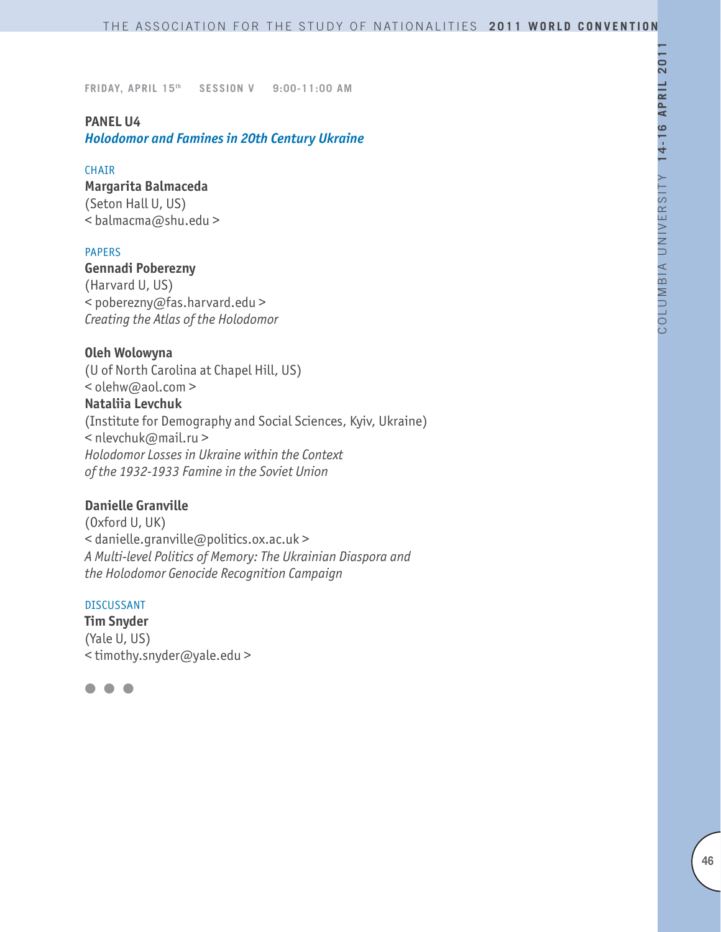### **PANEL U4**

*Holodomor and Famines in 20th Century Ukraine*

#### **CHAIR**

# **Margarita Balmaceda**

(Seton Hall U, US) < balmacma@shu.edu >

### PAPERS

# **Gennadi Poberezny**

(Harvard U, US) < poberezny@fas.harvard.edu > *Creating the Atlas of the Holodomor*

### **Oleh Wolowyna**

(U of North Carolina at Chapel Hill, US) < olehw@aol.com > **Nataliia Levchuk** (Institute for Demography and Social Sciences, Kyiv, Ukraine) < nlevchuk@mail.ru > *Holodomor Losses in Ukraine within the Context of the 1932-1933 Famine in the Soviet Union*

# **Danielle Granville**

(Oxford U, UK) < danielle.granville@politics.ox.ac.uk > *A Multi-level Politics of Memory: The Ukrainian Diaspora and the Holodomor Genocide Recognition Campaign* 

### DISCUSSANT

**Tim Snyder** (Yale U, US) < timothy.snyder@yale.edu >

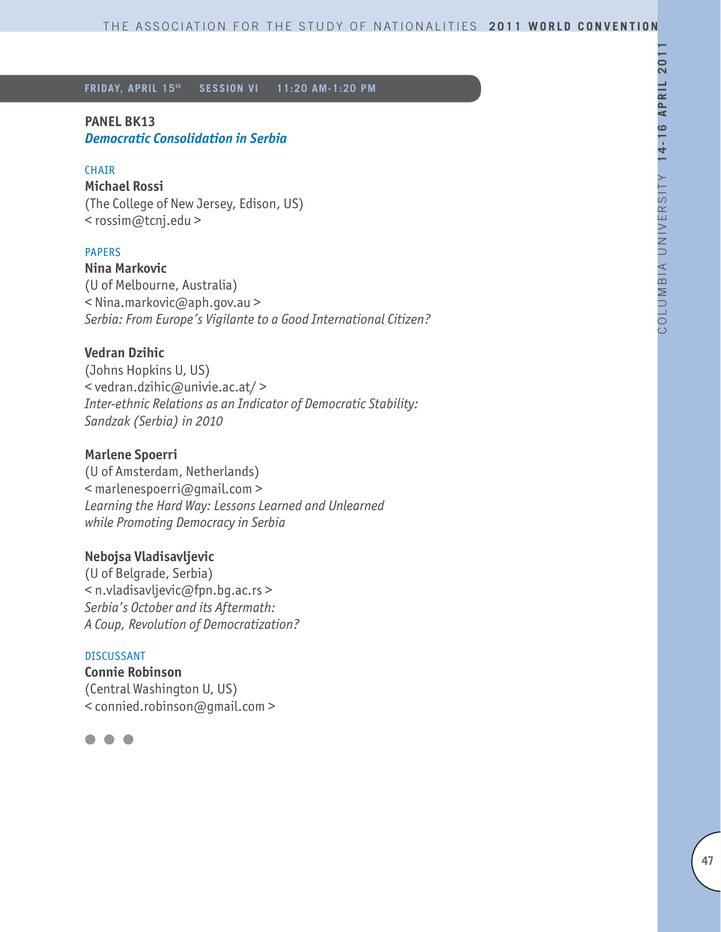### **PANEL BK13**

*Democratic Consolidation in Serbia* 

### CHAIR

**Michael Rossi** (The College of New Jersey, Edison, US) < rossim@tcnj.edu >

### PAPERS

**Nina Markovic** (U of Melbourne, Australia) < Nina.markovic@aph.gov.au > *Serbia: From Europe's Vigilante to a Good International Citizen?*

### **Vedran Dzihic**

(Johns Hopkins U, US) < vedran.dzihic@univie.ac.at/ > *Inter-ethnic Relations as an Indicator of Democratic Stability: Sandzak (Serbia) in 2010*

### **Marlene Spoerri**

(U of Amsterdam, Netherlands) < marlenespoerri@gmail.com > *Learning the Hard Way: Lessons Learned and Unlearned while Promoting Democracy in Serbia*

### **Nebojsa Vladisavljevic**

(U of Belgrade, Serbia) < n.vladisavljevic@fpn.bg.ac.rs > *Serbia's October and its Aftermath: A Coup, Revolution of Democratization?*

#### DISCUSSANT

**Connie Robinson** (Central Washington U, US) < connied.robinson@gmail.com >

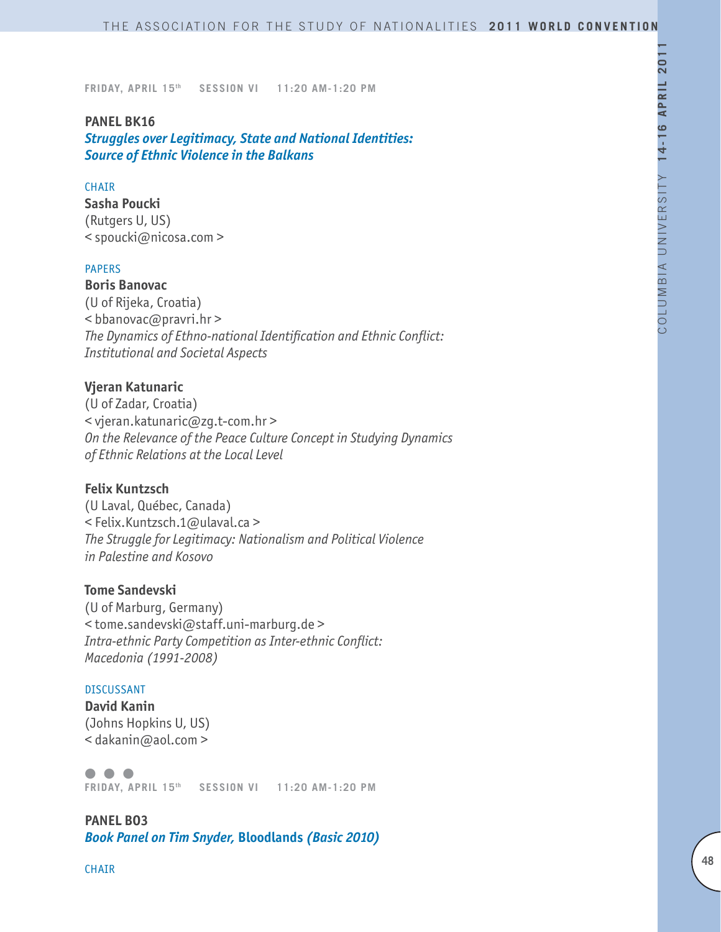### **PANEL BK16**

*Struggles over Legitimacy, State and National Identities: Source of Ethnic Violence in the Balkans*

### **CHAIR**

**Sasha Poucki** (Rutgers U, US) < spoucki@nicosa.com >

#### PAPERS

**Boris Banovac** (U of Rijeka, Croatia)  $<$  bbanovac@pravri.hr > *The Dynamics of Ethno-national Identification and Ethnic Conflict: Institutional and Societal Aspects* 

### **Vjeran Katunaric**

(U of Zadar, Croatia) < vjeran.katunaric@zg.t-com.hr > *On the Relevance of the Peace Culture Concept in Studying Dynamics of Ethnic Relations at the Local Level* 

#### **Felix Kuntzsch**

(U Laval, Québec, Canada) < Felix.Kuntzsch.1@ulaval.ca > *The Struggle for Legitimacy: Nationalism and Political Violence in Palestine and Kosovo*

# **Tome Sandevski**

(U of Marburg, Germany) < tome.sandevski@staff.uni-marburg.de > *Intra-ethnic Party Competition as Inter-ethnic Conflict: Macedonia (1991-2008)*

#### DISCUSSANT

**David Kanin** (Johns Hopkins U, US) < dakanin@aol.com >

 $\bullet$   $\bullet$   $\bullet$ **FRIDAY, APRIL 15th SESSION VI 11:20 AM-1:20 PM**

**PANEL BO3** *Book Panel on Tim Snyder,* **Bloodlands** *(Basic 2010)*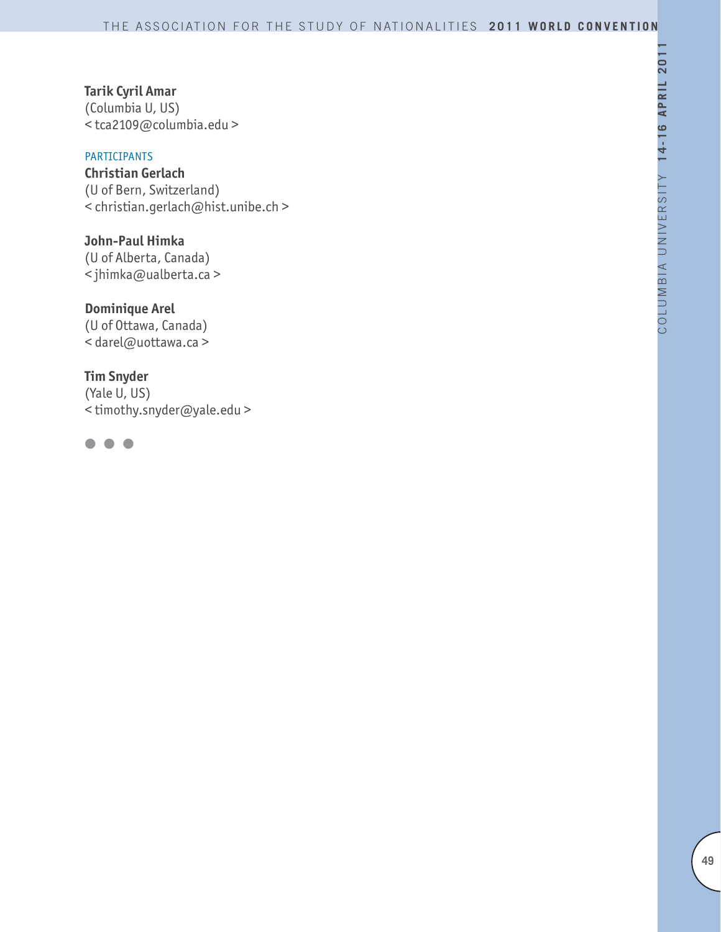# **Tarik Cyril Amar**

(Columbia U, US) < tca2109@columbia.edu >

# PARTICIPANTS

**Christian Gerlach** (U of Bern, Switzerland) < christian.gerlach@hist.unibe.ch >

**John-Paul Himka** (U of Alberta, Canada) < jhimka@ualberta.ca >

**Dominique Arel** (U of Ottawa, Canada) < darel@uottawa.ca >

**Tim Snyder** (Yale U, US) < timothy.snyder@yale.edu >

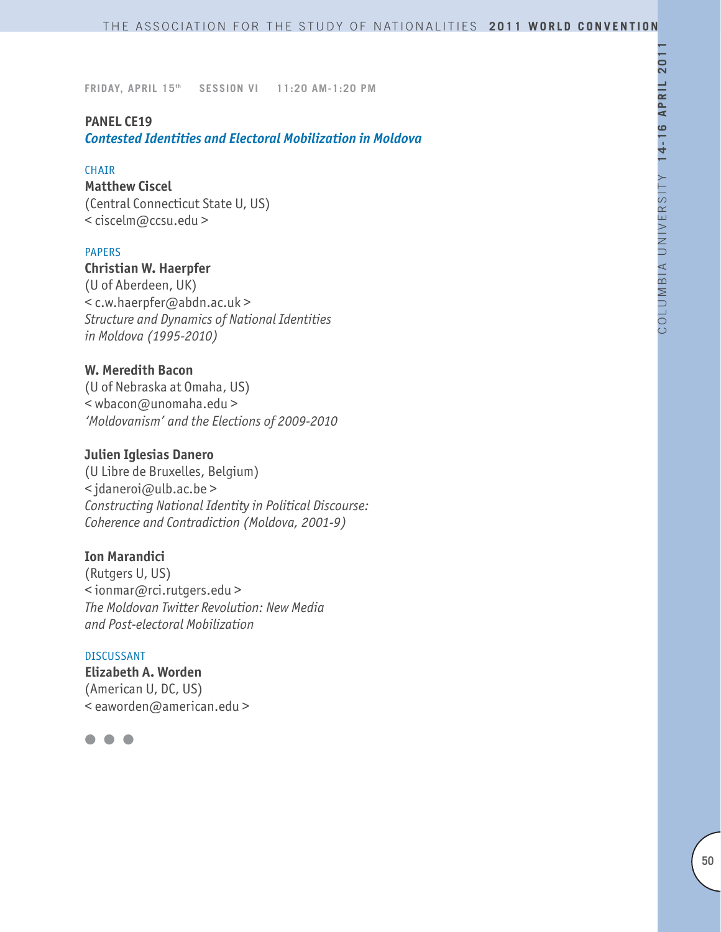### **PANEL CE19**

*Contested Identities and Electoral Mobilization in Moldova*

#### **CHAIR**

**Matthew Ciscel** (Central Connecticut State U, US) < ciscelm@ccsu.edu >

### PAPERS

### **Christian W. Haerpfer**

(U of Aberdeen, UK) < c.w.haerpfer@abdn.ac.uk > *Structure and Dynamics of National Identities in Moldova (1995-2010)*

### **W. Meredith Bacon**

(U of Nebraska at Omaha, US) < wbacon@unomaha.edu > *'Moldovanism' and the Elections of 2009-2010*

#### **Julien Iglesias Danero**

(U Libre de Bruxelles, Belgium) < jdaneroi@ulb.ac.be > *Constructing National Identity in Political Discourse: Coherence and Contradiction (Moldova, 2001-9)*

### **Ion Marandici**

(Rutgers U, US) < ionmar@rci.rutgers.edu > *The Moldovan Twitter Revolution: New Media and Post-electoral Mobilization* 

#### DISCUSSANT

**Elizabeth A. Worden** (American U, DC, US) < eaworden@american.edu >

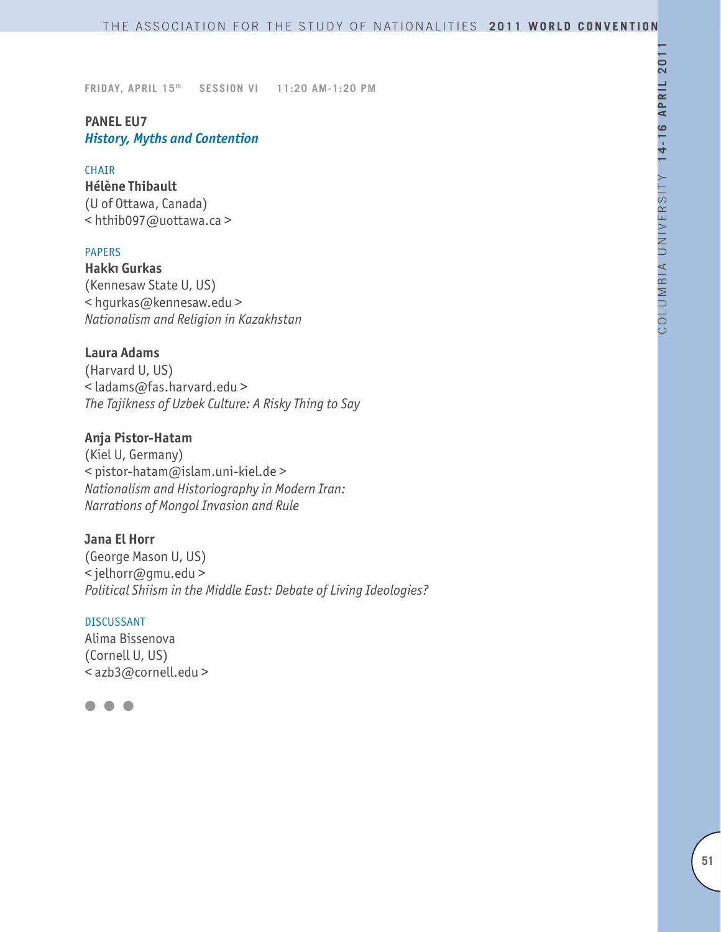# **PANEL EU7** *History, Myths and Contention*

#### CHAIR

**Hélène Thibault** (U of Ottawa, Canada) < hthib097@uottawa.ca >

### PAPERS

**Hakkı Gurkas** (Kennesaw State U, US) < hgurkas@kennesaw.edu > *Nationalism and Religion in Kazakhstan*

### **Laura Adams**

(Harvard U, US) < ladams@fas.harvard.edu > *The Tajikness of Uzbek Culture: A Risky Thing to Say*

# **Anja Pistor-Hatam**

(Kiel U, Germany) < pistor-hatam@islam.uni-kiel.de > *Nationalism and Historiography in Modern Iran: Narrations of Mongol Invasion and Rule*

### **Jana El Horr**

(George Mason U, US) < jelhorr@gmu.edu > *Political Shiism in the Middle East: Debate of Living Ideologies?*

#### DISCUSSANT

Alima Bissenova (Cornell U, US) < azb3@cornell.edu >

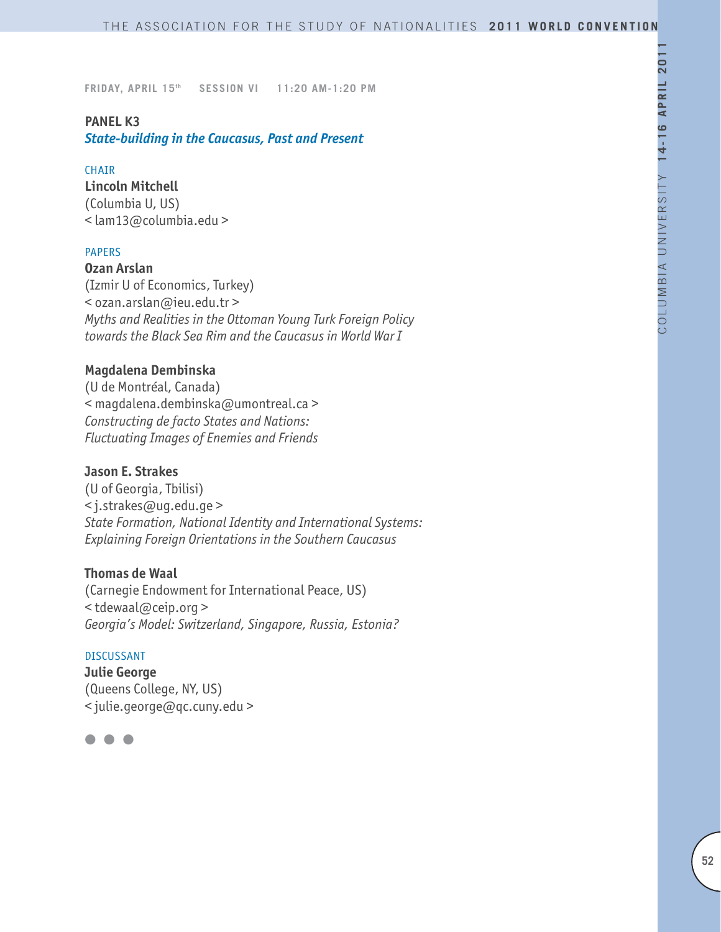### **PANEL K3**

*State-building in the Caucasus, Past and Present*

### **CHAIR**

**Lincoln Mitchell** (Columbia U, US) < lam13@columbia.edu >

### PAPERS

**Ozan Arslan** (Izmir U of Economics, Turkey) < ozan.arslan@ieu.edu.tr > *Myths and Realities in the Ottoman Young Turk Foreign Policy* 

*towards the Black Sea Rim and the Caucasus in World War I*

### **Magdalena Dembinska**

(U de Montréal, Canada) < magdalena.dembinska@umontreal.ca > *Constructing de facto States and Nations: Fluctuating Images of Enemies and Friends*

### **Jason E. Strakes**

(U of Georgia, Tbilisi) < j.strakes@ug.edu.ge > *State Formation, National Identity and International Systems: Explaining Foreign Orientations in the Southern Caucasus*

### **Thomas de Waal**

(Carnegie Endowment for International Peace, US) < tdewaal@ceip.org > *Georgia's Model: Switzerland, Singapore, Russia, Estonia?*

#### DISCUSSANT

**Julie George** (Queens College, NY, US) < julie.george@qc.cuny.edu >

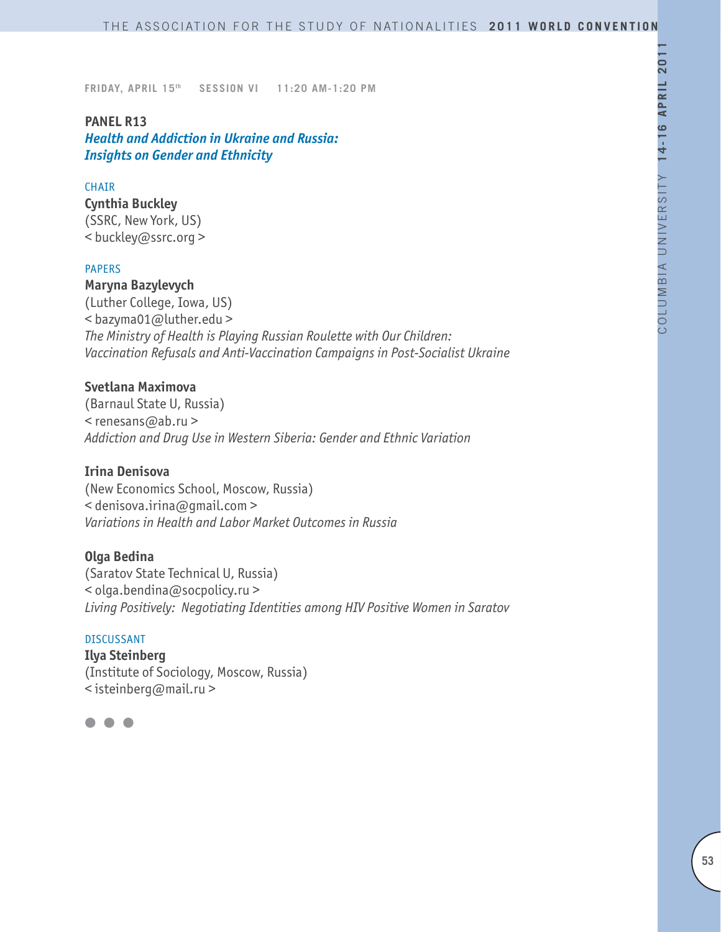### **PANEL R13**

*Health and Addiction in Ukraine and Russia: Insights on Gender and Ethnicity*

### **CHAIR**

**Cynthia Buckley** (SSRC, New York, US) < buckley@ssrc.org >

#### PAPERS

**Maryna Bazylevych** (Luther College, Iowa, US) < bazyma01@luther.edu > *The Ministry of Health is Playing Russian Roulette with Our Children: Vaccination Refusals and Anti-Vaccination Campaigns in Post-Socialist Ukraine*

## **Svetlana Maximova**

(Barnaul State U, Russia) < renesans@ab.ru > *Addiction and Drug Use in Western Siberia: Gender and Ethnic Variation* 

#### **Irina Denisova**

(New Economics School, Moscow, Russia) < denisova.irina@gmail.com > *Variations in Health and Labor Market Outcomes in Russia*

#### **Olga Bedina**

(Saratov State Technical U, Russia) < olga.bendina@socpolicy.ru > *Living Positively: Negotiating Identities among HIV Positive Women in Saratov* 

#### DISCUSSANT

**Ilya Steinberg** (Institute of Sociology, Moscow, Russia) < isteinberg@mail.ru >

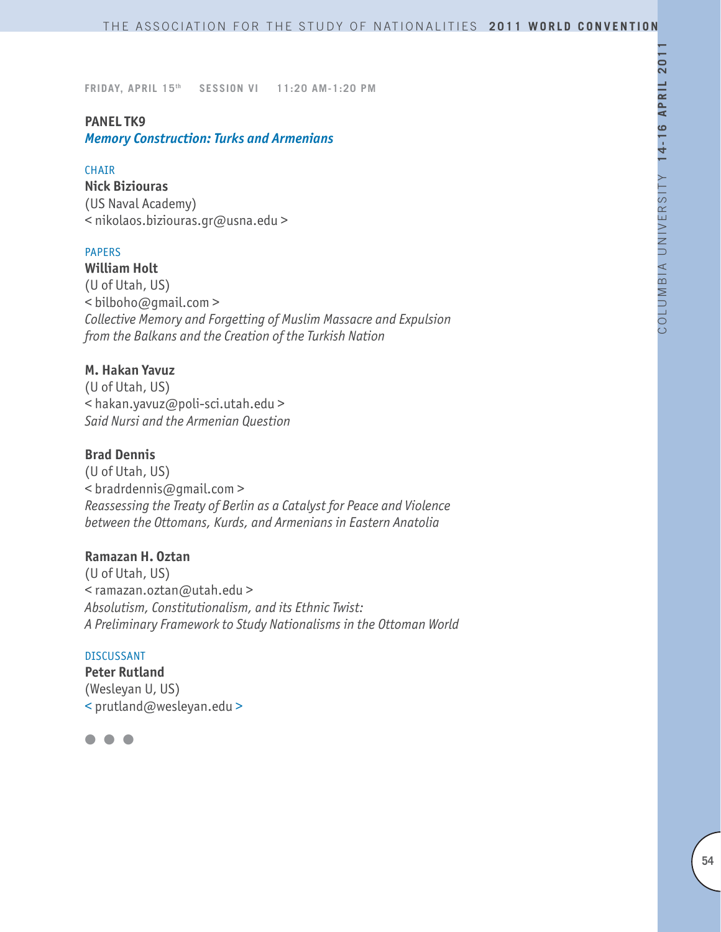### **PANEL TK9**

*Memory Construction: Turks and Armenians*

### CHAIR

**Nick Biziouras** (US Naval Academy) < nikolaos.biziouras.gr@usna.edu >

### PAPERS

**William Holt** (U of Utah, US) < bilboho@gmail.com > *Collective Memory and Forgetting of Muslim Massacre and Expulsion from the Balkans and the Creation of the Turkish Nation*

# **M. Hakan Yavuz**

(U of Utah, US) < hakan.yavuz@poli-sci.utah.edu > *Said Nursi and the Armenian Question*

# **Brad Dennis**

(U of Utah, US) < bradrdennis@gmail.com > *Reassessing the Treaty of Berlin as a Catalyst for Peace and Violence between the Ottomans, Kurds, and Armenians in Eastern Anatolia*

# **Ramazan H. Oztan**

(U of Utah, US) < ramazan.oztan@utah.edu > *Absolutism, Constitutionalism, and its Ethnic Twist: A Preliminary Framework to Study Nationalisms in the Ottoman World*

#### DISCUSSANT

**Peter Rutland** (Wesleyan U, US) < prutland@wesleyan.edu >

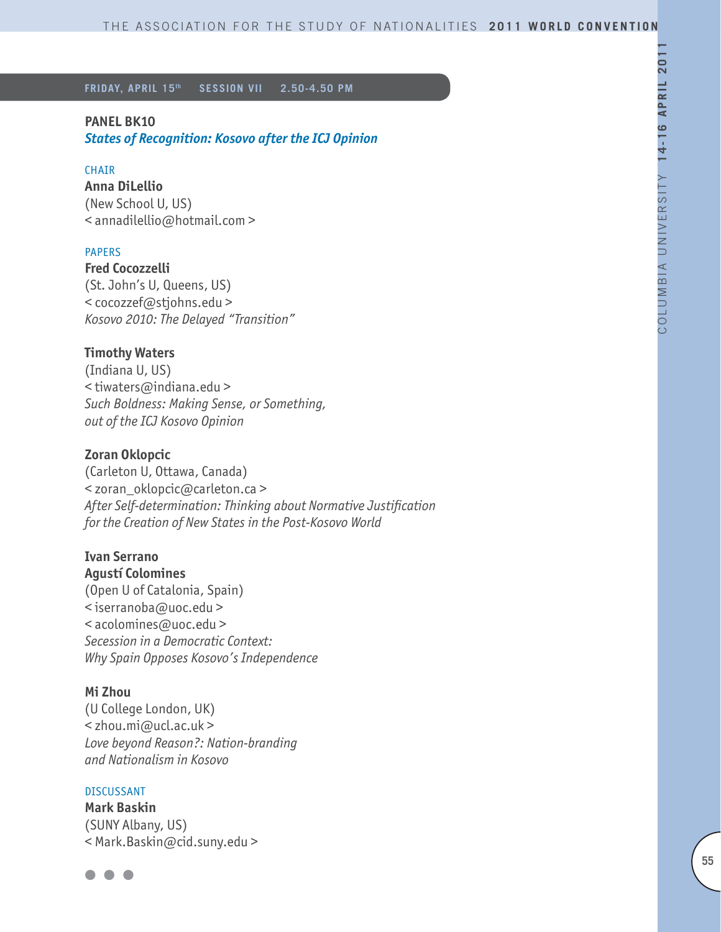### **PANEL BK10**

*States of Recognition: Kosovo after the ICJ Opinion*

#### **CHAIR**

**Anna DiLellio** (New School U, US) < annadilellio@hotmail.com >

### PAPERS

**Fred Cocozzelli** (St. John's U, Queens, US) < cocozzef@stjohns.edu > *Kosovo 2010: The Delayed "Transition"* 

#### **Timothy Waters**

(Indiana U, US) < tiwaters@indiana.edu > *Such Boldness: Making Sense, or Something, out of the ICJ Kosovo Opinion*

# **Zoran Oklopcic**

(Carleton U, Ottawa, Canada) < zoran\_oklopcic@carleton.ca > *After Self-determination: Thinking about Normative Justification for the Creation of New States in the Post-Kosovo World*

### **Ivan Serrano Agustí Colomines**

(Open U of Catalonia, Spain) < iserranoba@uoc.edu > < acolomines@uoc.edu > *Secession in a Democratic Context: Why Spain Opposes Kosovo's Independence*

#### **Mi Zhou**

(U College London, UK) < zhou.mi@ucl.ac.uk > *Love beyond Reason?: Nation-branding and Nationalism in Kosovo*

### DISCUSSANT

**Mark Baskin** (SUNY Albany, US) < Mark.Baskin@cid.suny.edu >

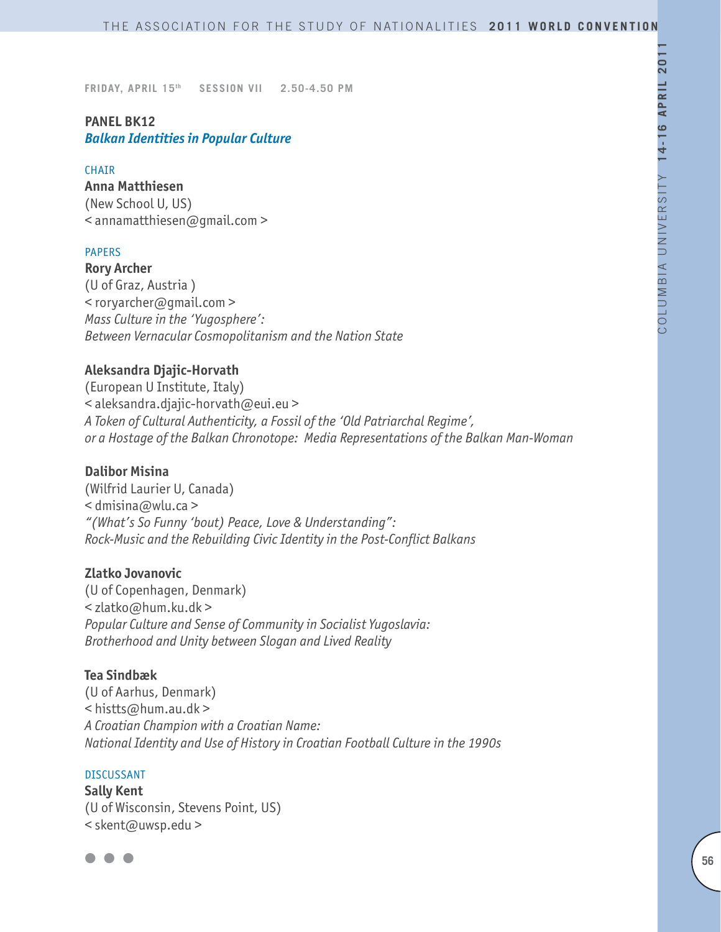# **PANEL BK12** *Balkan Identities in Popular Culture*

#### **CHAIR**

**Anna Matthiesen**  (New School U, US) < annamatthiesen@gmail.com >

#### PAPERS

**Rory Archer** (U of Graz, Austria ) < roryarcher@gmail.com > *Mass Culture in the 'Yugosphere': Between Vernacular Cosmopolitanism and the Nation State*

### **Aleksandra Djajic-Horvath**

(European U Institute, Italy) < aleksandra.djajic-horvath@eui.eu > *A Token of Cultural Authenticity, a Fossil of the 'Old Patriarchal Regime', or a Hostage of the Balkan Chronotope: Media Representations of the Balkan Man-Woman* 

#### **Dalibor Misina**

(Wilfrid Laurier U, Canada)  $\le$  dmisina@wlu.ca > *"(What's So Funny 'bout) Peace, Love & Understanding": Rock-Music and the Rebuilding Civic Identity in the Post-Conflict Balkans*

#### **Zlatko Jovanovic**

(U of Copenhagen, Denmark) < zlatko@hum.ku.dk > *Popular Culture and Sense of Community in Socialist Yugoslavia: Brotherhood and Unity between Slogan and Lived Reality*

#### **Tea Sindbæk**

(U of Aarhus, Denmark) < histts@hum.au.dk > *A Croatian Champion with a Croatian Name: National Identity and Use of History in Croatian Football Culture in the 1990s* 

#### **DISCUSSANT**

**Sally Kent** (U of Wisconsin, Stevens Point, US) < skent@uwsp.edu >

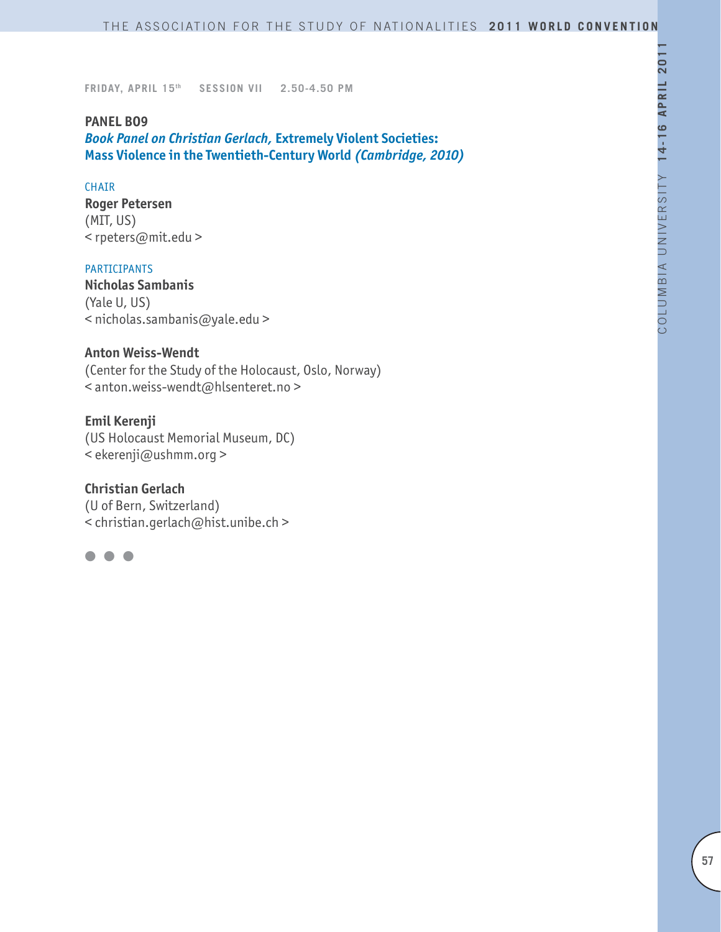### **PANEL BO9**

*Book Panel on Christian Gerlach,* **Extremely Violent Societies: Mass Violence in the Twentieth-Century World** *(Cambridge, 2010)*

### **CHAIR**

**Roger Petersen** (MIT, US) < rpeters@mit.edu >

### PARTICIPANTS

**Nicholas Sambanis** (Yale U, US) < nicholas.sambanis@yale.edu >

### **Anton Weiss-Wendt**

(Center for the Study of the Holocaust, Oslo, Norway) < anton.weiss-wendt@hlsenteret.no >

### **Emil Kerenji**

(US Holocaust Memorial Museum, DC) < ekerenji@ushmm.org >

### **Christian Gerlach**

(U of Bern, Switzerland) < christian.gerlach@hist.unibe.ch >

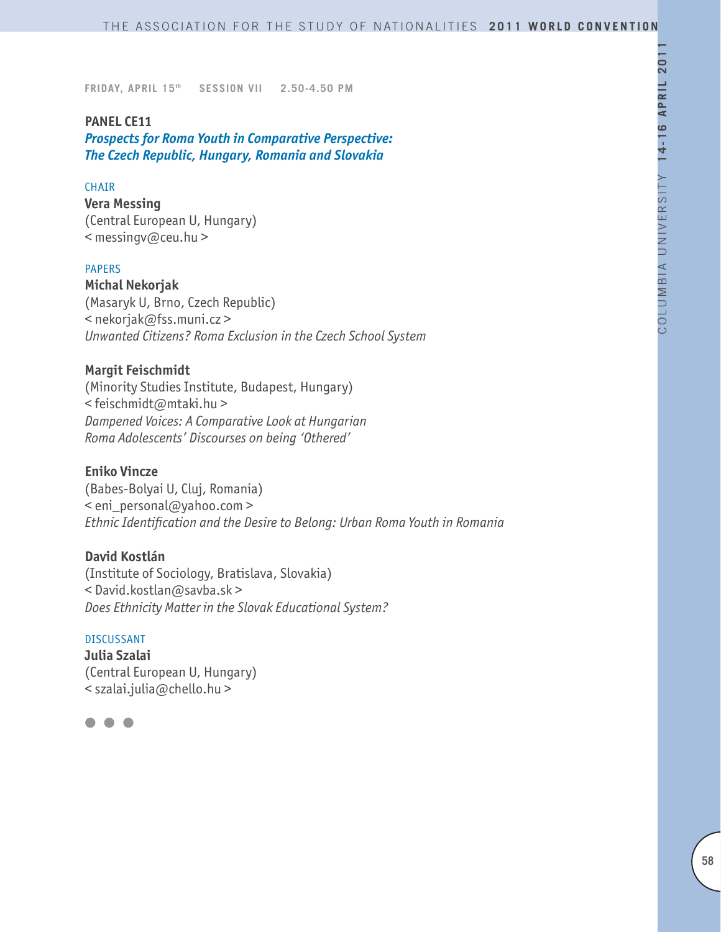### **PANEL CE11**

*Prospects for Roma Youth in Comparative Perspective: The Czech Republic, Hungary, Romania and Slovakia* 

### **CHAIR**

**Vera Messing** (Central European U, Hungary) < messingv@ceu.hu >

#### PAPERS

**Michal Nekorjak** (Masaryk U, Brno, Czech Republic) < nekorjak@fss.muni.cz > *Unwanted Citizens? Roma Exclusion in the Czech School System*

#### **Margit Feischmidt**

(Minority Studies Institute, Budapest, Hungary) < feischmidt@mtaki.hu > *Dampened Voices: A Comparative Look at Hungarian Roma Adolescents' Discourses on being 'Othered'*

#### **Eniko Vincze**

(Babes-Bolyai U, Cluj, Romania) < eni\_personal@yahoo.com > *Ethnic Identification and the Desire to Belong: Urban Roma Youth in Romania* 

### **David Kostlán**

(Institute of Sociology, Bratislava, Slovakia) < David.kostlan@savba.sk > *Does Ethnicity Matter in the Slovak Educational System?* 

#### DISCUSSANT

**Julia Szalai** (Central European U, Hungary) < szalai.julia@chello.hu >

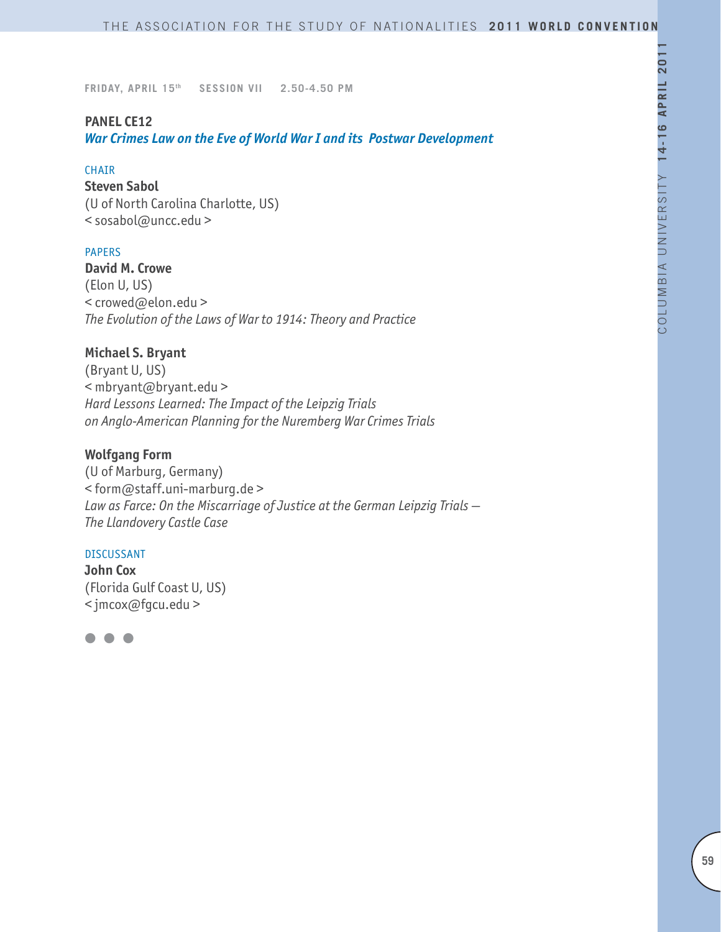### **PANEL CE12**

*War Crimes Law on the Eve of World War I and its Postwar Development*

#### CHAIR

**Steven Sabol** (U of North Carolina Charlotte, US) < sosabol@uncc.edu >

### PAPERS

**David M. Crowe** (Elon U, US) < crowed@elon.edu > *The Evolution of the Laws of War to 1914: Theory and Practice*

### **Michael S. Bryant**

(Bryant U, US) < mbryant@bryant.edu > *Hard Lessons Learned: The Impact of the Leipzig Trials on Anglo-American Planning for the Nuremberg War Crimes Trials*

# **Wolfgang Form**

(U of Marburg, Germany) < form@staff.uni-marburg.de > *Law as Farce: On the Miscarriage of Justice at the German Leipzig Trials — The Llandovery Castle Case*

#### DISCUSSANT

**John Cox** (Florida Gulf Coast U, US) < jmcox@fgcu.edu >

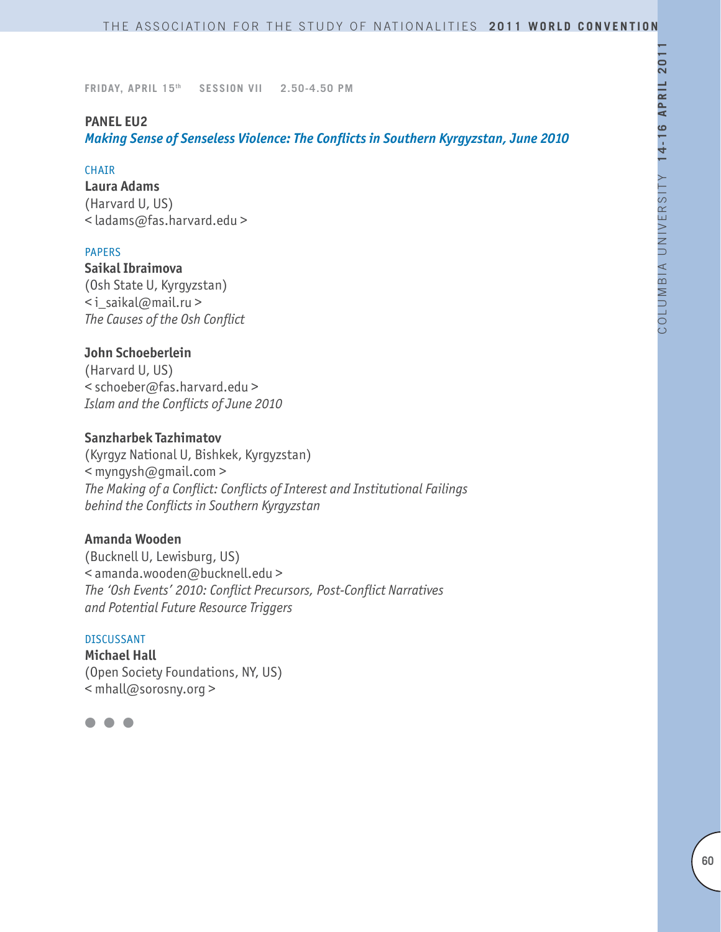# **PANEL EU2**

*Making Sense of Senseless Violence: The Conflicts in Southern Kyrgyzstan, June 2010*

### CHAIR

**Laura Adams** (Harvard U, US) < ladams@fas.harvard.edu >

### PAPERS

**Saikal Ibraimova**  (Osh State U, Kyrgyzstan) < i\_saikal@mail.ru > *The Causes of the Osh Conflict*

# **John Schoeberlein**

(Harvard U, US) < schoeber@fas.harvard.edu > *Islam and the Conflicts of June 2010*

### **Sanzharbek Tazhimatov**

(Kyrgyz National U, Bishkek, Kyrgyzstan) < myngysh@gmail.com > *The Making of a Conflict: Conflicts of Interest and Institutional Failings behind the Conflicts in Southern Kyrgyzstan*

## **Amanda Wooden**

(Bucknell U, Lewisburg, US) < amanda.wooden@bucknell.edu > *The 'Osh Events' 2010: Conflict Precursors, Post-Conflict Narratives and Potential Future Resource Triggers*

#### DISCUSSANT

**Michael Hall** (Open Society Foundations, NY, US) < mhall@sorosny.org >

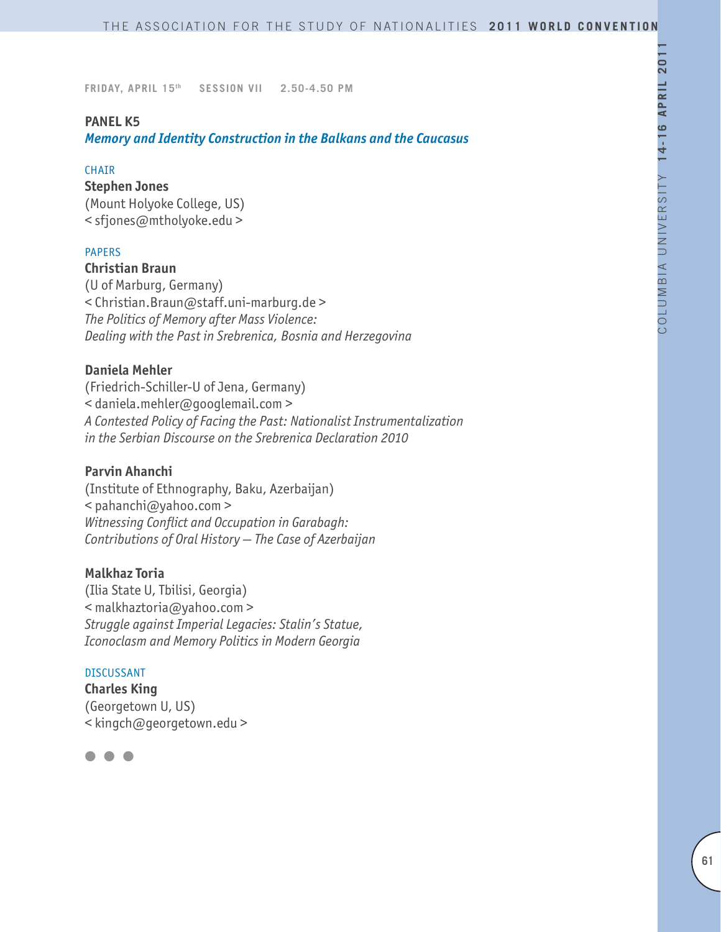### **PANEL K5**

*Memory and Identity Construction in the Balkans and the Caucasus*

#### **CHAIR**

#### **Stephen Jones**

(Mount Holyoke College, US) < sfjones@mtholyoke.edu >

### PAPERS

# **Christian Braun**

(U of Marburg, Germany) < Christian.Braun@staff.uni-marburg.de > *The Politics of Memory after Mass Violence: Dealing with the Past in Srebrenica, Bosnia and Herzegovina*

### **Daniela Mehler**

(Friedrich-Schiller-U of Jena, Germany) < daniela.mehler@googlemail.com > *A Contested Policy of Facing the Past: Nationalist Instrumentalization in the Serbian Discourse on the Srebrenica Declaration 2010*

### **Parvin Ahanchi**

(Institute of Ethnography, Baku, Azerbaijan) < pahanchi@yahoo.com > *Witnessing Conflict and Occupation in Garabagh: Contributions of Oral History — The Case of Azerbaijan*

#### **Malkhaz Toria**

(Ilia State U, Tbilisi, Georgia) < malkhaztoria@yahoo.com > *Struggle against Imperial Legacies: Stalin's Statue, Iconoclasm and Memory Politics in Modern Georgia*

#### DISCUSSANT

**Charles King** (Georgetown U, US) < kingch@georgetown.edu >

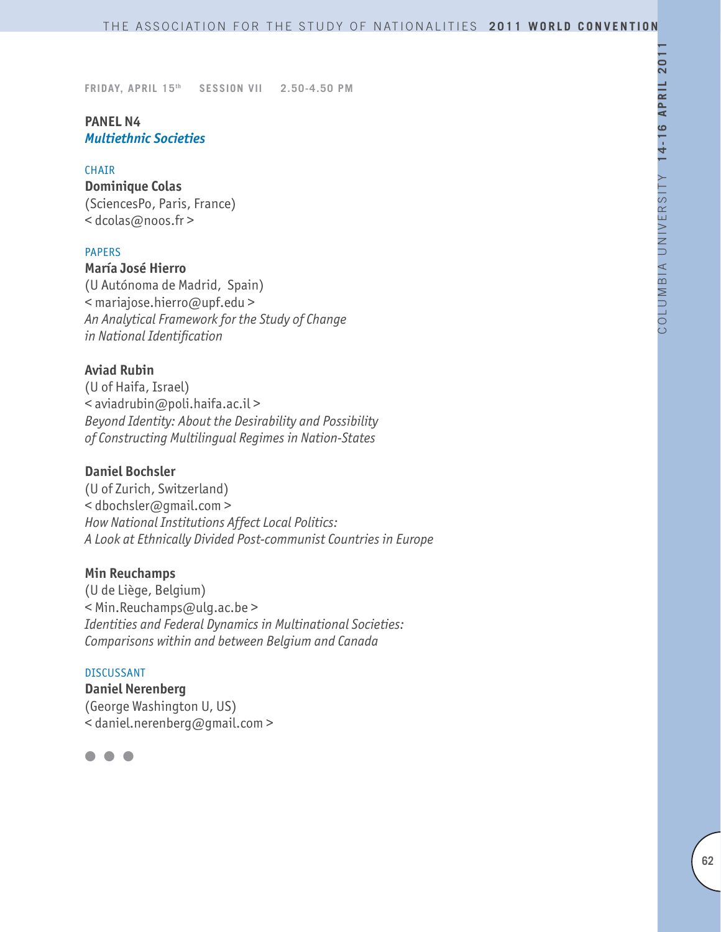# **PANEL N4** *Multiethnic Societies*

#### CHAIR

**Dominique Colas** (SciencesPo, Paris, France) < dcolas@noos.fr >

#### PAPERS

**María José Hierro** (U Autónoma de Madrid, Spain) < mariajose.hierro@upf.edu > *An Analytical Framework for the Study of Change in National Identification*

### **Aviad Rubin**

(U of Haifa, Israel) < aviadrubin@poli.haifa.ac.il > *Beyond Identity: About the Desirability and Possibility of Constructing Multilingual Regimes in Nation-States*

### **Daniel Bochsler**

(U of Zurich, Switzerland) < dbochsler@gmail.com > *How National Institutions Affect Local Politics: A Look at Ethnically Divided Post-communist Countries in Europe*

#### **Min Reuchamps**

(U de Liège, Belgium) < Min.Reuchamps@ulg.ac.be > *Identities and Federal Dynamics in Multinational Societies: Comparisons within and between Belgium and Canada*

#### DISCUSSANT

**Daniel Nerenberg** (George Washington U, US) < daniel.nerenberg@gmail.com >

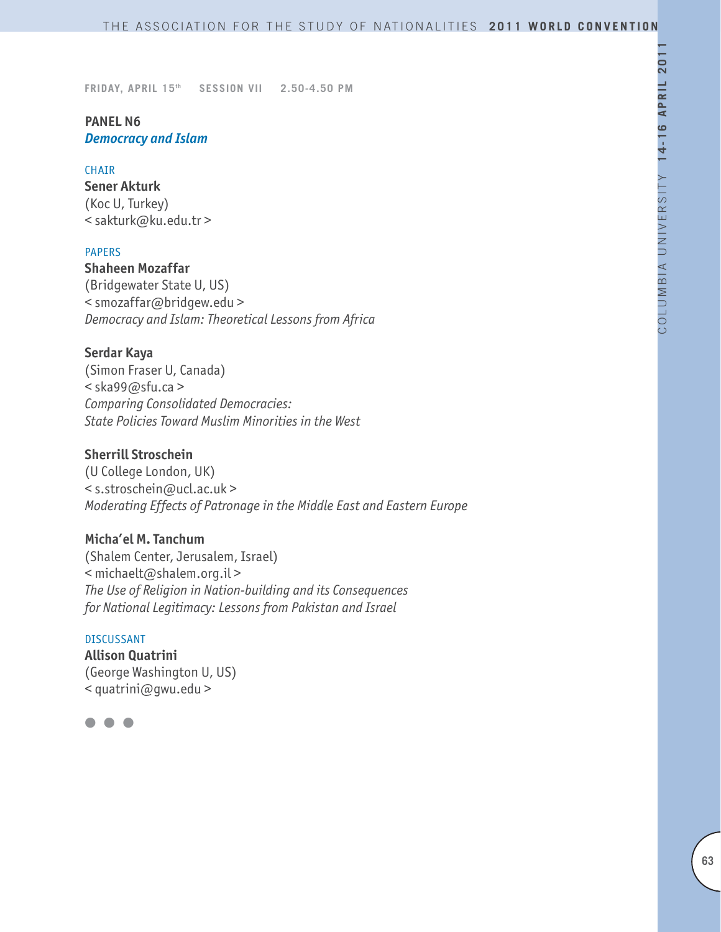# **PANEL N6** *Democracy and Islam*

#### CHAIR

**Sener Akturk**  (Koc U, Turkey) < sakturk@ku.edu.tr >

#### PAPERS

**Shaheen Mozaffar** (Bridgewater State U, US) < smozaffar@bridgew.edu > *Democracy and Islam: Theoretical Lessons from Africa*

#### **Serdar Kaya**

(Simon Fraser U, Canada) < ska99@sfu.ca > *Comparing Consolidated Democracies: State Policies Toward Muslim Minorities in the West*

### **Sherrill Stroschein**

(U College London, UK) < s.stroschein@ucl.ac.uk > *Moderating Effects of Patronage in the Middle East and Eastern Europe*

## **Micha'el M. Tanchum**

(Shalem Center, Jerusalem, Israel) < michaelt@shalem.org.il > *The Use of Religion in Nation-building and its Consequences for National Legitimacy: Lessons from Pakistan and Israel*

#### DISCUSSANT

**Allison Quatrini** (George Washington U, US) < quatrini@gwu.edu >

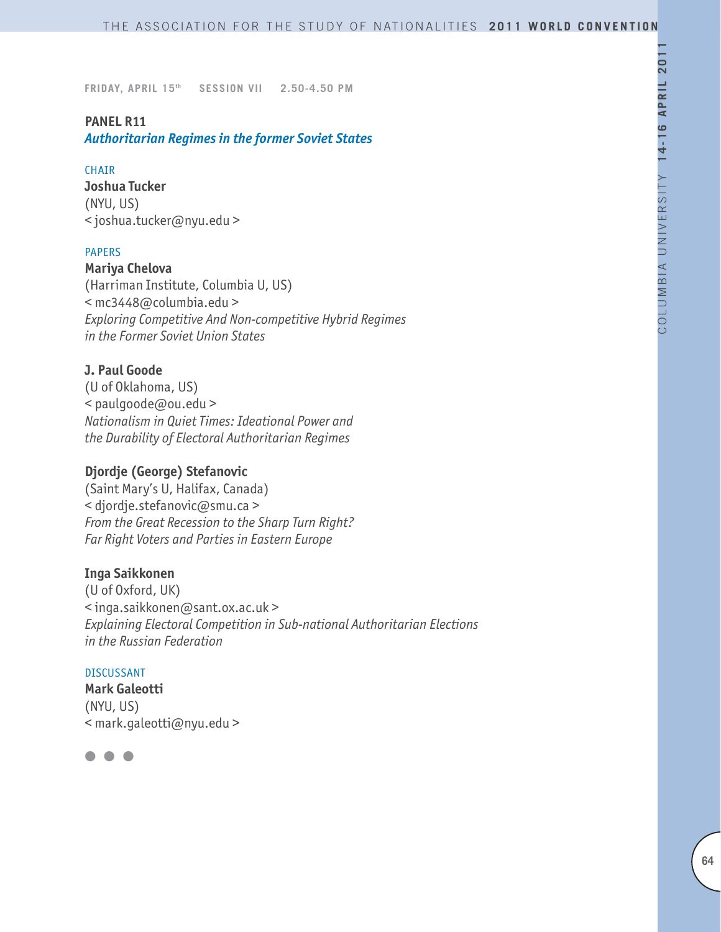### **PANEL R11**

### *Authoritarian Regimes in the former Soviet States*

#### CHAIR

**Joshua Tucker** (NYU, US) < joshua.tucker@nyu.edu >

#### PAPERS

**Mariya Chelova** (Harriman Institute, Columbia U, US) < mc3448@columbia.edu > *Exploring Competitive And Non-competitive Hybrid Regimes in the Former Soviet Union States*

### **J. Paul Goode**

(U of Oklahoma, US) < paulgoode@ou.edu > *Nationalism in Quiet Times: Ideational Power and the Durability of Electoral Authoritarian Regimes*

### **Djordje (George) Stefanovic**

(Saint Mary's U, Halifax, Canada) < djordje.stefanovic@smu.ca > *From the Great Recession to the Sharp Turn Right? Far Right Voters and Parties in Eastern Europe*

### **Inga Saikkonen**

(U of Oxford, UK) < inga.saikkonen@sant.ox.ac.uk > *Explaining Electoral Competition in Sub-national Authoritarian Elections in the Russian Federation*

#### DISCUSSANT

**Mark Galeotti** (NYU, US) < mark.galeotti@nyu.edu >

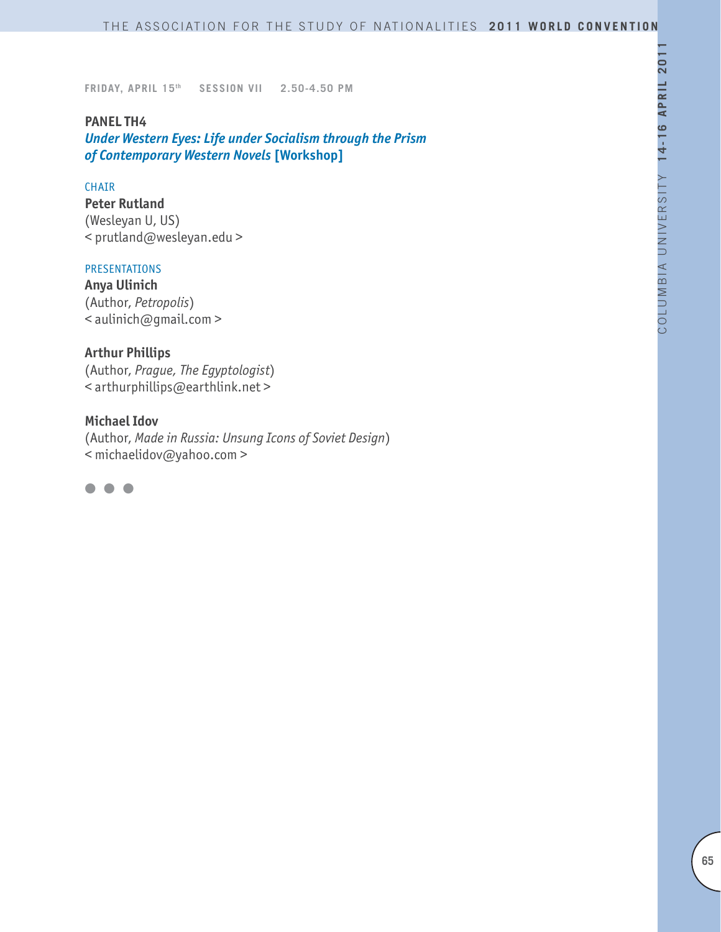### **PANEL TH4**

*Under Western Eyes: Life under Socialism through the Prism of Contemporary Western Novels* **[Workshop]**

#### CHAIR

**Peter Rutland** (Wesleyan U, US) < prutland@wesleyan.edu >

### PRESENTATIONS

**Anya Ulinich** (Author, *Petropolis*) < aulinich@gmail.com >

# **Arthur Phillips**

(Author, *Prague, The Egyptologist*) < arthurphillips@earthlink.net >

#### **Michael Idov**

(Author, *Made in Russia: Unsung Icons of Soviet Design*) < michaelidov@yahoo.com >

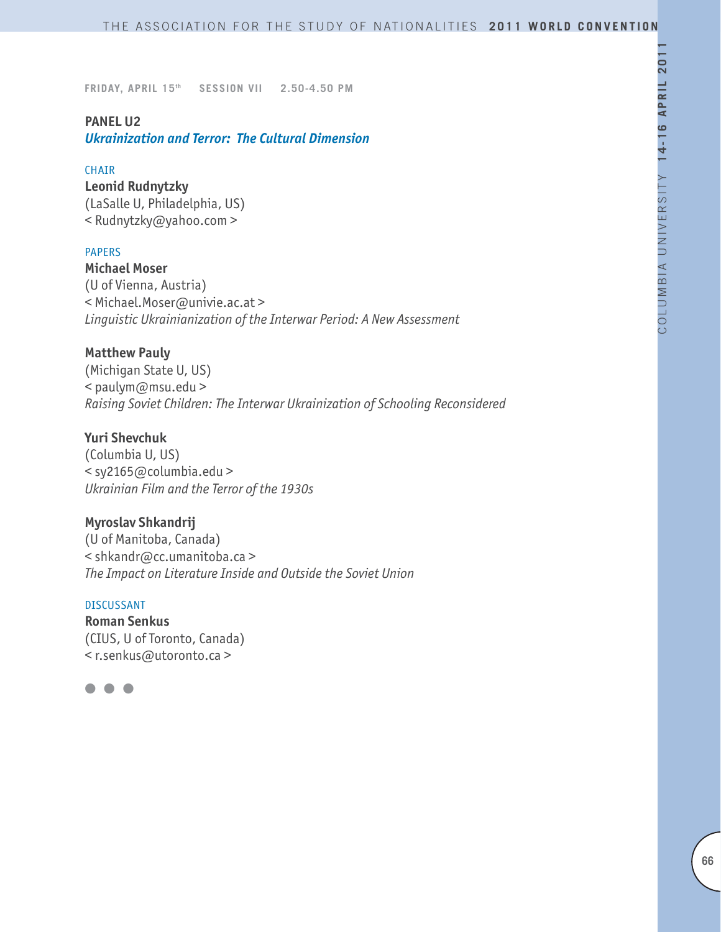## **PANEL U2**

*Ukrainization and Terror: The Cultural Dimension*

### CHAIR

**Leonid Rudnytzky**  (LaSalle U, Philadelphia, US) < Rudnytzky@yahoo.com >

### PAPERS

**Michael Moser** (U of Vienna, Austria) < Michael.Moser@univie.ac.at > *Linguistic Ukrainianization of the Interwar Period: A New Assessment*

### **Matthew Pauly**

(Michigan State U, US) < paulym@msu.edu > *Raising Soviet Children: The Interwar Ukrainization of Schooling Reconsidered*

### **Yuri Shevchuk**

(Columbia U, US) < sy2165@columbia.edu > *Ukrainian Film and the Terror of the 1930s*

### **Myroslav Shkandrij**

(U of Manitoba, Canada) < shkandr@cc.umanitoba.ca > *The Impact on Literature Inside and Outside the Soviet Union*

#### DISCUSSANT

**Roman Senkus** (CIUS, U of Toronto, Canada) < r.senkus@utoronto.ca >

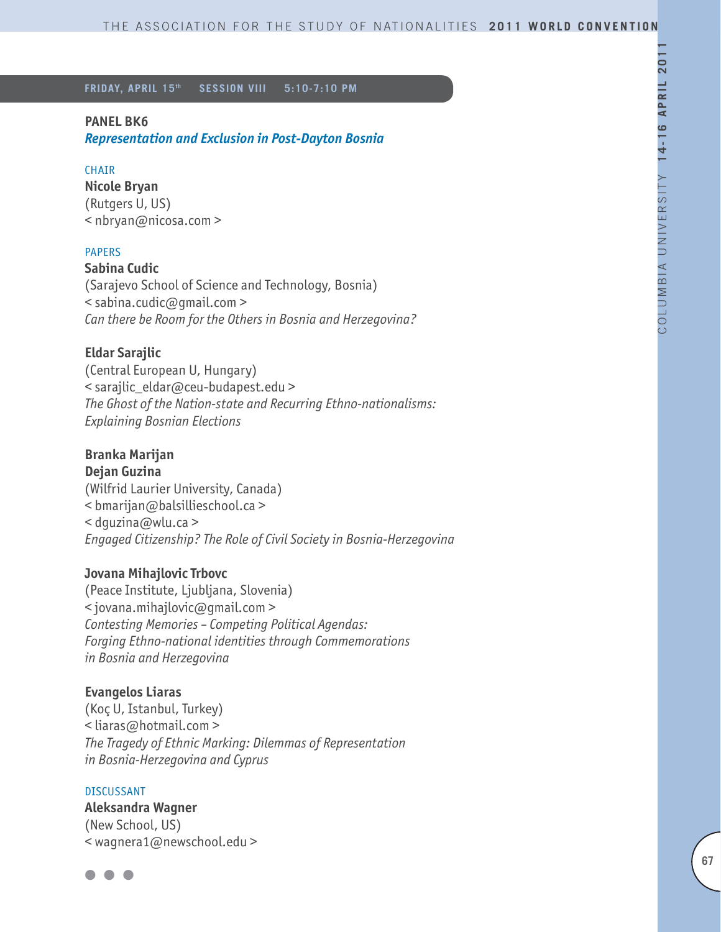#### **PANEL BK6**

*Representation and Exclusion in Post-Dayton Bosnia*

#### CHAIR

**Nicole Bryan** (Rutgers U, US) < nbryan@nicosa.com >

#### PAPERS

**Sabina Cudic**

(Sarajevo School of Science and Technology, Bosnia) < sabina.cudic@gmail.com > *Can there be Room for the Others in Bosnia and Herzegovina?*

### **Eldar Sarajlic**

(Central European U, Hungary) < sarajlic\_eldar@ceu-budapest.edu > *The Ghost of the Nation-state and Recurring Ethno-nationalisms: Explaining Bosnian Elections* 

# **Branka Marijan**

**Dejan Guzina** (Wilfrid Laurier University, Canada) < bmarijan@balsillieschool.ca > < dguzina@wlu.ca > *Engaged Citizenship? The Role of Civil Society in Bosnia-Herzegovina*

#### **Jovana Mihajlovic Trbovc**

(Peace Institute, Ljubljana, Slovenia) < jovana.mihajlovic@gmail.com > *Contesting Memories – Competing Political Agendas: Forging Ethno-national identities through Commemorations in Bosnia and Herzegovina*

### **Evangelos Liaras**

(Koç U, Istanbul, Turkey) < liaras@hotmail.com > *The Tragedy of Ethnic Marking: Dilemmas of Representation in Bosnia-Herzegovina and Cyprus*

#### DISCUSSANT

**Aleksandra Wagner** (New School, US) < wagnera1@newschool.edu >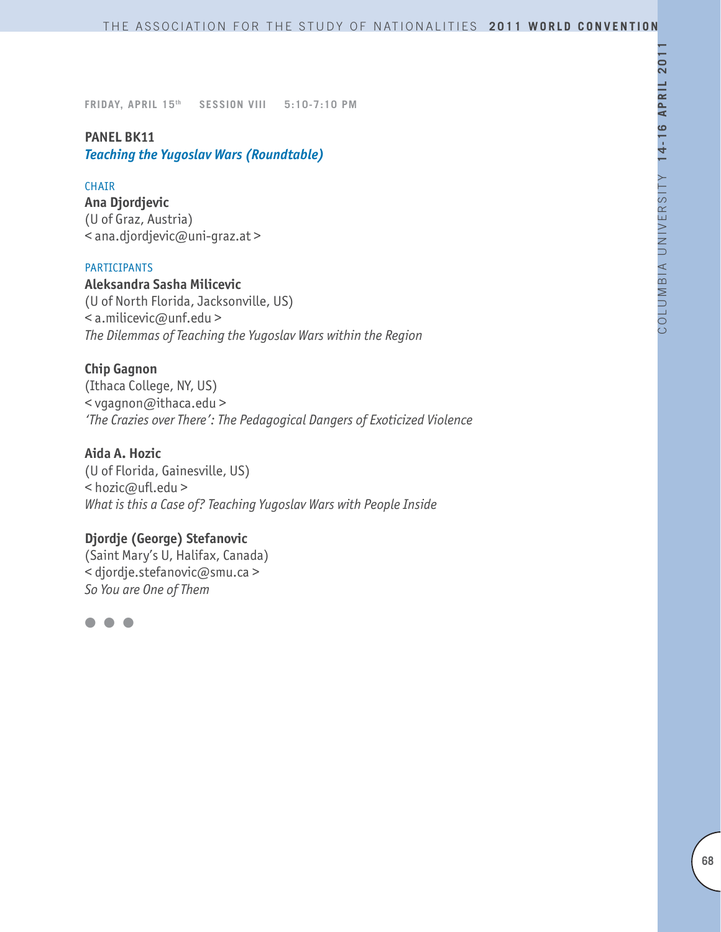# **PANEL BK11** *Teaching the Yugoslav Wars (Roundtable)*

### **CHAIR**

**Ana Djordjevic** (U of Graz, Austria) < ana.djordjevic@uni-graz.at >

### PARTICIPANTS

**Aleksandra Sasha Milicevic** (U of North Florida, Jacksonville, US) < a.milicevic@unf.edu > *The Dilemmas of Teaching the Yugoslav Wars within the Region*

# **Chip Gagnon**

(Ithaca College, NY, US) < vgagnon@ithaca.edu > *'The Crazies over There': The Pedagogical Dangers of Exoticized Violence*

# **Aida A. Hozic**

(U of Florida, Gainesville, US) < hozic@ufl.edu > *What is this a Case of? Teaching Yugoslav Wars with People Inside*

# **Djordje (George) Stefanovic**

(Saint Mary's U, Halifax, Canada) < djordje.stefanovic@smu.ca > *So You are One of Them*

 $\bullet$   $\bullet$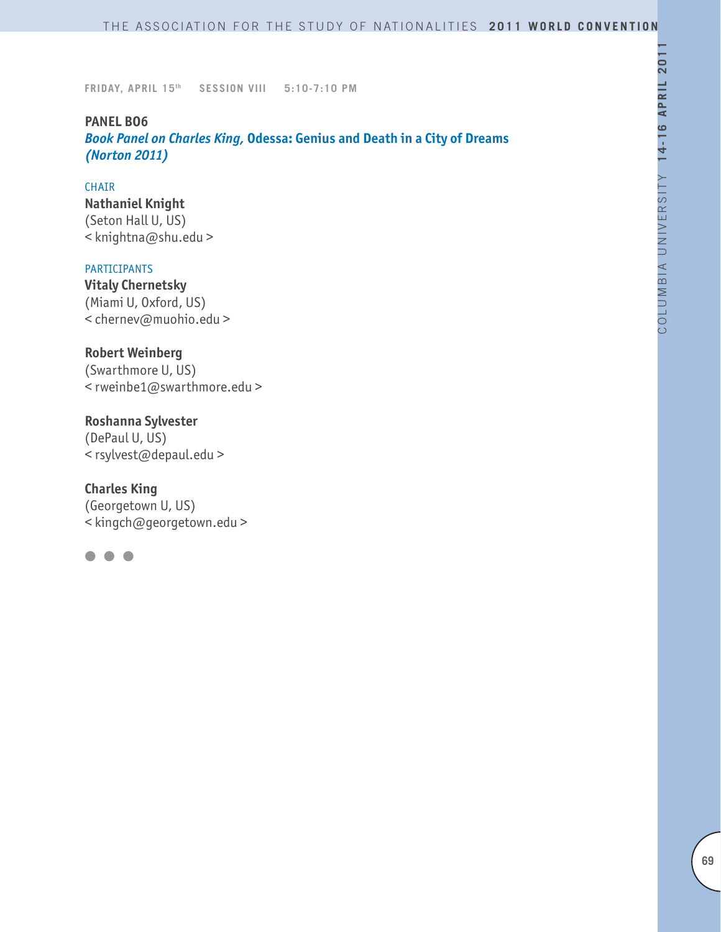### **PANEL BO6**

*Book Panel on Charles King,* **Odessa: Genius and Death in a City of Dreams**  *(Norton 2011)*

#### CHAIR

**Nathaniel Knight** (Seton Hall U, US) < knightna@shu.edu >

#### PARTICIPANTS

**Vitaly Chernetsky** (Miami U, Oxford, US) < chernev@muohio.edu >

# **Robert Weinberg**

(Swarthmore U, US) < rweinbe1@swarthmore.edu >

# **Roshanna Sylvester**

(DePaul U, US) < rsylvest@depaul.edu >

### **Charles King**

(Georgetown U, US) < kingch@georgetown.edu >

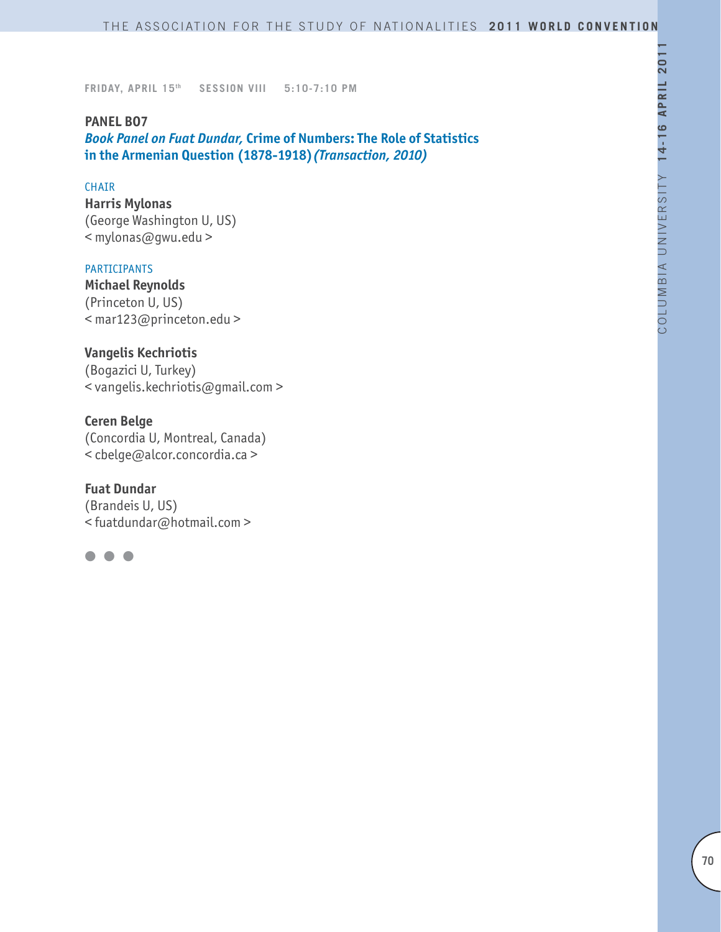### **PANEL BO7**

*Book Panel on Fuat Dundar,* **Crime of Numbers: The Role of Statistics in the Armenian Question (1878-1918)***(Transaction, 2010)*

### **CHAIR**

**Harris Mylonas** (George Washington U, US) < mylonas@gwu.edu >

#### PARTICIPANTS

**Michael Reynolds** (Princeton U, US) < mar123@princeton.edu >

# **Vangelis Kechriotis**

(Bogazici U, Turkey) < vangelis.kechriotis@gmail.com >

### **Ceren Belge**

(Concordia U, Montreal, Canada) < cbelge@alcor.concordia.ca >

### **Fuat Dundar**

(Brandeis U, US) < fuatdundar@hotmail.com >

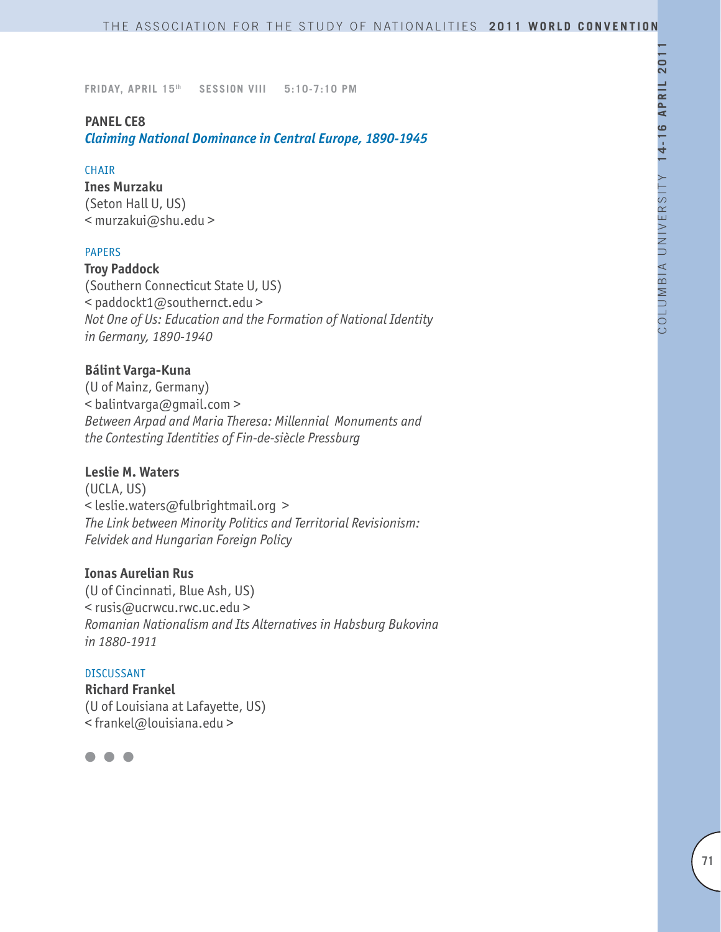### **PANEL CE8**

*Claiming National Dominance in Central Europe, 1890-1945*

### CHAIR

**Ines Murzaku** (Seton Hall U, US) < murzakui@shu.edu >

### PAPERS

**Troy Paddock** (Southern Connecticut State U, US) < paddockt1@southernct.edu > *Not One of Us: Education and the Formation of National Identity in Germany, 1890-1940*

### **Bálint Varga-Kuna**

(U of Mainz, Germany) < balintvarga@gmail.com > *Between Arpad and Maria Theresa: Millennial Monuments and the Contesting Identities of Fin-de-siècle Pressburg*

### **Leslie M. Waters**

(UCLA, US) < leslie.waters@fulbrightmail.org > *The Link between Minority Politics and Territorial Revisionism: Felvidek and Hungarian Foreign Policy*

### **Ionas Aurelian Rus**

(U of Cincinnati, Blue Ash, US) < rusis@ucrwcu.rwc.uc.edu > *Romanian Nationalism and Its Alternatives in Habsburg Bukovina in 1880-1911*

# DISCUSSANT **Richard Frankel** (U of Louisiana at Lafayette, US) < frankel@louisiana.edu >

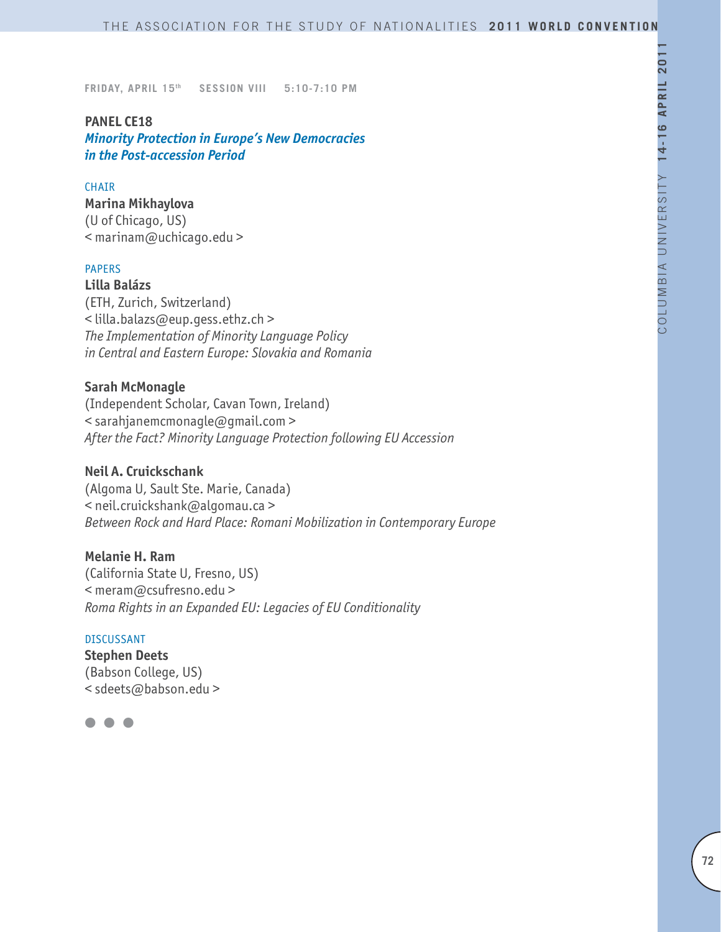### **PANEL CE18**

*Minority Protection in Europe's New Democracies in the Post-accession Period*

#### **CHAIR**

# **Marina Mikhaylova**

(U of Chicago, US) < marinam@uchicago.edu >

### PAPERS

**Lilla Balázs**  (ETH, Zurich, Switzerland) < lilla.balazs@eup.gess.ethz.ch > *The Implementation of Minority Language Policy in Central and Eastern Europe: Slovakia and Romania*

### **Sarah McMonagle**

(Independent Scholar, Cavan Town, Ireland) < sarahjanemcmonagle@gmail.com > *After the Fact? Minority Language Protection following EU Accession*

### **Neil A. Cruickschank**

(Algoma U, Sault Ste. Marie, Canada) < neil.cruickshank@algomau.ca > *Between Rock and Hard Place: Romani Mobilization in Contemporary Europe*

### **Melanie H. Ram**

(California State U, Fresno, US) < meram@csufresno.edu > *Roma Rights in an Expanded EU: Legacies of EU Conditionality*

#### DISCUSSANT

**Stephen Deets** (Babson College, US) < sdeets@babson.edu >

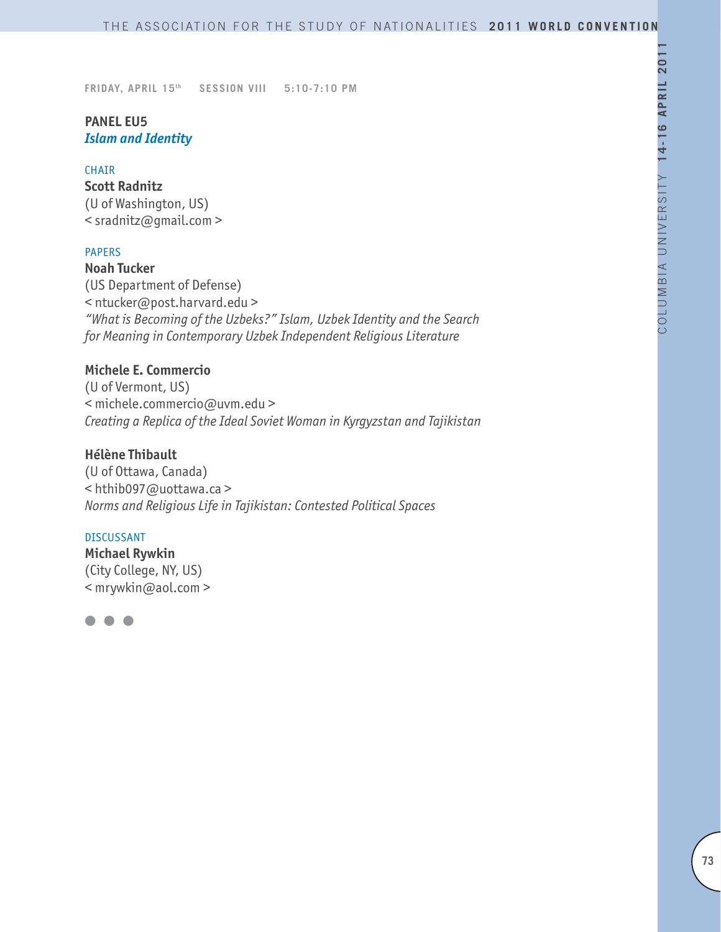# **PANEL EU5** *Islam and Identity*

#### CHAIR

**Scott Radnitz** (U of Washington, US) < sradnitz@gmail.com >

## PAPERS

**Noah Tucker**  (US Department of Defense) < ntucker@post.harvard.edu > *"What is Becoming of the Uzbeks?" Islam, Uzbek Identity and the Search for Meaning in Contemporary Uzbek Independent Religious Literature*

# **Michele E. Commercio**

(U of Vermont, US) < michele.commercio@uvm.edu > *Creating a Replica of the Ideal Soviet Woman in Kyrgyzstan and Tajikistan*

# **Hélène Thibault**

(U of Ottawa, Canada) < hthib097@uottawa.ca > *Norms and Religious Life in Tajikistan: Contested Political Spaces*

## DISCUSSANT

**Michael Rywkin** (City College, NY, US) < mrywkin@aol.com >

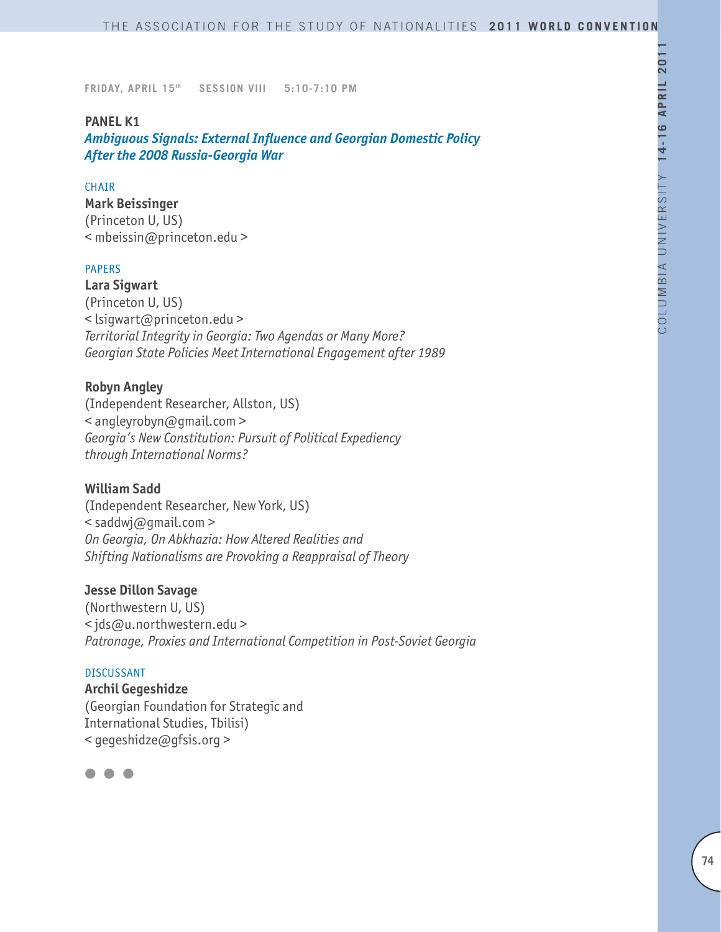## **PANEL K1**

*Ambiguous Signals: External Influence and Georgian Domestic Policy After the 2008 Russia-Georgia War*

## **CHAIR**

**Mark Beissinger** 

(Princeton U, US) < mbeissin@princeton.edu >

#### PAPERS

**Lara Sigwart**  (Princeton U, US) < lsigwart@princeton.edu > *Territorial Integrity in Georgia: Two Agendas or Many More? Georgian State Policies Meet International Engagement after 1989* 

## **Robyn Angley**

(Independent Researcher, Allston, US) < angleyrobyn@gmail.com > *Georgia's New Constitution: Pursuit of Political Expediency through International Norms?* 

#### **William Sadd**

(Independent Researcher, New York, US)  $\leq$  saddwj@qmail.com > *On Georgia, On Abkhazia: How Altered Realities and Shifting Nationalisms are Provoking a Reappraisal of Theory*

#### **Jesse Dillon Savage**

(Northwestern U, US) < jds@u.northwestern.edu > *Patronage, Proxies and International Competition in Post-Soviet Georgia*

#### DISCUSSANT

**Archil Gegeshidze** (Georgian Foundation for Strategic and International Studies, Tbilisi) < gegeshidze@gfsis.org >

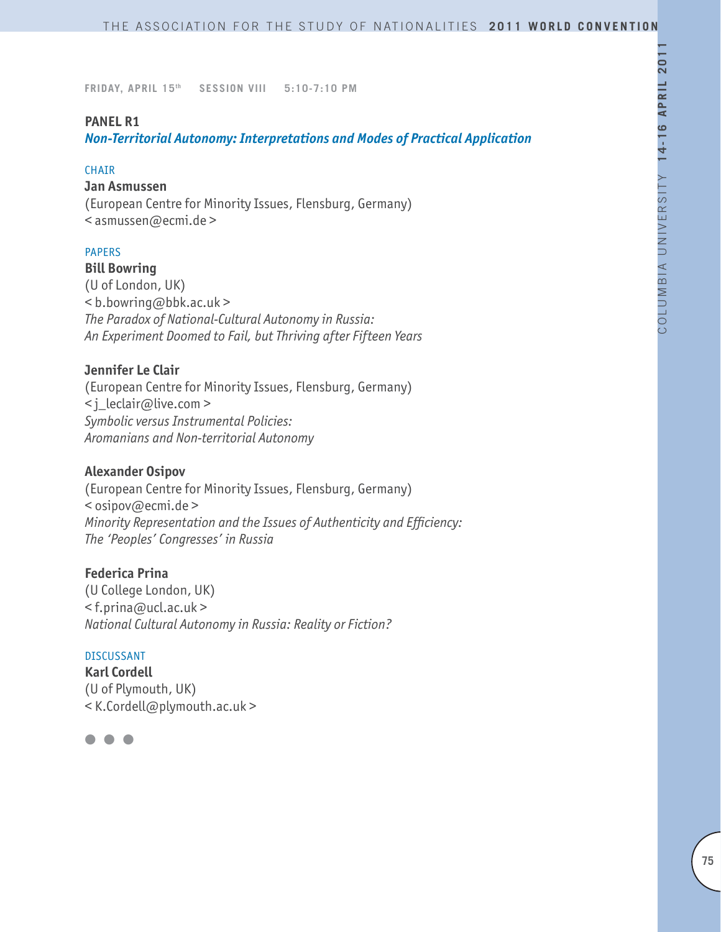## **PANEL R1**

*Non-Territorial Autonomy: Interpretations and Modes of Practical Application*

#### **CHAIR**

#### **Jan Asmussen**

(European Centre for Minority Issues, Flensburg, Germany) < asmussen@ecmi.de >

#### PAPERS

**Bill Bowring**

(U of London, UK) < b.bowring@bbk.ac.uk > *The Paradox of National-Cultural Autonomy in Russia: An Experiment Doomed to Fail, but Thriving after Fifteen Years*

## **Jennifer Le Clair**

(European Centre for Minority Issues, Flensburg, Germany) < j\_leclair@live.com > *Symbolic versus Instrumental Policies: Aromanians and Non-territorial Autonomy* 

#### **Alexander Osipov**

(European Centre for Minority Issues, Flensburg, Germany) < osipov@ecmi.de > *Minority Representation and the Issues of Authenticity and Efficiency: The 'Peoples' Congresses' in Russia*

#### **Federica Prina**

(U College London, UK)  $\leq$  f.prina@ucl.ac.uk > *National Cultural Autonomy in Russia: Reality or Fiction?*

#### DISCUSSANT

**Karl Cordell** (U of Plymouth, UK) < K.Cordell@plymouth.ac.uk >

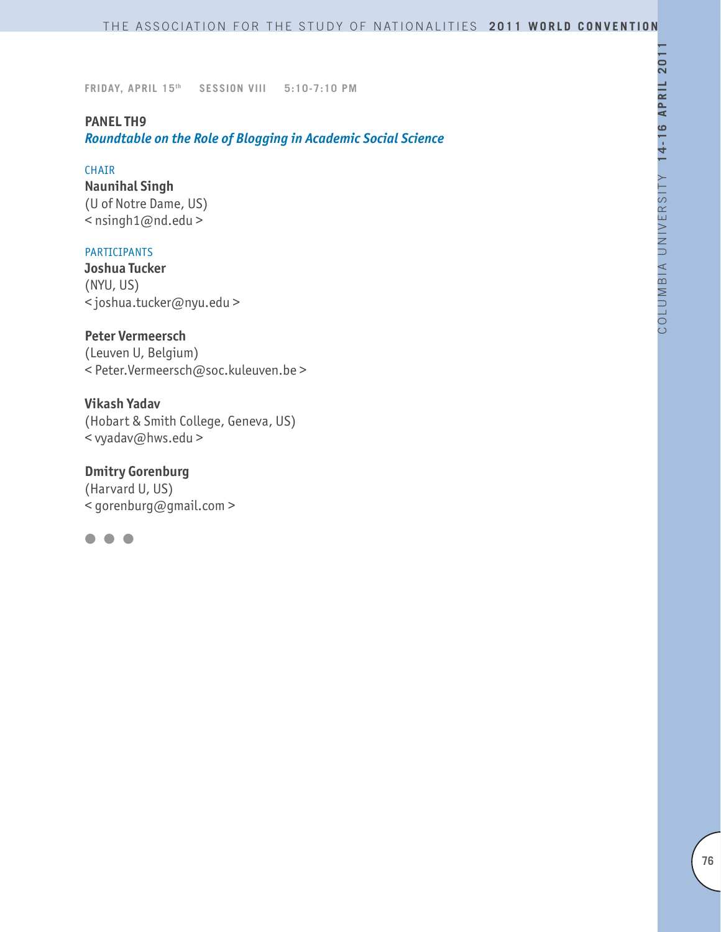## **PANEL TH9**

*Roundtable on the Role of Blogging in Academic Social Science*

#### CHAIR

**Naunihal Singh** (U of Notre Dame, US) < nsingh1@nd.edu >

## PARTICIPANTS

**Joshua Tucker** (NYU, US) < joshua.tucker@nyu.edu >

**Peter Vermeersch**

(Leuven U, Belgium) < Peter.Vermeersch@soc.kuleuven.be >

**Vikash Yadav** (Hobart & Smith College, Geneva, US) < vyadav@hws.edu >

**Dmitry Gorenburg** (Harvard U, US) < gorenburg@gmail.com >

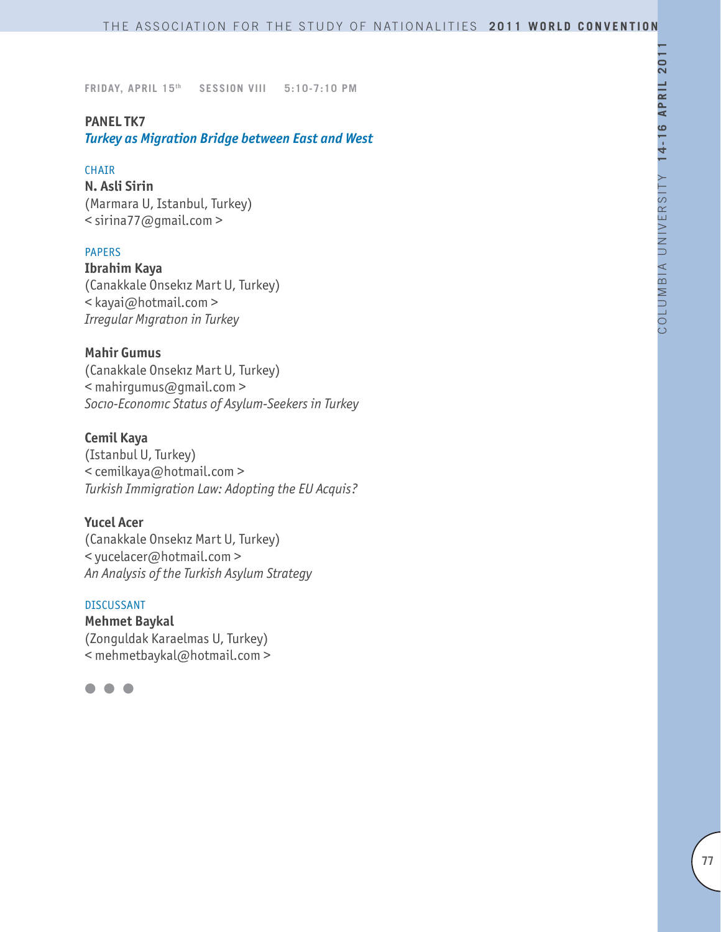## **PANEL TK7**

*Turkey as Migration Bridge between East and West* 

#### CHAIR

**N. Asli Sirin** (Marmara U, Istanbul, Turkey) < sirina77@gmail.com >

## PAPERS

**Ibrahim Kaya**  (Canakkale Onsekız Mart U, Turkey) < kayai@hotmail.com > *Irregular Mıgratıon in Turkey* 

## **Mahir Gumus**

(Canakkale Onsekız Mart U, Turkey) < mahirgumus@gmail.com > *Socıo-Economıc Status of Asylum-Seekers in Turkey* 

## **Cemil Kaya**

(Istanbul U, Turkey) < cemilkaya@hotmail.com > *Turkish Immigration Law: Adopting the EU Acquis?* 

## **Yucel Acer**

(Canakkale Onsekız Mart U, Turkey) < yucelacer@hotmail.com > *An Analysis of the Turkish Asylum Strategy* 

#### DISCUSSANT

**Mehmet Baykal**  (Zonguldak Karaelmas U, Turkey) < mehmetbaykal@hotmail.com >

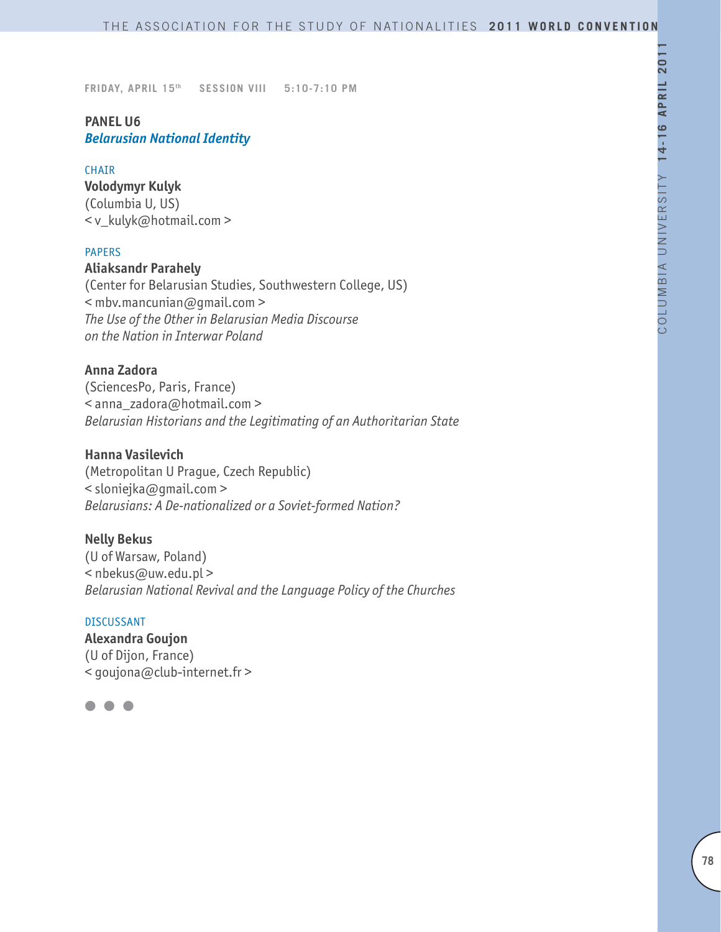# **PANEL U6** *Belarusian National Identity*

#### CHAIR

**Volodymyr Kulyk** (Columbia U, US) < v\_kulyk@hotmail.com >

#### PAPERS

#### **Aliaksandr Parahely**

(Center for Belarusian Studies, Southwestern College, US) < mbv.mancunian@gmail.com > *The Use of the Other in Belarusian Media Discourse on the Nation in Interwar Poland*

## **Anna Zadora**

(SciencesPo, Paris, France) < anna\_zadora@hotmail.com > *Belarusian Historians and the Legitimating of an Authoritarian State*

## **Hanna Vasilevich**

(Metropolitan U Prague, Czech Republic) < sloniejka@gmail.com > *Belarusians: A De-nationalized or a Soviet-formed Nation?*

#### **Nelly Bekus**

(U of Warsaw, Poland) < nbekus@uw.edu.pl > *Belarusian National Revival and the Language Policy of the Churches*

## DISCUSSANT

**Alexandra Goujon** (U of Dijon, France) < goujona@club-internet.fr >

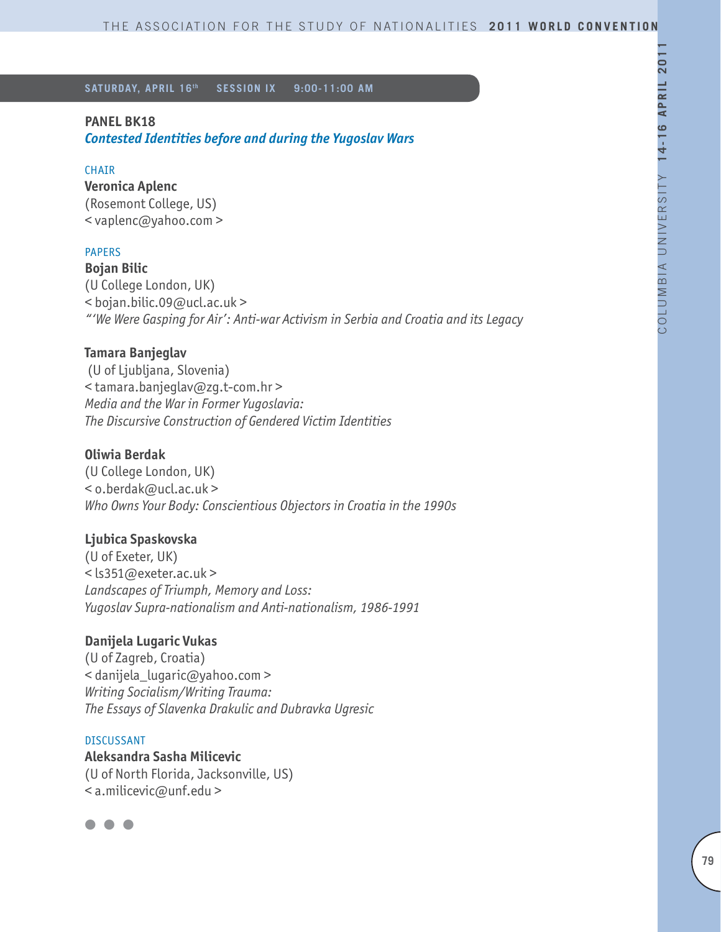## **PANEL BK18**

*Contested Identities before and during the Yugoslav Wars*

## **CHAIR**

**Veronica Aplenc** (Rosemont College, US) < vaplenc@yahoo.com >

## PAPERS

**Bojan Bilic** (U College London, UK) < bojan.bilic.09@ucl.ac.uk > *"'We Were Gasping for Air': Anti-war Activism in Serbia and Croatia and its Legacy*

## **Tamara Banjeglav**

 (U of Ljubljana, Slovenia) < tamara.banjeglav@zg.t-com.hr > *Media and the War in Former Yugoslavia: The Discursive Construction of Gendered Victim Identities*

## **Oliwia Berdak**

(U College London, UK) < o.berdak@ucl.ac.uk > *Who Owns Your Body: Conscientious Objectors in Croatia in the 1990s*

## **Ljubica Spaskovska**

(U of Exeter, UK) < ls351@exeter.ac.uk > *Landscapes of Triumph, Memory and Loss: Yugoslav Supra-nationalism and Anti-nationalism, 1986-1991*

## **Danijela Lugaric Vukas**

(U of Zagreb, Croatia) < danijela\_lugaric@yahoo.com > *Writing Socialism/Writing Trauma: The Essays of Slavenka Drakulic and Dubravka Ugresic*

#### DISCUSSANT

**Aleksandra Sasha Milicevic** (U of North Florida, Jacksonville, US) < a.milicevic@unf.edu >

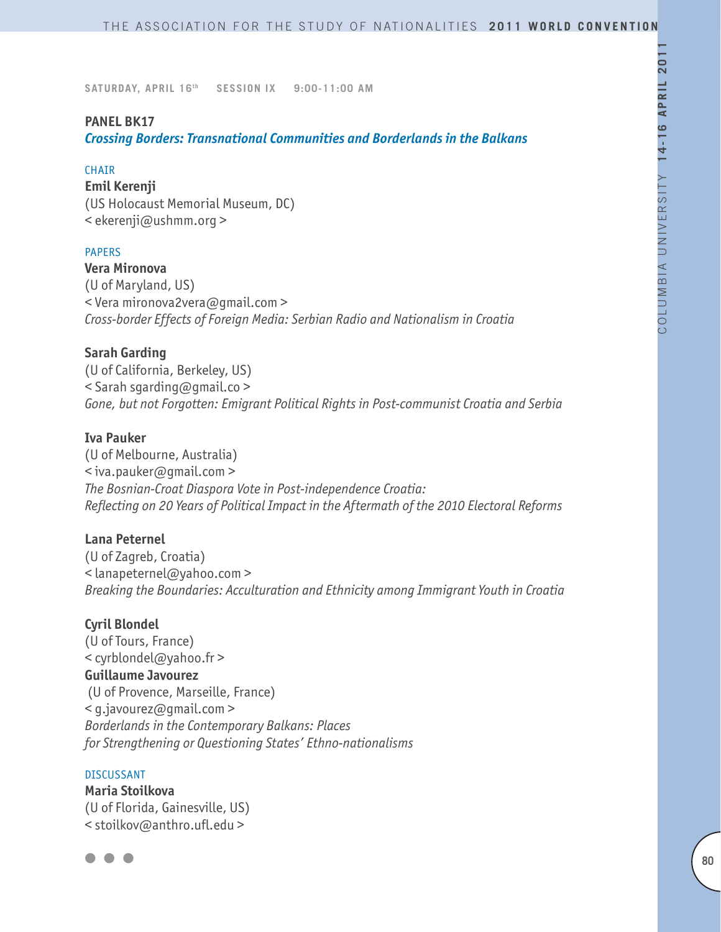## **PANEL BK17**

*Crossing Borders: Transnational Communities and Borderlands in the Balkans* 

#### **CHAIR**

**Emil Kerenji** (US Holocaust Memorial Museum, DC) < ekerenji@ushmm.org >

## PAPERS

**Vera Mironova** (U of Maryland, US) < Vera mironova2vera@gmail.com > *Cross-border Effects of Foreign Media: Serbian Radio and Nationalism in Croatia*

## **Sarah Garding**

(U of California, Berkeley, US) < Sarah sgarding@gmail.co > *Gone, but not Forgotten: Emigrant Political Rights in Post-communist Croatia and Serbia*

#### **Iva Pauker**

(U of Melbourne, Australia) < iva.pauker@gmail.com > *The Bosnian-Croat Diaspora Vote in Post-independence Croatia: Reflecting on 20 Years of Political Impact in the Aftermath of the 2010 Electoral Reforms*

#### **Lana Peternel**

(U of Zagreb, Croatia) < lanapeternel@yahoo.com > *Breaking the Boundaries: Acculturation and Ethnicity among Immigrant Youth in Croatia*

#### **Cyril Blondel**

(U of Tours, France) < cyrblondel@yahoo.fr > **Guillaume Javourez** (U of Provence, Marseille, France) < g.javourez@gmail.com > *Borderlands in the Contemporary Balkans: Places for Strengthening or Questioning States' Ethno-nationalisms*

#### **DISCUSSANT**

**Maria Stoilkova** (U of Florida, Gainesville, US) < stoilkov@anthro.ufl.edu >

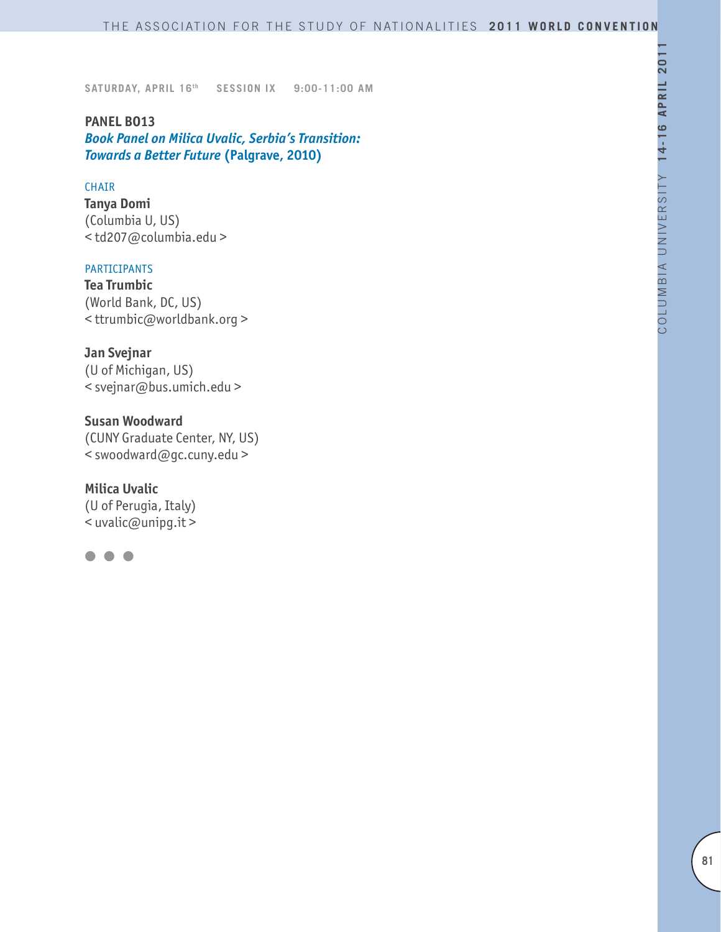**PANEL BO13** *Book Panel on Milica Uvalic, Serbia's Transition: Towards a Better Future* **(Palgrave, 2010)**

#### **CHAIR**

**Tanya Domi** (Columbia U, US) < td207@columbia.edu >

#### PARTICIPANTS

**Tea Trumbic** (World Bank, DC, US) < ttrumbic@worldbank.org >

**Jan Svejnar** (U of Michigan, US) < svejnar@bus.umich.edu >

**Susan Woodward** (CUNY Graduate Center, NY, US) < swoodward@gc.cuny.edu >

**Milica Uvalic** (U of Perugia, Italy)  $\sim$  uvalic@unipq.it >

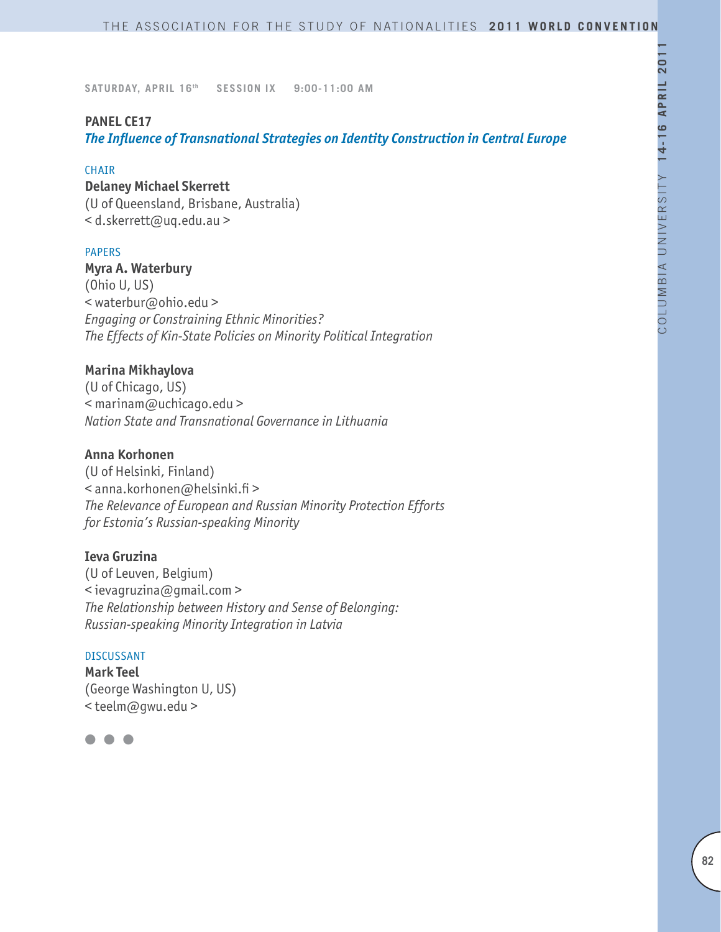# **PANEL CE17**

*The Influence of Transnational Strategies on Identity Construction in Central Europe*

#### **CHAIR**

#### **Delaney Michael Skerrett**

(U of Queensland, Brisbane, Australia) < d.skerrett@uq.edu.au >

#### PAPERS

**Myra A. Waterbury**

(Ohio U, US) < waterbur@ohio.edu > *Engaging or Constraining Ethnic Minorities? The Effects of Kin-State Policies on Minority Political Integration* 

## **Marina Mikhaylova**

(U of Chicago, US) < marinam@uchicago.edu > *Nation State and Transnational Governance in Lithuania*

## **Anna Korhonen**

(U of Helsinki, Finland) < anna.korhonen@helsinki.fi > *The Relevance of European and Russian Minority Protection Efforts for Estonia's Russian-speaking Minority*

## **Ieva Gruzina**

(U of Leuven, Belgium) < ievagruzina@gmail.com > *The Relationship between History and Sense of Belonging: Russian-speaking Minority Integration in Latvia*

#### DISCUSSANT

**Mark Teel**  (George Washington U, US) < teelm@gwu.edu >

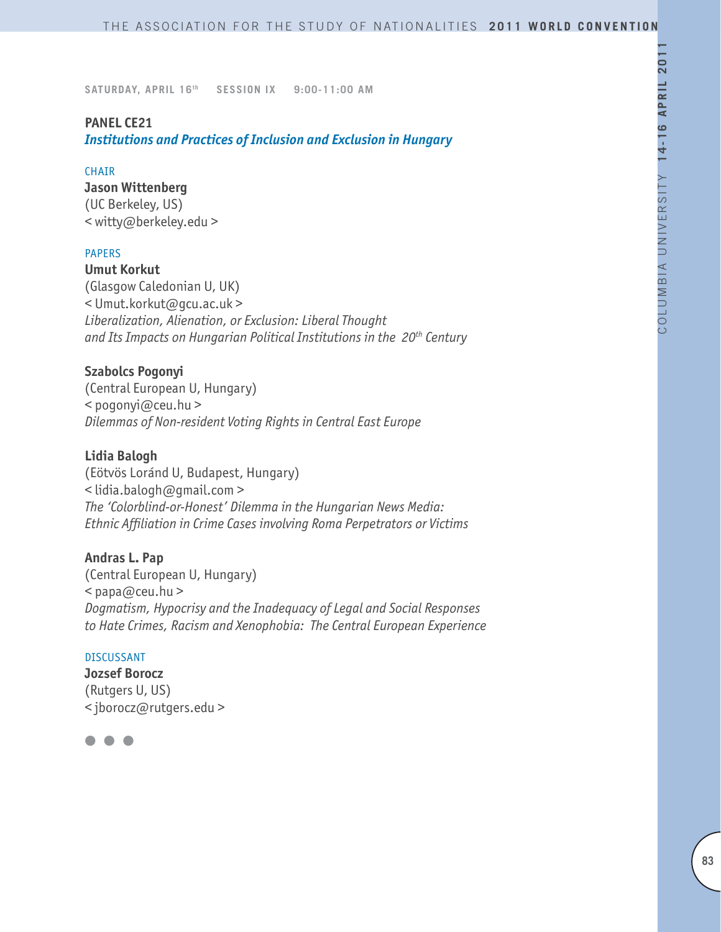## **PANEL CE21**

*Institutions and Practices of Inclusion and Exclusion in Hungary*

#### CHAIR

**Jason Wittenberg** (UC Berkeley, US) < witty@berkeley.edu >

## PAPERS

**Umut Korkut** (Glasgow Caledonian U, UK) < Umut.korkut@gcu.ac.uk > *Liberalization, Alienation, or Exclusion: Liberal Thought and Its Impacts on Hungarian Political Institutions in the 20th Century*

# **Szabolcs Pogonyi**

(Central European U, Hungary) < pogonyi@ceu.hu > *Dilemmas of Non-resident Voting Rights in Central East Europe*

## **Lidia Balogh**

(Eötvös Loránd U, Budapest, Hungary) < lidia.balogh@gmail.com > *The 'Colorblind-or-Honest' Dilemma in the Hungarian News Media: Ethnic Affiliation in Crime Cases involving Roma Perpetrators or Victims*

## **Andras L. Pap**

(Central European U, Hungary)  $<$  papa@ceu.hu > *Dogmatism, Hypocrisy and the Inadequacy of Legal and Social Responses to Hate Crimes, Racism and Xenophobia: The Central European Experience*

#### DISCUSSANT

**Jozsef Borocz** (Rutgers U, US) < jborocz@rutgers.edu >

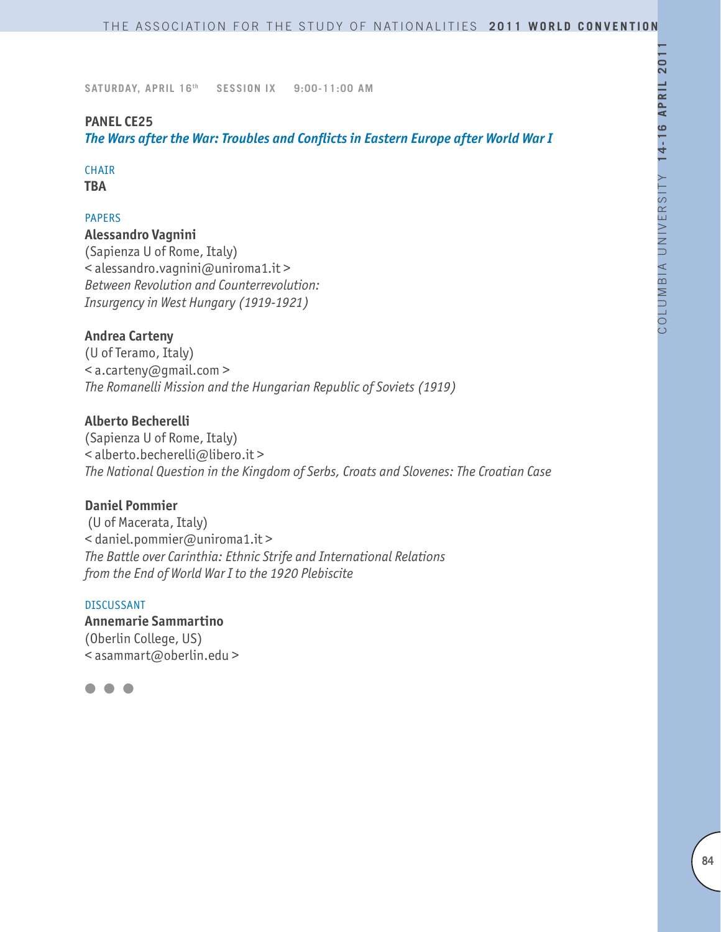# **PANEL CE25**

*The Wars after the War: Troubles and Conflicts in Eastern Europe after World War I*

# **CHAIR**

**TBA**

# PAPERS

**Alessandro Vagnini**  (Sapienza U of Rome, Italy) < alessandro.vagnini@uniroma1.it > *Between Revolution and Counterrevolution: Insurgency in West Hungary (1919-1921)*

# **Andrea Carteny**

(U of Teramo, Italy) < a.carteny@gmail.com > *The Romanelli Mission and the Hungarian Republic of Soviets (1919)*

# **Alberto Becherelli**

(Sapienza U of Rome, Italy) < alberto.becherelli@libero.it > *The National Question in the Kingdom of Serbs, Croats and Slovenes: The Croatian Case*

# **Daniel Pommier**

 (U of Macerata, Italy) < daniel.pommier@uniroma1.it > *The Battle over Carinthia: Ethnic Strife and International Relations from the End of World War I to the 1920 Plebiscite*

#### DISCUSSANT

**Annemarie Sammartino** (Oberlin College, US) < asammart@oberlin.edu >

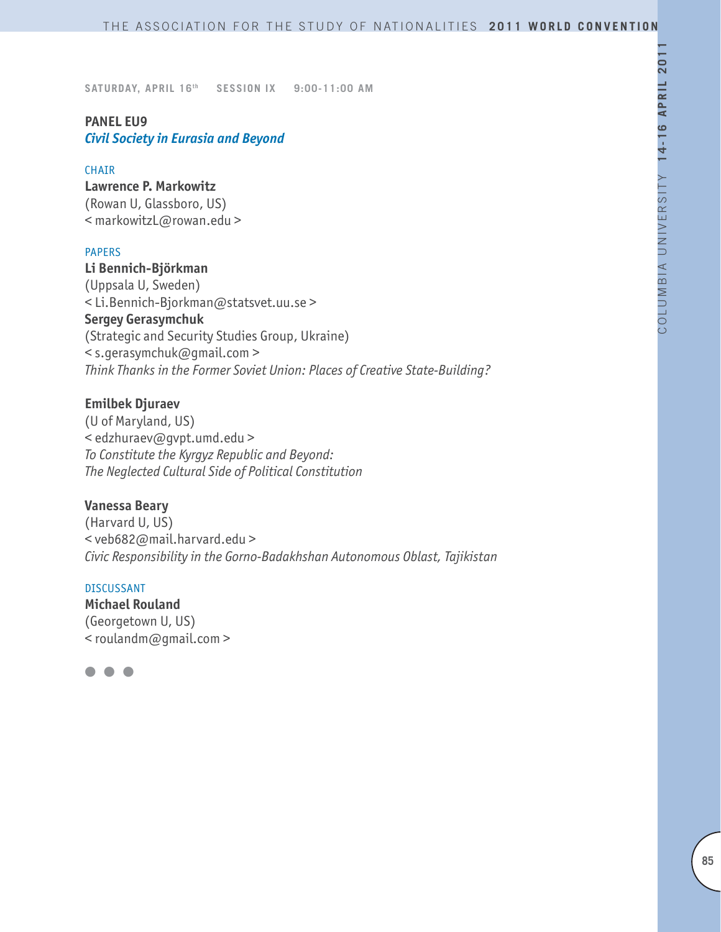# **PANEL EU9** *Civil Society in Eurasia and Beyond*

#### CHAIR

**Lawrence P. Markowitz** (Rowan U, Glassboro, US) < markowitzL@rowan.edu >

## PAPERS

# **Li Bennich-Björkman** (Uppsala U, Sweden) < Li.Bennich-Bjorkman@statsvet.uu.se > **Sergey Gerasymchuk** (Strategic and Security Studies Group, Ukraine) < s.gerasymchuk@gmail.com > *Think Thanks in the Former Soviet Union: Places of Creative State-Building?*

## **Emilbek Djuraev**

(U of Maryland, US) < edzhuraev@gvpt.umd.edu > *To Constitute the Kyrgyz Republic and Beyond: The Neglected Cultural Side of Political Constitution*

**Vanessa Beary** (Harvard U, US) < veb682@mail.harvard.edu > *Civic Responsibility in the Gorno-Badakhshan Autonomous Oblast, Tajikistan*

#### DISCUSSANT

**Michael Rouland** (Georgetown U, US) < roulandm@gmail.com >

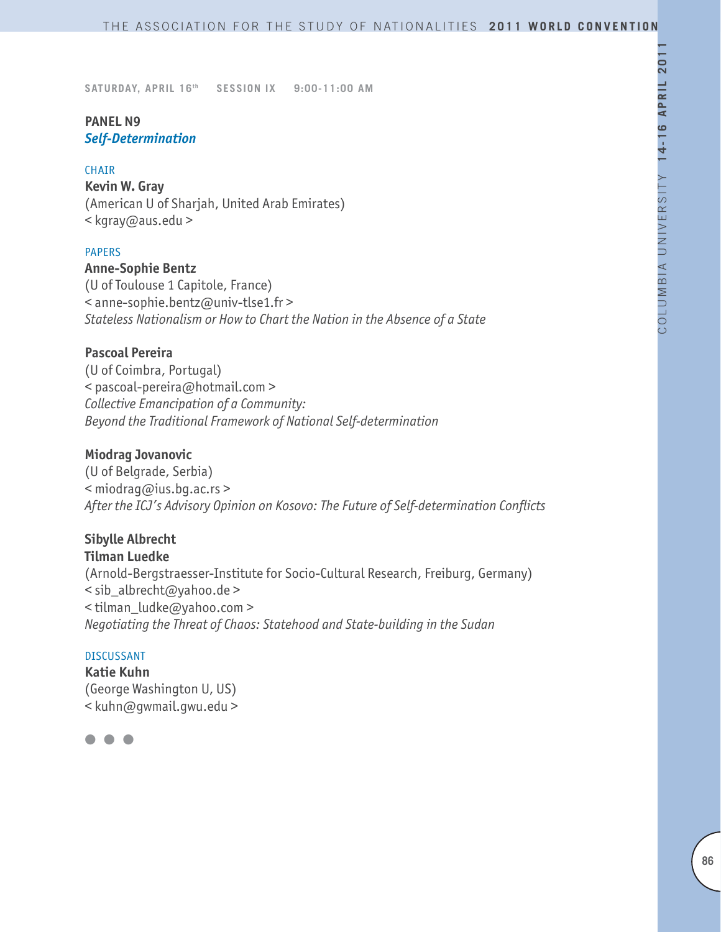# **PANEL N9** *Self-Determination*

#### CHAIR

**Kevin W. Gray** (American U of Sharjah, United Arab Emirates) < kgray@aus.edu >

## PAPERS

## **Anne-Sophie Bentz**

(U of Toulouse 1 Capitole, France) < anne-sophie.bentz@univ-tlse1.fr > *Stateless Nationalism or How to Chart the Nation in the Absence of a State*

## **Pascoal Pereira**

(U of Coimbra, Portugal) < pascoal-pereira@hotmail.com > *Collective Emancipation of a Community: Beyond the Traditional Framework of National Self-determination*

## **Miodrag Jovanovic**

(U of Belgrade, Serbia) < miodrag@ius.bg.ac.rs > *After the ICJ's Advisory Opinion on Kosovo: The Future of Self-determination Conflicts*

# **Sibylle Albrecht**

**Tilman Luedke** (Arnold-Bergstraesser-Institute for Socio-Cultural Research, Freiburg, Germany) < sib\_albrecht@yahoo.de > < tilman\_ludke@yahoo.com > *Negotiating the Threat of Chaos: Statehood and State-building in the Sudan*

#### DISCUSSANT

**Katie Kuhn** (George Washington U, US) < kuhn@gwmail.gwu.edu >

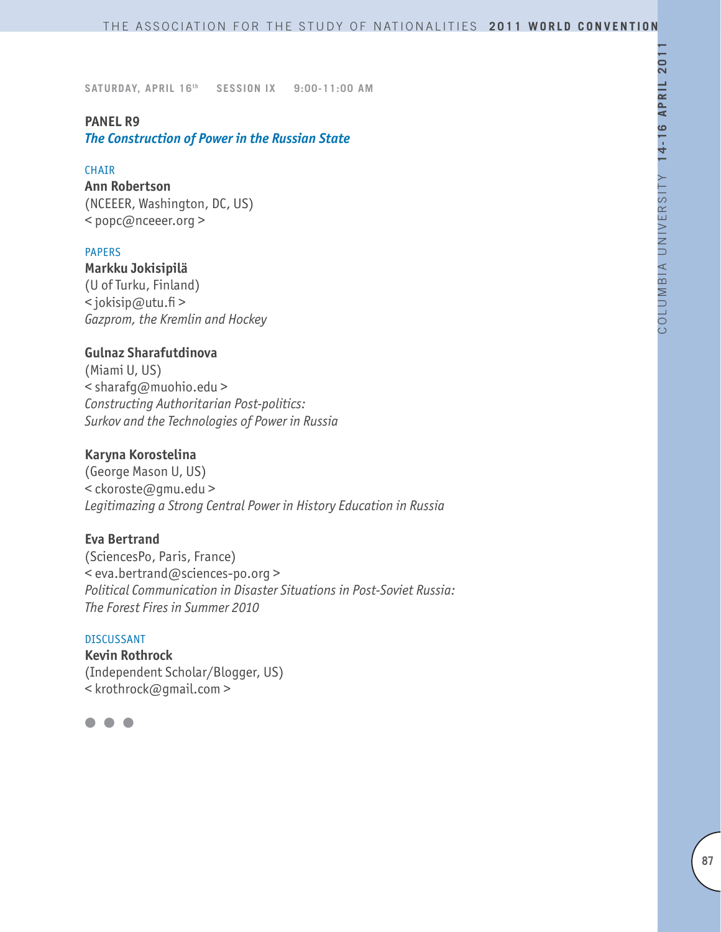## **PANEL R9**

*The Construction of Power in the Russian State*

#### **CHAIR**

**Ann Robertson** (NCEEER, Washington, DC, US) < popc@nceeer.org >

#### PAPERS

**Markku Jokisipilä** (U of Turku, Finland) < jokisip@utu.fi > *Gazprom, the Kremlin and Hockey*

## **Gulnaz Sharafutdinova**

(Miami U, US) < sharafg@muohio.edu > *Constructing Authoritarian Post-politics: Surkov and the Technologies of Power in Russia*

## **Karyna Korostelina**

(George Mason U, US) < ckoroste@gmu.edu > *Legitimazing a Strong Central Power in History Education in Russia*

## **Eva Bertrand**

(SciencesPo, Paris, France) < eva.bertrand@sciences-po.org > *Political Communication in Disaster Situations in Post-Soviet Russia: The Forest Fires in Summer 2010*

#### DISCUSSANT

**Kevin Rothrock** (Independent Scholar/Blogger, US) < krothrock@gmail.com >

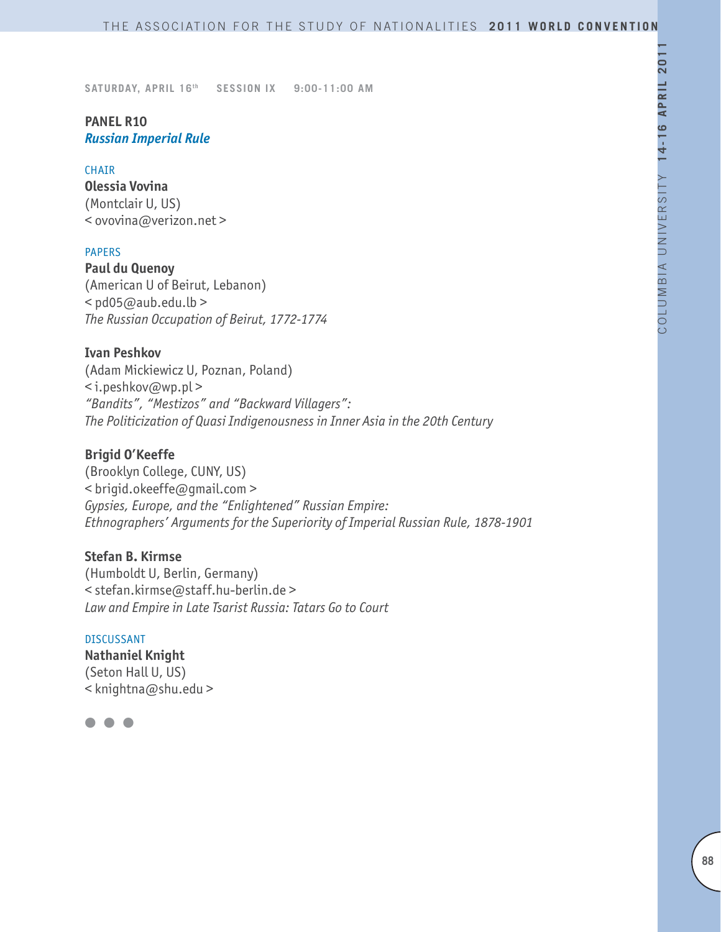# **PANEL R10** *Russian Imperial Rule*

#### CHAIR

**Olessia Vovina** (Montclair U, US) < ovovina@verizon.net >

## PAPERS

**Paul du Quenoy** (American U of Beirut, Lebanon)  $<$  pd05@aub.edu.lb > *The Russian Occupation of Beirut, 1772-1774*

## **Ivan Peshkov**

(Adam Mickiewicz U, Poznan, Poland) < i.peshkov@wp.pl > *"Bandits", "Mestizos" and "Backward Villagers": The Politicization of Quasi Indigenousness in Inner Asia in the 20th Century*

# **Brigid O'Keeffe**

(Brooklyn College, CUNY, US) < brigid.okeeffe@gmail.com > *Gypsies, Europe, and the "Enlightened" Russian Empire: Ethnographers' Arguments for the Superiority of Imperial Russian Rule, 1878-1901*

# **Stefan B. Kirmse**

(Humboldt U, Berlin, Germany) < stefan.kirmse@staff.hu-berlin.de > *Law and Empire in Late Tsarist Russia: Tatars Go to Court*

#### DISCUSSANT

**Nathaniel Knight** (Seton Hall U, US) < knightna@shu.edu >

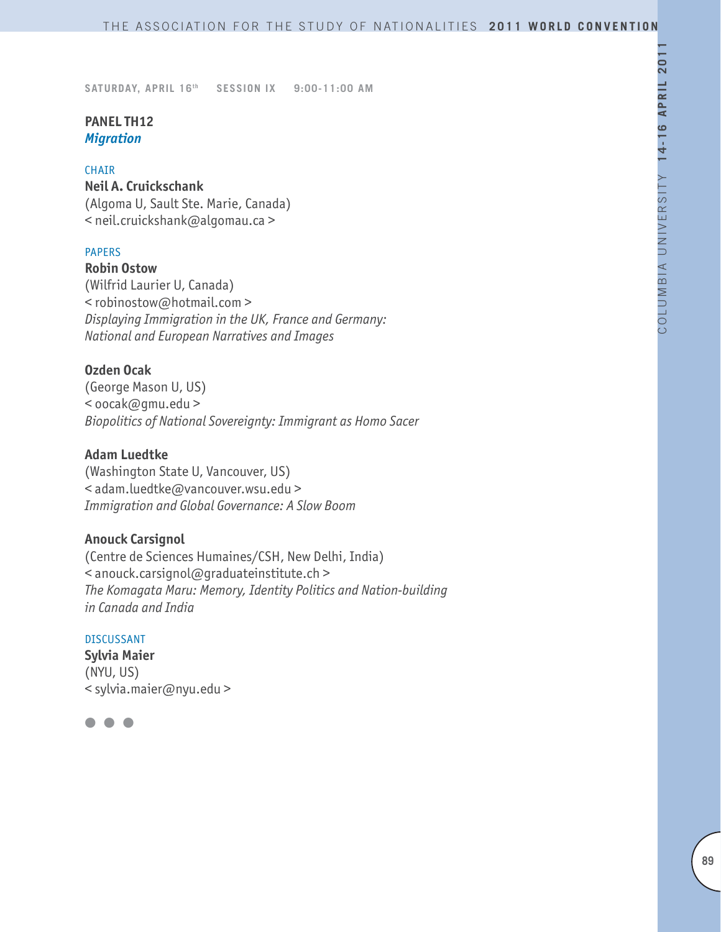# **PANEL TH12** *Migration*

## CHAIR

**Neil A. Cruickschank** (Algoma U, Sault Ste. Marie, Canada) < neil.cruickshank@algomau.ca >

## PAPERS

**Robin Ostow** (Wilfrid Laurier U, Canada) < robinostow@hotmail.com > *Displaying Immigration in the UK, France and Germany: National and European Narratives and Images*

## **Ozden Ocak**

(George Mason U, US) < oocak@gmu.edu > *Biopolitics of National Sovereignty: Immigrant as Homo Sacer*

# **Adam Luedtke**

(Washington State U, Vancouver, US) < adam.luedtke@vancouver.wsu.edu > *Immigration and Global Governance: A Slow Boom*

# **Anouck Carsignol**

(Centre de Sciences Humaines/CSH, New Delhi, India) < anouck.carsignol@graduateinstitute.ch > *The Komagata Maru: Memory, Identity Politics and Nation-building in Canada and India*

#### DISCUSSANT

**Sylvia Maier** (NYU, US) < sylvia.maier@nyu.edu >

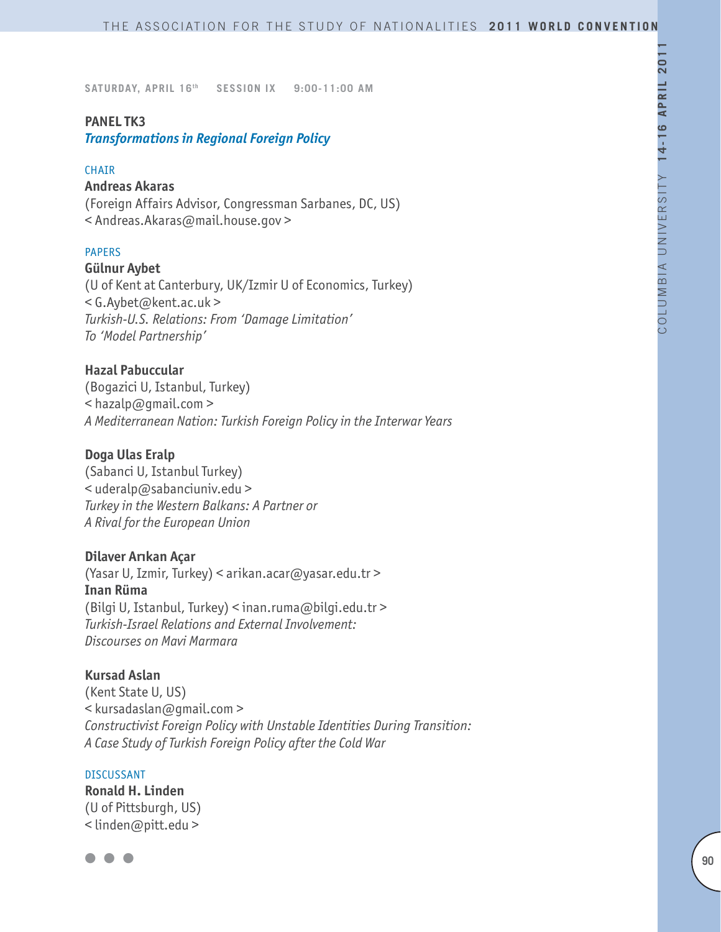## **PANEL TK3**

*Transformations in Regional Foreign Policy*

#### **CHAIR**

#### **Andreas Akaras**

(Foreign Affairs Advisor, Congressman Sarbanes, DC, US) < Andreas.Akaras@mail.house.gov >

#### PAPERS

#### **Gülnur Aybet**

(U of Kent at Canterbury, UK/Izmir U of Economics, Turkey) < G.Aybet@kent.ac.uk > *Turkish-U.S. Relations: From 'Damage Limitation' To 'Model Partnership'*

## **Hazal Pabuccular**

(Bogazici U, Istanbul, Turkey) < hazalp@gmail.com > *A Mediterranean Nation: Turkish Foreign Policy in the Interwar Years*

## **Doga Ulas Eralp**

(Sabanci U, Istanbul Turkey) < uderalp@sabanciuniv.edu > *Turkey in the Western Balkans: A Partner or A Rival for the European Union*

#### **Dilaver Arıkan Açar**

(Yasar U, Izmir, Turkey) < arikan.acar@yasar.edu.tr > **Inan Rüma** (Bilgi U, Istanbul, Turkey) < inan.ruma@bilgi.edu.tr > *Turkish-Israel Relations and External Involvement: Discourses on Mavi Marmara*

#### **Kursad Aslan**

(Kent State U, US) < kursadaslan@gmail.com > *Constructivist Foreign Policy with Unstable Identities During Transition: A Case Study of Turkish Foreign Policy after the Cold War*

#### **DISCUSSANT**

**Ronald H. Linden** (U of Pittsburgh, US) < linden@pitt.edu >

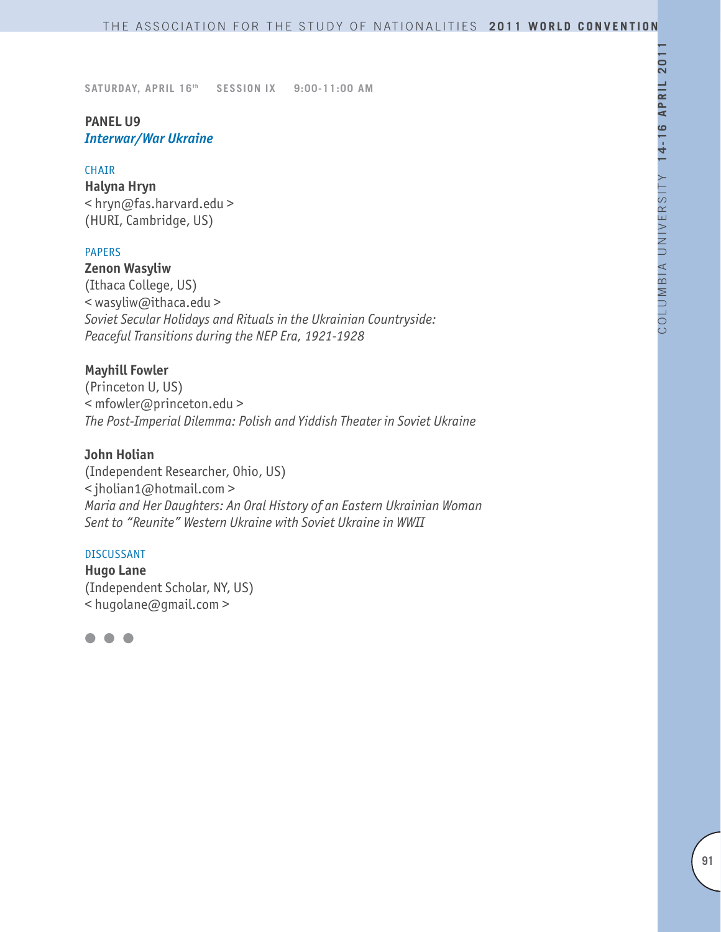# **PANEL U9** *Interwar/War Ukraine*

#### CHAIR

**Halyna Hryn** < hryn@fas.harvard.edu > (HURI, Cambridge, US)

## PAPERS

**Zenon Wasyliw** (Ithaca College, US) < wasyliw@ithaca.edu > *Soviet Secular Holidays and Rituals in the Ukrainian Countryside: Peaceful Transitions during the NEP Era, 1921-1928*

## **Mayhill Fowler**

(Princeton U, US) < mfowler@princeton.edu > *The Post-Imperial Dilemma: Polish and Yiddish Theater in Soviet Ukraine*

## **John Holian**

(Independent Researcher, Ohio, US) < jholian1@hotmail.com > *Maria and Her Daughters: An Oral History of an Eastern Ukrainian Woman Sent to "Reunite" Western Ukraine with Soviet Ukraine in WWII*

#### DISCUSSANT

**Hugo Lane** (Independent Scholar, NY, US) < hugolane@gmail.com >

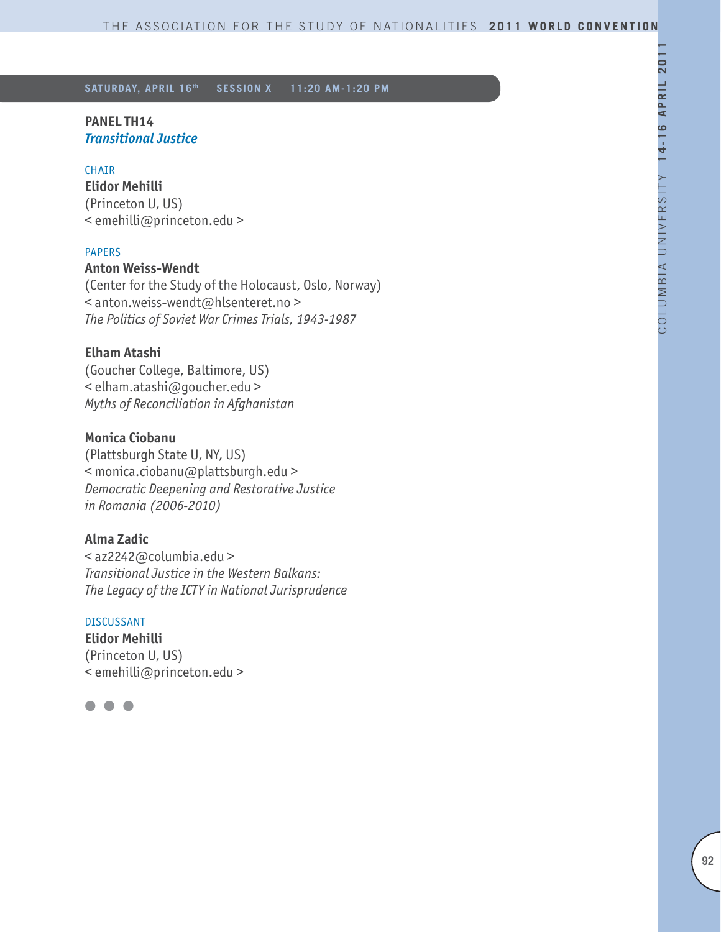## **PANEL TH14** *Transitional Justice*

#### **CHAIR**

**Elidor Mehilli** (Princeton U, US) < emehilli@princeton.edu >

## PAPERS

## **Anton Weiss-Wendt**

(Center for the Study of the Holocaust, Oslo, Norway) < anton.weiss-wendt@hlsenteret.no > *The Politics of Soviet War Crimes Trials, 1943-1987*

## **Elham Atashi**

(Goucher College, Baltimore, US) < elham.atashi@goucher.edu > *Myths of Reconciliation in Afghanistan*

# **Monica Ciobanu**

(Plattsburgh State U, NY, US) < monica.ciobanu@plattsburgh.edu > *Democratic Deepening and Restorative Justice in Romania (2006-2010)*

# **Alma Zadic**

< az2242@columbia.edu > *Transitional Justice in the Western Balkans: The Legacy of the ICTY in National Jurisprudence*

## DISCUSSANT

**Elidor Mehilli** (Princeton U, US) < emehilli@princeton.edu >

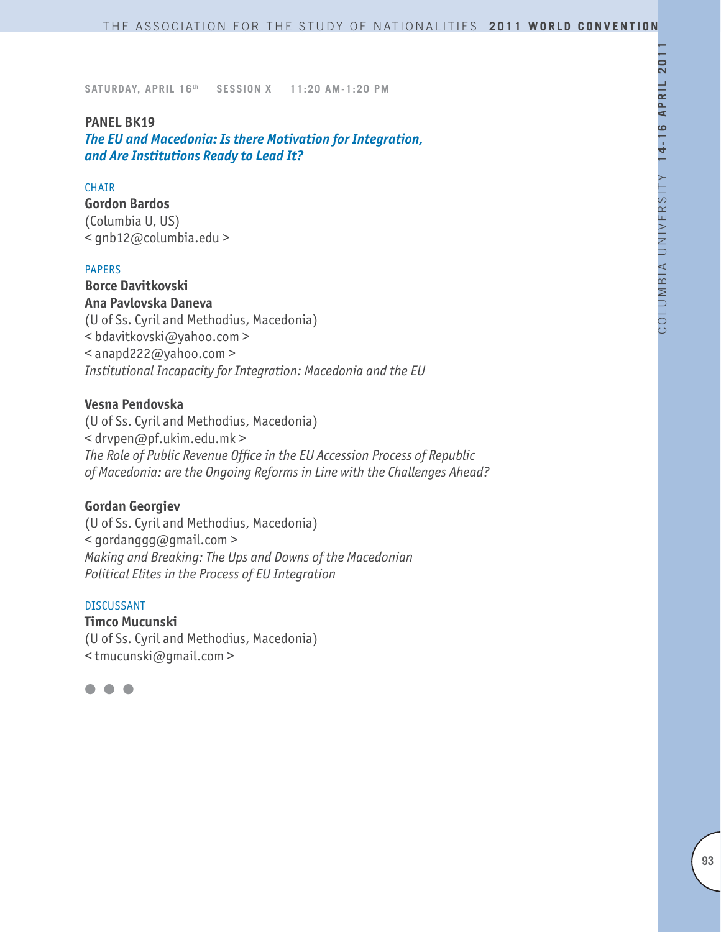#### **PANEL BK19**

*The EU and Macedonia: Is there Motivation for Integration, and Are Institutions Ready to Lead It?*

## **CHATR**

**Gordon Bardos** (Columbia U, US) < gnb12@columbia.edu >

#### PAPERS

**Borce Davitkovski Ana Pavlovska Daneva** (U of Ss. Cyril and Methodius, Macedonia) < bdavitkovski@yahoo.com > < anapd222@yahoo.com > *Institutional Incapacity for Integration: Macedonia and the EU*

## **Vesna Pendovska**

(U of Ss. Cyril and Methodius, Macedonia) < drvpen@pf.ukim.edu.mk > *The Role of Public Revenue Office in the EU Accession Process of Republic of Macedonia: are the Ongoing Reforms in Line with the Challenges Ahead?*

#### **Gordan Georgiev**

(U of Ss. Cyril and Methodius, Macedonia) < gordanggg@gmail.com > *Making and Breaking: The Ups and Downs of the Macedonian Political Elites in the Process of EU Integration* 

#### DISCUSSANT

**Timco Mucunski** (U of Ss. Cyril and Methodius, Macedonia) < tmucunski@gmail.com >

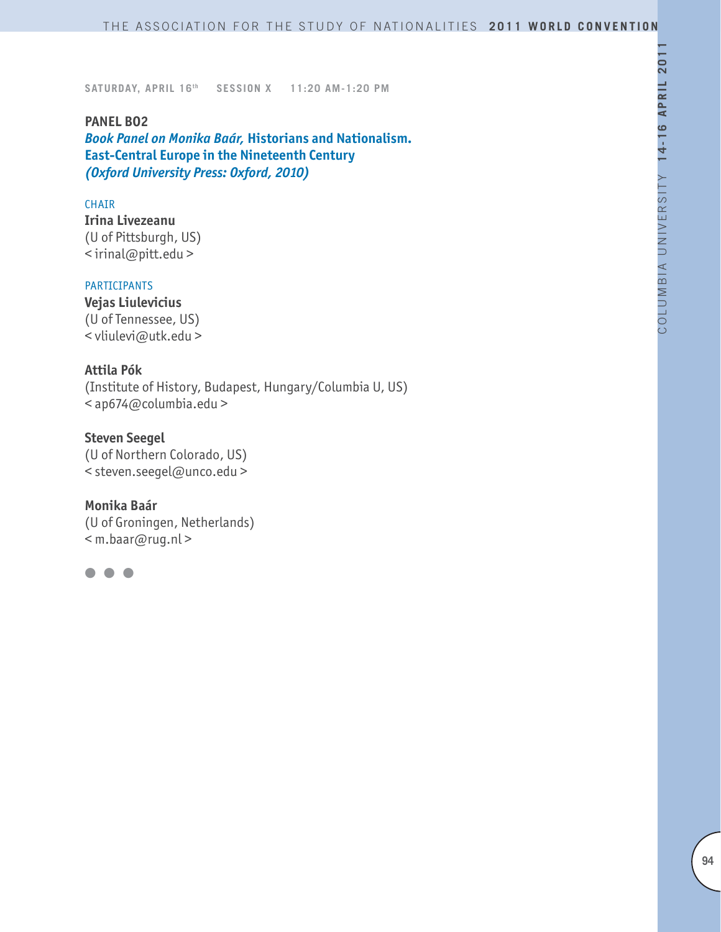**PANEL BO2** *Book Panel on Monika Baár,* **Historians and Nationalism. East-Central Europe in the Nineteenth Century** *(Oxford University Press: Oxford, 2010)*

#### CHAIR

**Irina Livezeanu** (U of Pittsburgh, US) < irinal@pitt.edu >

#### PARTICIPANTS

**Vejas Liulevicius** (U of Tennessee, US) < vliulevi@utk.edu >

## **Attila Pók**

(Institute of History, Budapest, Hungary/Columbia U, US) < ap674@columbia.edu >

**Steven Seegel** (U of Northern Colorado, US) < steven.seegel@unco.edu >

# **Monika Baár**

(U of Groningen, Netherlands) < m.baar@rug.nl >

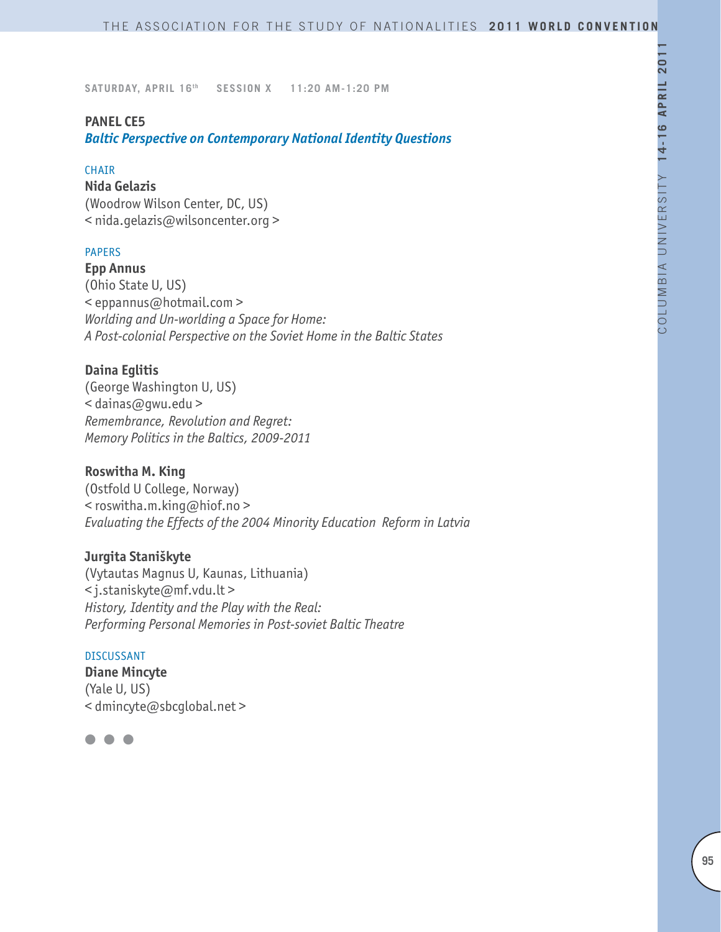#### **PANEL CE5**

*Baltic Perspective on Contemporary National Identity Questions*

#### CHAIR

**Nida Gelazis** (Woodrow Wilson Center, DC, US) < nida.gelazis@wilsoncenter.org >

## PAPERS

**Epp Annus** (Ohio State U, US) < eppannus@hotmail.com > *Worlding and Un-worlding a Space for Home: A Post-colonial Perspective on the Soviet Home in the Baltic States*

## **Daina Eglitis**

(George Washington U, US) < dainas@gwu.edu > *Remembrance, Revolution and Regret: Memory Politics in the Baltics, 2009-2011*

# **Roswitha M. King**

(Ostfold U College, Norway) < roswitha.m.king@hiof.no > *Evaluating the Effects of the 2004 Minority Education Reform in Latvia*

# **Jurgita Staniškyte**

(Vytautas Magnus U, Kaunas, Lithuania) < j.staniskyte@mf.vdu.lt > *History, Identity and the Play with the Real: Performing Personal Memories in Post-soviet Baltic Theatre*

#### DISCUSSANT

**Diane Mincyte** (Yale U, US) < dmincyte@sbcglobal.net >

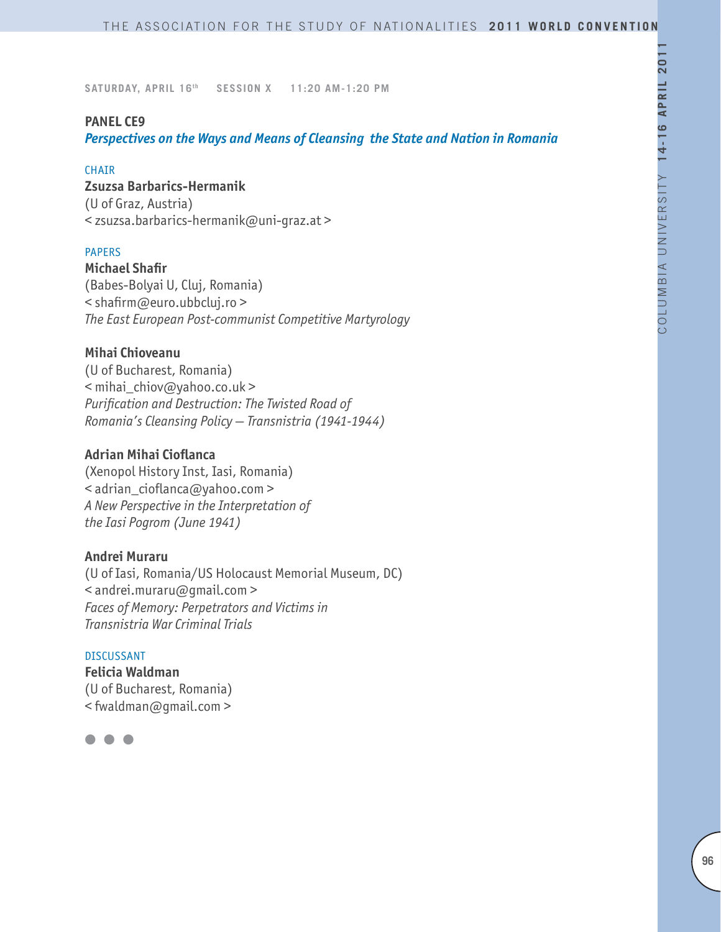## **PANEL CE9**

*Perspectives on the Ways and Means of Cleansing the State and Nation in Romania*

#### CHAIR

**Zsuzsa Barbarics-Hermanik**  (U of Graz, Austria)

< zsuzsa.barbarics-hermanik@uni-graz.at >

## PAPERS

**Michael Shafir** (Babes-Bolyai U, Cluj, Romania) < shafirm@euro.ubbcluj.ro > *The East European Post-communist Competitive Martyrology*

## **Mihai Chioveanu**

(U of Bucharest, Romania) < mihai\_chiov@yahoo.co.uk > *Purification and Destruction: The Twisted Road of Romania's Cleansing Policy — Transnistria (1941-1944)* 

## **Adrian Mihai Cioflanca**

(Xenopol History Inst, Iasi, Romania) < adrian\_cioflanca@yahoo.com > *A New Perspective in the Interpretation of the Iasi Pogrom (June 1941)*

## **Andrei Muraru**

(U of Iasi, Romania/US Holocaust Memorial Museum, DC) < andrei.muraru@gmail.com > *Faces of Memory: Perpetrators and Victims in Transnistria War Criminal Trials*

#### DISCUSSANT

**Felicia Waldman** (U of Bucharest, Romania) < fwaldman@gmail.com >

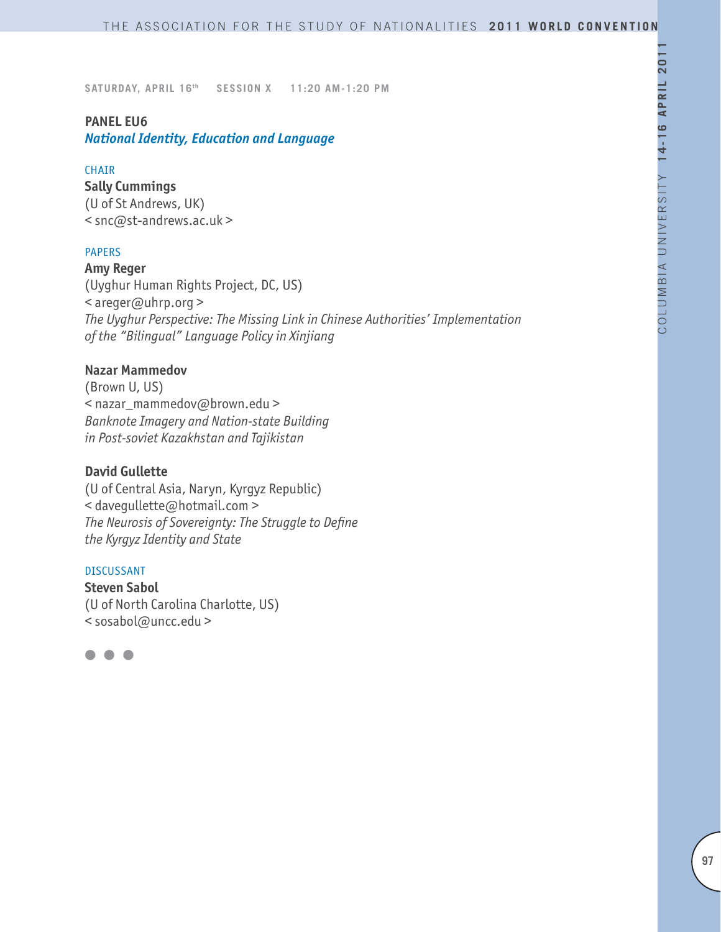# **PANEL EU6**

*National Identity, Education and Language* 

## CHAIR

**Sally Cummings** (U of St Andrews, UK) < snc@st-andrews.ac.uk >

## PAPERS

**Amy Reger** (Uyghur Human Rights Project, DC, US) < areger@uhrp.org > *The Uyghur Perspective: The Missing Link in Chinese Authorities' Implementation of the "Bilingual" Language Policy in Xinjiang*

## **Nazar Mammedov**

(Brown U, US) < nazar\_mammedov@brown.edu > *Banknote Imagery and Nation-state Building in Post-soviet Kazakhstan and Tajikistan*

## **David Gullette**

(U of Central Asia, Naryn, Kyrgyz Republic) < davegullette@hotmail.com > *The Neurosis of Sovereignty: The Struggle to Define the Kyrgyz Identity and State*

#### DISCUSSANT

**Steven Sabol** (U of North Carolina Charlotte, US) < sosabol@uncc.edu >

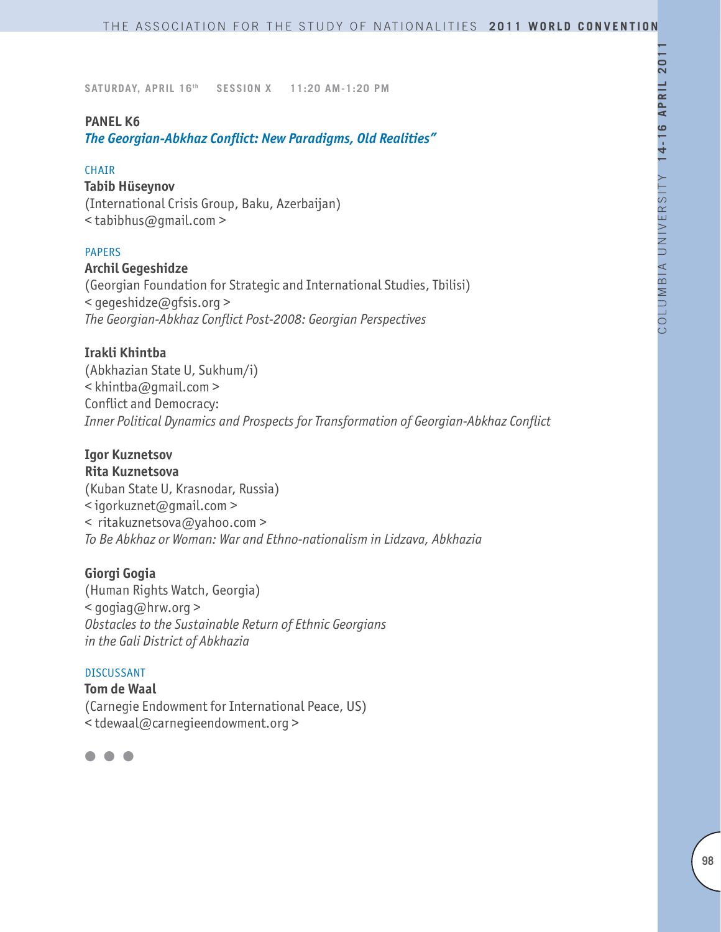## **PANEL K6**

*The Georgian-Abkhaz Conflict: New Paradigms, Old Realities"*

#### **CHAIR**

#### **Tabib Hüseynov**

(International Crisis Group, Baku, Azerbaijan) < tabibhus@gmail.com >

## PAPERS

## **Archil Gegeshidze**

(Georgian Foundation for Strategic and International Studies, Tbilisi) < gegeshidze@gfsis.org > *The Georgian-Abkhaz Conflict Post-2008: Georgian Perspectives* 

## **Irakli Khintba**

(Abkhazian State U, Sukhum/i) < khintba@gmail.com > Conflict and Democracy: *Inner Political Dynamics and Prospects for Transformation of Georgian-Abkhaz Conflict*

# **Igor Kuznetsov**

**Rita Kuznetsova** (Kuban State U, Krasnodar, Russia) < igorkuznet@gmail.com > < ritakuznetsova@yahoo.com > *To Be Abkhaz or Woman: War and Ethno-nationalism in Lidzava, Abkhazia*

## **Giorgi Gogia**

(Human Rights Watch, Georgia) < gogiag@hrw.org > *Obstacles to the Sustainable Return of Ethnic Georgians in the Gali District of Abkhazia*

#### DISCUSSANT

**Tom de Waal** (Carnegie Endowment for International Peace, US) < tdewaal@carnegieendowment.org >

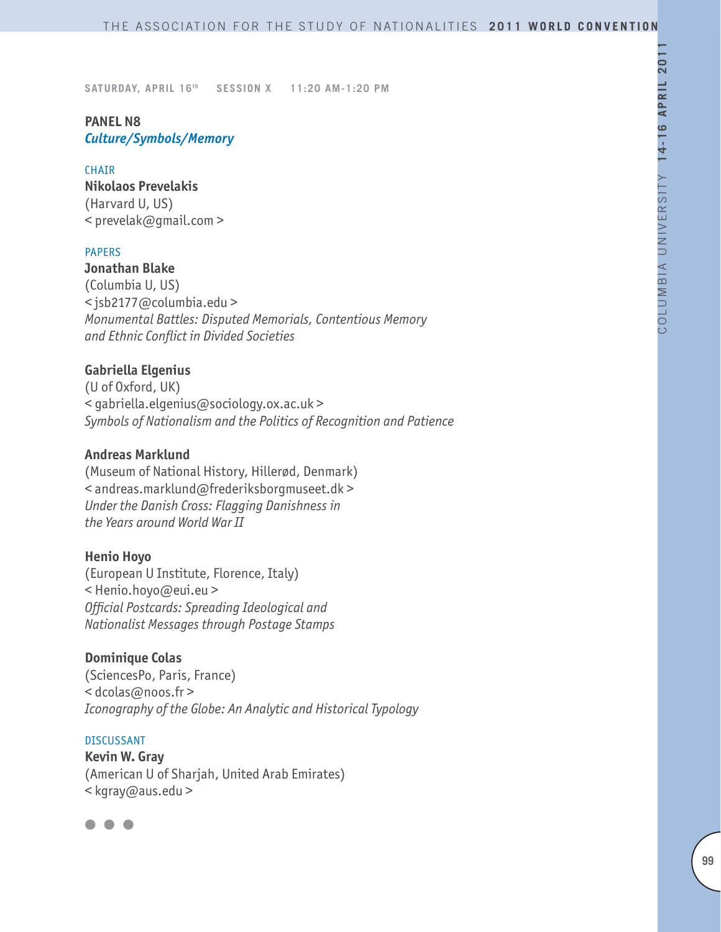# **PANEL N8** *Culture/Symbols/Memory*

#### **CHAIR**

**Nikolaos Prevelakis** (Harvard U, US) < prevelak@gmail.com >

#### PAPERS

## **Jonathan Blake**

(Columbia U, US) < jsb2177@columbia.edu > *Monumental Battles: Disputed Memorials, Contentious Memory and Ethnic Conflict in Divided Societies*

## **Gabriella Elgenius**

(U of Oxford, UK) < gabriella.elgenius@sociology.ox.ac.uk > *Symbols of Nationalism and the Politics of Recognition and Patience*

## **Andreas Marklund**

(Museum of National History, Hillerød, Denmark) < andreas.marklund@frederiksborgmuseet.dk > *Under the Danish Cross: Flagging Danishness in the Years around World War II*

## **Henio Hoyo**

(European U Institute, Florence, Italy) < Henio.hoyo@eui.eu > *Official Postcards: Spreading Ideological and Nationalist Messages through Postage Stamps*

## **Dominique Colas**

(SciencesPo, Paris, France) < dcolas@noos.fr > *Iconography of the Globe: An Analytic and Historical Typology*

# DISCUSSANT

**Kevin W. Gray** (American U of Sharjah, United Arab Emirates) < kgray@aus.edu >

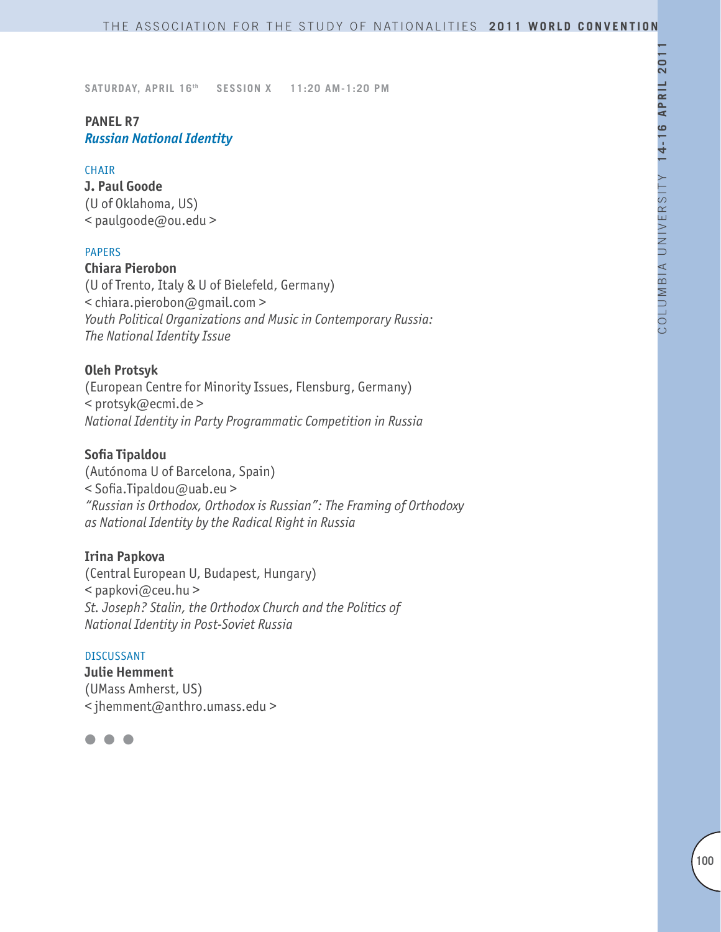# **PANEL R7** *Russian National Identity*

#### **CHAIR**

**J. Paul Goode** (U of Oklahoma, US) < paulgoode@ou.edu >

## PAPERS

## **Chiara Pierobon**

(U of Trento, Italy & U of Bielefeld, Germany) < chiara.pierobon@gmail.com > *Youth Political Organizations and Music in Contemporary Russia: The National Identity Issue*

#### **Oleh Protsyk**

(European Centre for Minority Issues, Flensburg, Germany) < protsyk@ecmi.de > *National Identity in Party Programmatic Competition in Russia*

#### **Sofia Tipaldou**

(Autónoma U of Barcelona, Spain) < Sofia.Tipaldou@uab.eu > *"Russian is Orthodox, Orthodox is Russian": The Framing of Orthodoxy as National Identity by the Radical Right in Russia*

#### **Irina Papkova**

(Central European U, Budapest, Hungary) < papkovi@ceu.hu > *St. Joseph? Stalin, the Orthodox Church and the Politics of National Identity in Post-Soviet Russia*

#### DISCUSSANT

**Julie Hemment** (UMass Amherst, US) < jhemment@anthro.umass.edu >

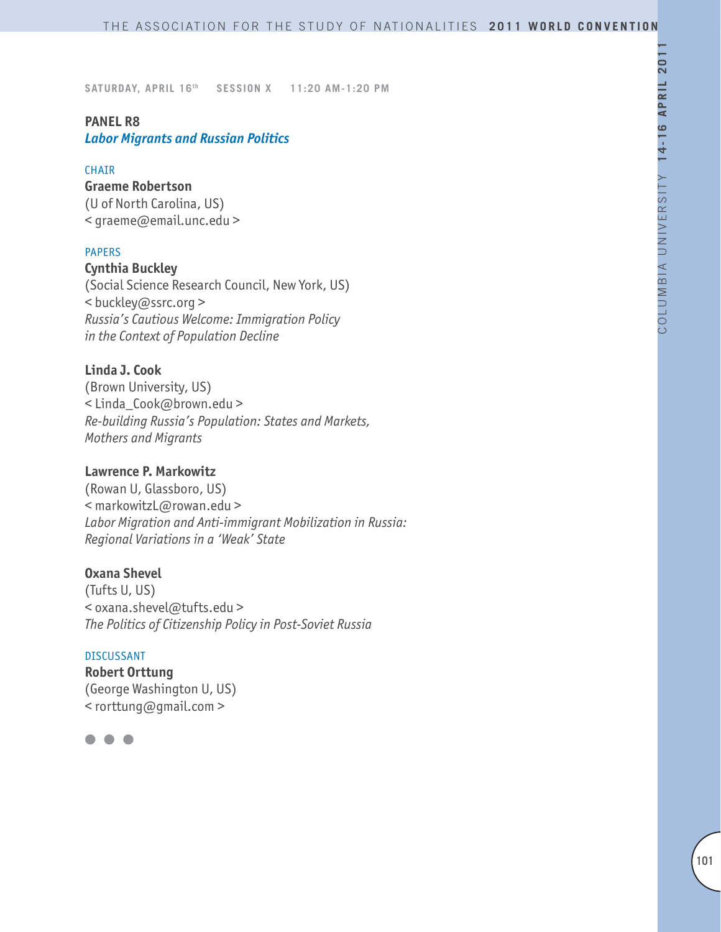## **PANEL R8**

*Labor Migrants and Russian Politics*

## CHAIR

## **Graeme Robertson**

(U of North Carolina, US) < graeme@email.unc.edu >

## PAPERS

**Cynthia Buckley** (Social Science Research Council, New York, US) < buckley@ssrc.org > *Russia's Cautious Welcome: Immigration Policy in the Context of Population Decline*

# **Linda J. Cook**

(Brown University, US) < Linda\_Cook@brown.edu > *Re-building Russia's Population: States and Markets, Mothers and Migrants*

## **Lawrence P. Markowitz**

(Rowan U, Glassboro, US) < markowitzL@rowan.edu > *Labor Migration and Anti-immigrant Mobilization in Russia: Regional Variations in a 'Weak' State*

# **Oxana Shevel**

(Tufts U, US) < oxana.shevel@tufts.edu > *The Politics of Citizenship Policy in Post-Soviet Russia*

#### DISCUSSANT

**Robert Orttung** (George Washington U, US) < rorttung@gmail.com >

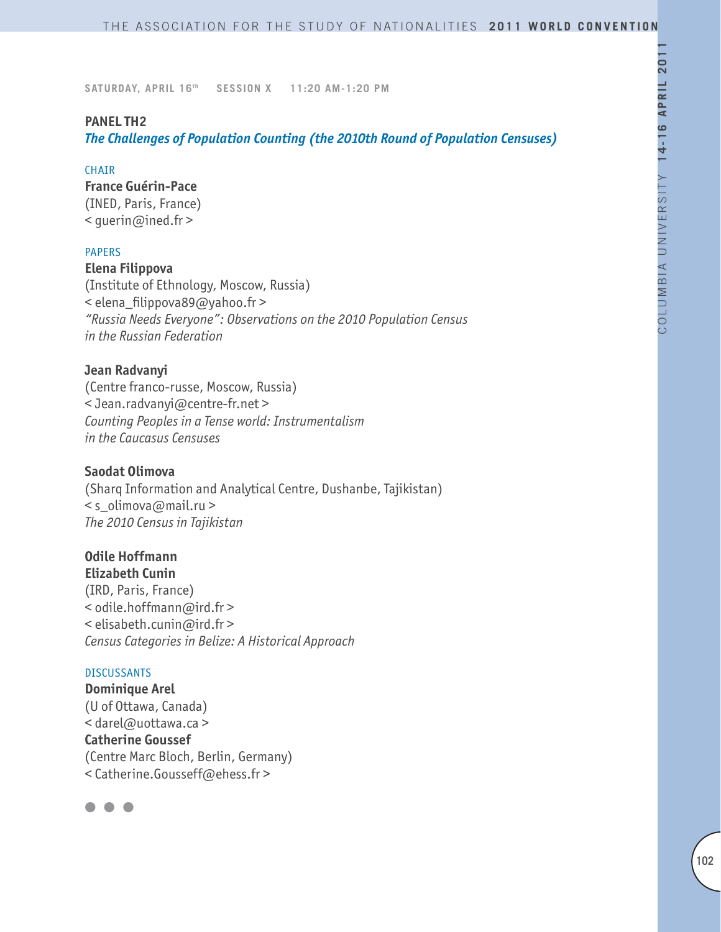## **PANEL TH2**

*The Challenges of Population Counting (the 2010th Round of Population Censuses)*

#### **CHAIR**

**France Guérin-Pace** (INED, Paris, France) < guerin@ined.fr >

## PAPERS

**Elena Filippova** (Institute of Ethnology, Moscow, Russia) < elena\_filippova89@yahoo.fr > *"Russia Needs Everyone": Observations on the 2010 Population Census in the Russian Federation*

## **Jean Radvanyi**

(Centre franco-russe, Moscow, Russia) < Jean.radvanyi@centre-fr.net > *Counting Peoples in a Tense world: Instrumentalism in the Caucasus Censuses* 

## **Saodat Olimova**

(Sharq Information and Analytical Centre, Dushanbe, Tajikistan)  $\leq$ s olimova@mail.ru > *The 2010 Census in Tajikistan* 

# **Odile Hoffmann**

**Elizabeth Cunin** (IRD, Paris, France) < odile.hoffmann@ird.fr > < elisabeth.cunin@ird.fr > *Census Categories in Belize: A Historical Approach*

#### DISCUSSANTS

**Dominique Arel** (U of Ottawa, Canada) < darel@uottawa.ca > **Catherine Goussef** (Centre Marc Bloch, Berlin, Germany) < Catherine.Gousseff@ehess.fr >

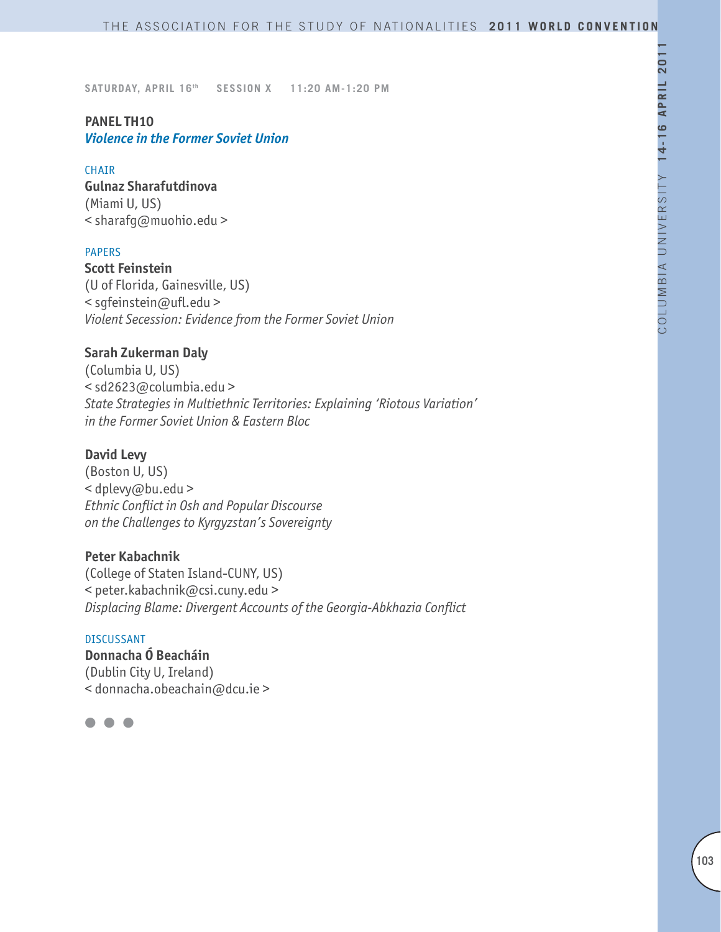# **PANEL TH10** *Violence in the Former Soviet Union*

#### **CHATR**

**Gulnaz Sharafutdinova**  (Miami U, US) < sharafg@muohio.edu >

## PAPERS

**Scott Feinstein** (U of Florida, Gainesville, US) < sgfeinstein@ufl.edu > *Violent Secession: Evidence from the Former Soviet Union*

#### **Sarah Zukerman Daly**

(Columbia U, US) < sd2623@columbia.edu > *State Strategies in Multiethnic Territories: Explaining 'Riotous Variation' in the Former Soviet Union & Eastern Bloc*

#### **David Levy**

(Boston U, US) < dplevy@bu.edu > *Ethnic Conflict in Osh and Popular Discourse on the Challenges to Kyrgyzstan's Sovereignty*

## **Peter Kabachnik**

(College of Staten Island-CUNY, US) < peter.kabachnik@csi.cuny.edu > *Displacing Blame: Divergent Accounts of the Georgia-Abkhazia Conflict*

#### DISCUSSANT

**Donnacha Ó Beacháin** (Dublin City U, Ireland) < donnacha.obeachain@dcu.ie >

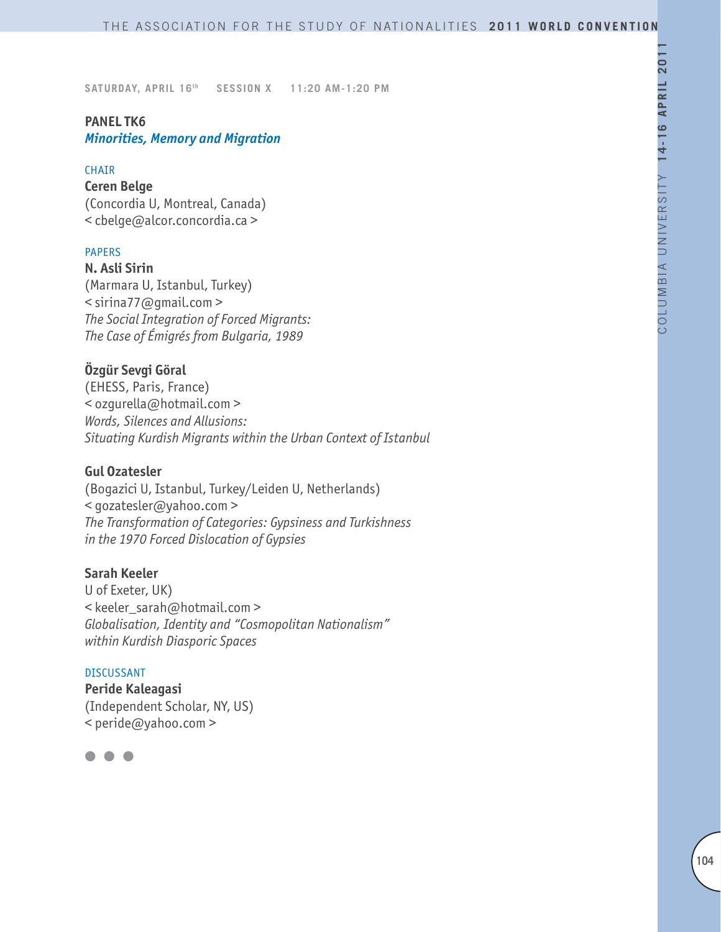# **PANEL TK6**

*Minorities, Memory and Migration*

## **CHAIR**

# **Ceren Belge**

(Concordia U, Montreal, Canada) < cbelge@alcor.concordia.ca >

## PAPERS

**N. Asli Sirin** (Marmara U, Istanbul, Turkey) < sirina77@gmail.com > *The Social Integration of Forced Migrants: The Case of Émigrés from Bulgaria, 1989*

# **Özgür Sevgi Göral**

(EHESS, Paris, France) < ozgurella@hotmail.com > *Words, Silences and Allusions: Situating Kurdish Migrants within the Urban Context of Istanbul*

## **Gul Ozatesler**

(Bogazici U, Istanbul, Turkey/Leiden U, Netherlands) < gozatesler@yahoo.com > *The Transformation of Categories: Gypsiness and Turkishness in the 1970 Forced Dislocation of Gypsies*

## **Sarah Keeler**

U of Exeter, UK) < keeler\_sarah@hotmail.com > *Globalisation, Identity and "Cosmopolitan Nationalism" within Kurdish Diasporic Spaces* 

## DISCUSSANT

**Peride Kaleagasi** (Independent Scholar, NY, US) < peride@yahoo.com >

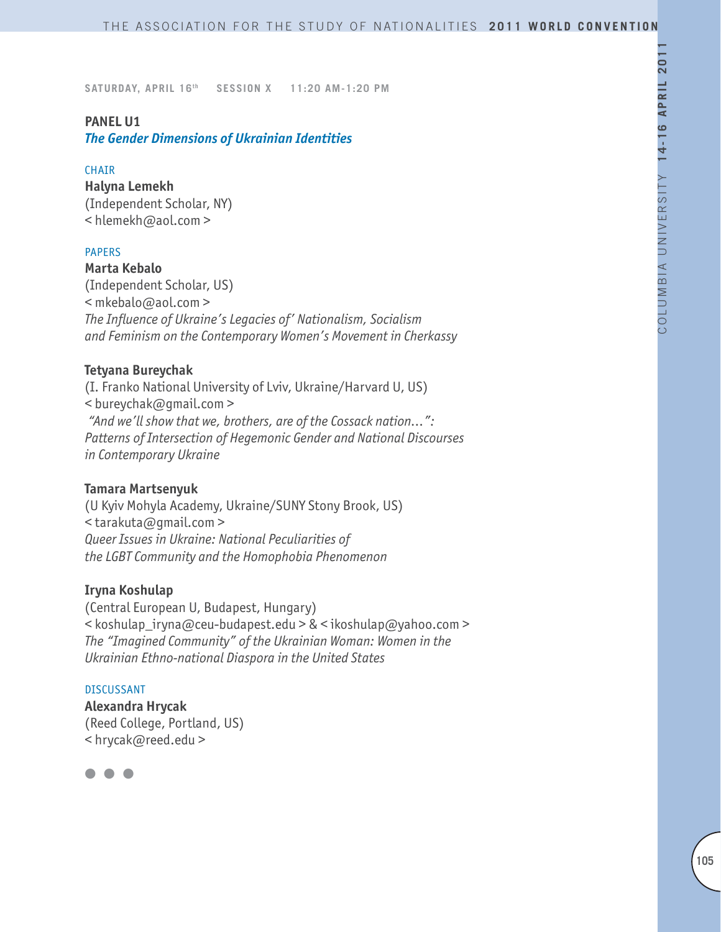## **PANEL U1**

*The Gender Dimensions of Ukrainian Identities*

#### **CHAIR**

**Halyna Lemekh** (Independent Scholar, NY) < hlemekh@aol.com >

#### PAPERS

**Marta Kebalo**

(Independent Scholar, US) < mkebalo@aol.com > *The Influence of Ukraine's Legacies of' Nationalism, Socialism and Feminism on the Contemporary Women's Movement in Cherkassy*

## **Tetyana Bureychak**

(I. Franko National University of Lviv, Ukraine/Harvard U, US) < bureychak@gmail.com >  *"And we'll show that we, brothers, are of the Cossack nation…": Patterns of Intersection of Hegemonic Gender and National Discourses in Contemporary Ukraine*

#### **Tamara Martsenyuk**

(U Kyiv Mohyla Academy, Ukraine/SUNY Stony Brook, US) < tarakuta@gmail.com > *Queer Issues in Ukraine: National Peculiarities of the LGBT Community and the Homophobia Phenomenon*

#### **Iryna Koshulap**

(Central European U, Budapest, Hungary) < koshulap\_iryna@ceu-budapest.edu > & < ikoshulap@yahoo.com > *The "Imagined Community" of the Ukrainian Woman: Women in the Ukrainian Ethno-national Diaspora in the United States*

#### DISCUSSANT

**Alexandra Hrycak** (Reed College, Portland, US) < hrycak@reed.edu >

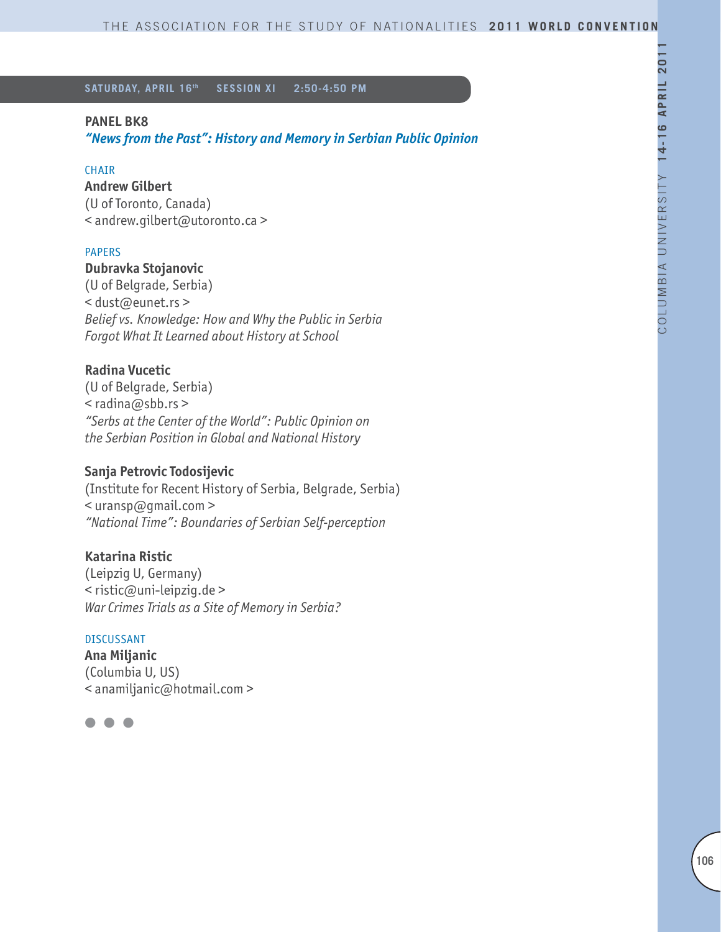**SATURDAY, APRIL 16th SESSION XI 2:50-4:50 PM**

## **PANEL BK8**

*"News from the Past": History and Memory in Serbian Public Opinion*

## CHAIR

**Andrew Gilbert**

(U of Toronto, Canada) < andrew.gilbert@utoronto.ca >

## PAPERS

# **Dubravka Stojanovic**

(U of Belgrade, Serbia) < dust@eunet.rs > *Belief vs. Knowledge: How and Why the Public in Serbia Forgot What It Learned about History at School*

## **Radina Vucetic**

(U of Belgrade, Serbia) < radina@sbb.rs > *"Serbs at the Center of the World": Public Opinion on the Serbian Position in Global and National History* 

## **Sanja Petrovic Todosijevic**

(Institute for Recent History of Serbia, Belgrade, Serbia)  $\leq$ uransp $\omega$ gmail.com > *"National Time": Boundaries of Serbian Self-perception*

## **Katarina Ristic**

(Leipzig U, Germany) < ristic@uni-leipzig.de > *War Crimes Trials as a Site of Memory in Serbia?*

#### DISCUSSANT

**Ana Miljanic** (Columbia U, US) < anamiljanic@hotmail.com >

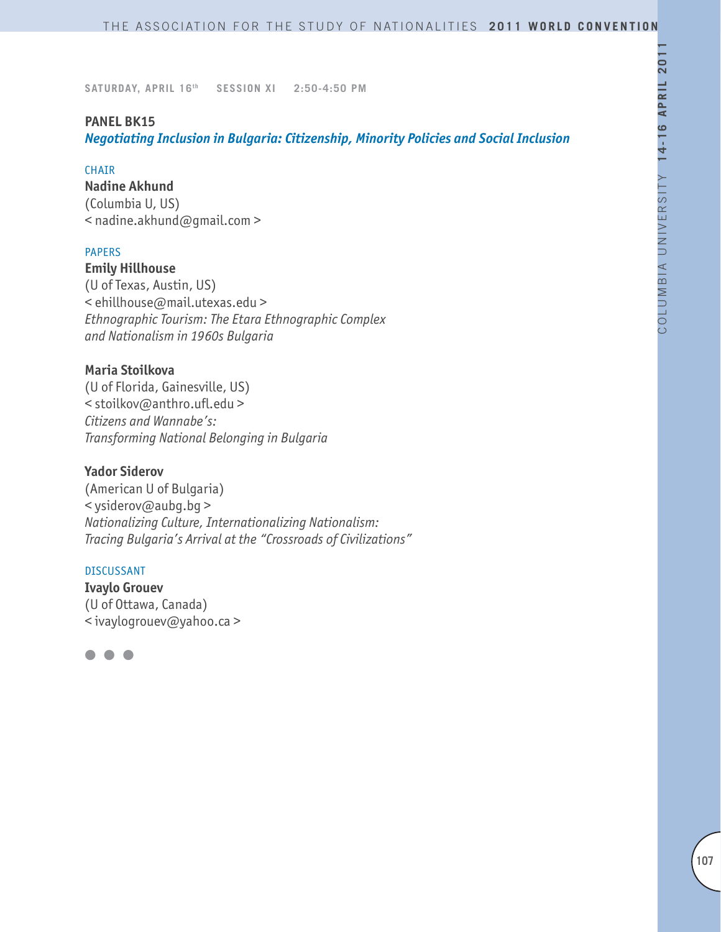**SATURDAY, APRIL 16th SESSION XI 2:50-4:50 PM**

## **PANEL BK15**

*Negotiating Inclusion in Bulgaria: Citizenship, Minority Policies and Social Inclusion*

#### **CHAIR**

**Nadine Akhund** (Columbia U, US) < nadine.akhund@gmail.com >

## PAPERS

**Emily Hillhouse** (U of Texas, Austin, US) < ehillhouse@mail.utexas.edu > *Ethnographic Tourism: The Etara Ethnographic Complex and Nationalism in 1960s Bulgaria*

## **Maria Stoilkova**

(U of Florida, Gainesville, US) < stoilkov@anthro.ufl.edu > *Citizens and Wannabe's: Transforming National Belonging in Bulgaria* 

## **Yador Siderov**

(American U of Bulgaria) < ysiderov@aubg.bg > *Nationalizing Culture, Internationalizing Nationalism: Tracing Bulgaria's Arrival at the "Crossroads of Civilizations"*

#### DISCUSSANT

**Ivaylo Grouev** (U of Ottawa, Canada) < ivaylogrouev@yahoo.ca >

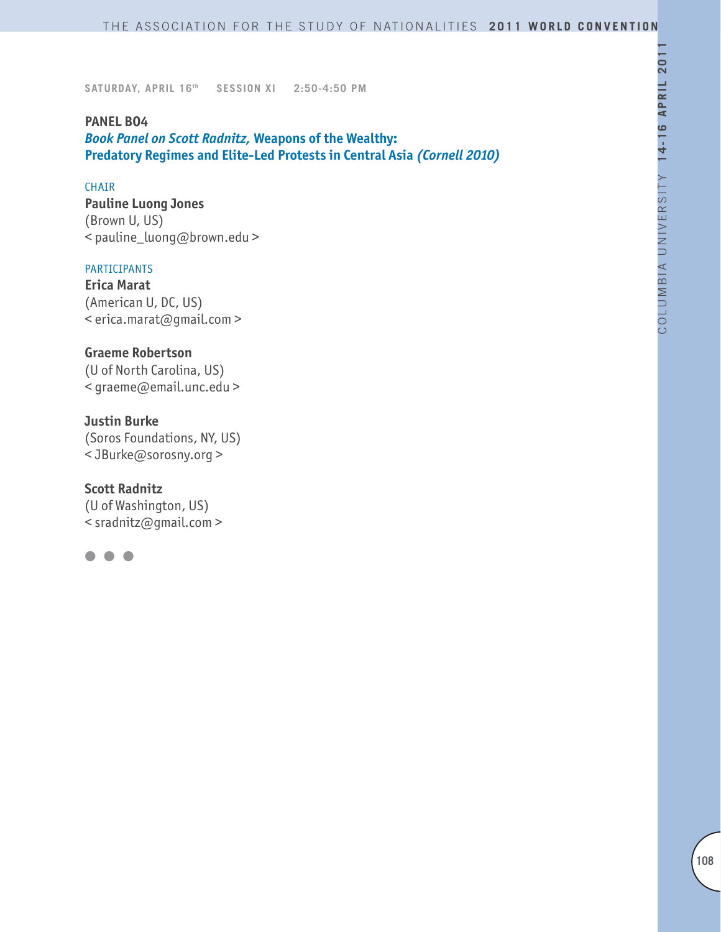**SATURDAY, APRIL 16th SESSION XI 2:50-4:50 PM**

#### **PANEL BO4**

*Book Panel on Scott Radnitz,* **Weapons of the Wealthy: Predatory Regimes and Elite-Led Protests in Central Asia** *(Cornell 2010)*

## CHAIR

**Pauline Luong Jones** (Brown U, US) < pauline\_luong@brown.edu >

#### PARTICIPANTS

**Erica Marat** (American U, DC, US) < erica.marat@gmail.com >

## **Graeme Robertson**

(U of North Carolina, US) < graeme@email.unc.edu >

## **Justin Burke**

(Soros Foundations, NY, US) < JBurke@sorosny.org >

## **Scott Radnitz**

(U of Washington, US) < sradnitz@gmail.com >

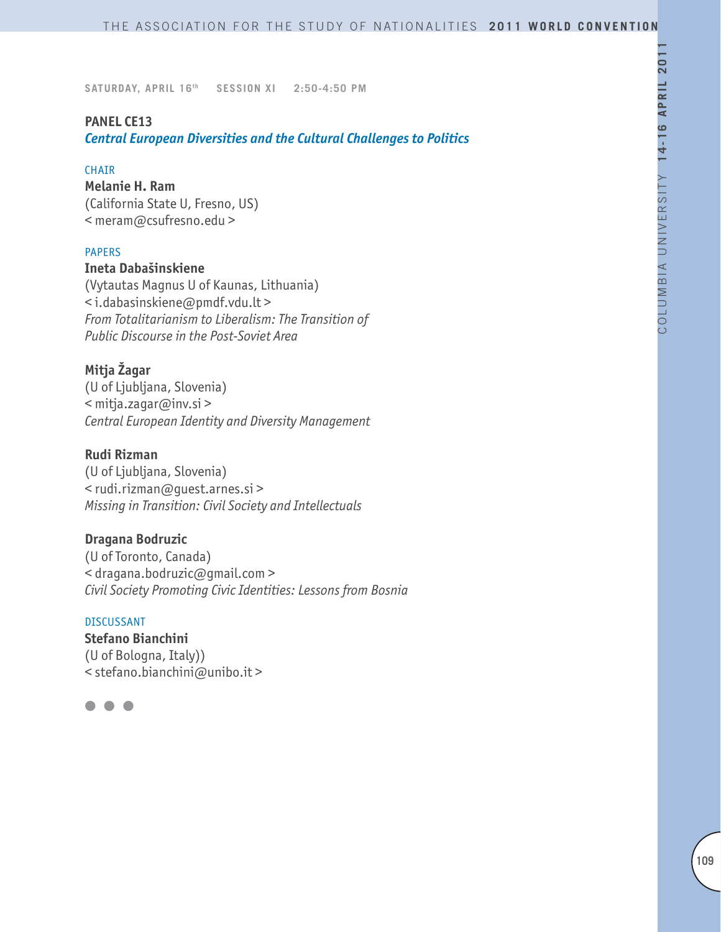### **PANEL CE13**

*Central European Diversities and the Cultural Challenges to Politics*

#### CHAIR

**Melanie H. Ram**

(California State U, Fresno, US) < meram@csufresno.edu >

### PAPERS

#### **Ineta Dabašinskiene**

(Vytautas Magnus U of Kaunas, Lithuania) < i.dabasinskiene@pmdf.vdu.lt > *From Totalitarianism to Liberalism: The Transition of Public Discourse in the Post-Soviet Area*

# **Mitja Žagar**

(U of Ljubljana, Slovenia) < mitja.zagar@inv.si > *Central European Identity and Diversity Management* 

### **Rudi Rizman**

(U of Ljubljana, Slovenia) < rudi.rizman@guest.arnes.si > *Missing in Transition: Civil Society and Intellectuals*

### **Dragana Bodruzic**

(U of Toronto, Canada) < dragana.bodruzic@gmail.com > *Civil Society Promoting Civic Identities: Lessons from Bosnia*

#### DISCUSSANT

**Stefano Bianchini**  (U of Bologna, Italy)) < stefano.bianchini@unibo.it >

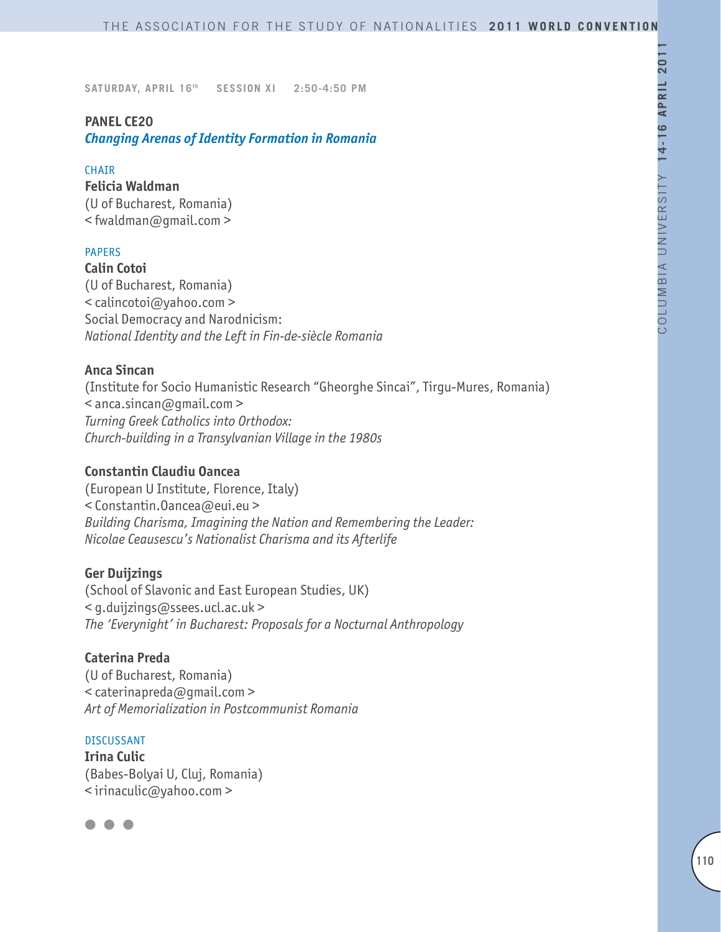### **PANEL CE20**

*Changing Arenas of Identity Formation in Romania*

#### CHAIR

### **Felicia Waldman**

(U of Bucharest, Romania) < fwaldman@gmail.com >

### PAPERS

**Calin Cotoi**

(U of Bucharest, Romania) < calincotoi@yahoo.com > Social Democracy and Narodnicism: *National Identity and the Left in Fin-de-siècle Romania*

### **Anca Sincan**

(Institute for Socio Humanistic Research "Gheorghe Sincai", Tirgu-Mures, Romania) < anca.sincan@gmail.com > *Turning Greek Catholics into Orthodox: Church-building in a Transylvanian Village in the 1980s*

### **Constantin Claudiu Oancea**

(European U Institute, Florence, Italy) < Constantin.Oancea@eui.eu > *Building Charisma, Imagining the Nation and Remembering the Leader: Nicolae Ceausescu's Nationalist Charisma and its Afterlife*

### **Ger Duijzings**

(School of Slavonic and East European Studies, UK) < g.duijzings@ssees.ucl.ac.uk > *The 'Everynight' in Bucharest: Proposals for a Nocturnal Anthropology* 

# **Caterina Preda**

(U of Bucharest, Romania) < caterinapreda@gmail.com > *Art of Memorialization in Postcommunist Romania*

### DISCUSSANT

**Irina Culic** (Babes-Bolyai U, Cluj, Romania) < irinaculic@yahoo.com >

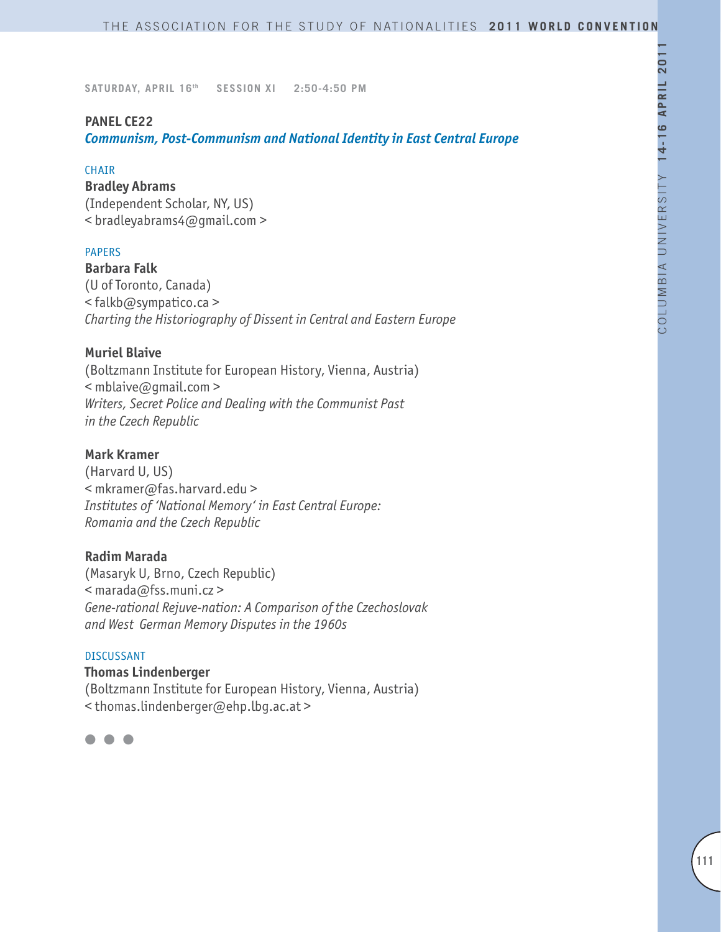### **PANEL CE22**

*Communism, Post-Communism and National Identity in East Central Europe*

#### **CHAIR**

**Bradley Abrams**

(Independent Scholar, NY, US) < bradleyabrams4@gmail.com >

### PAPERS

**Barbara Falk** (U of Toronto, Canada) < falkb@sympatico.ca > *Charting the Historiography of Dissent in Central and Eastern Europe* 

### **Muriel Blaive**

(Boltzmann Institute for European History, Vienna, Austria)  $\leq$  mblaive@qmail.com > *Writers, Secret Police and Dealing with the Communist Past in the Czech Republic*

### **Mark Kramer**

(Harvard U, US) < mkramer@fas.harvard.edu > *Institutes of 'National Memory' in East Central Europe: Romania and the Czech Republic*

### **Radim Marada**

(Masaryk U, Brno, Czech Republic) < marada@fss.muni.cz > *Gene-rational Rejuve-nation: A Comparison of the Czechoslovak and West German Memory Disputes in the 1960s*

#### DISCUSSANT

**Thomas Lindenberger** (Boltzmann Institute for European History, Vienna, Austria) < thomas.lindenberger@ehp.lbg.ac.at >

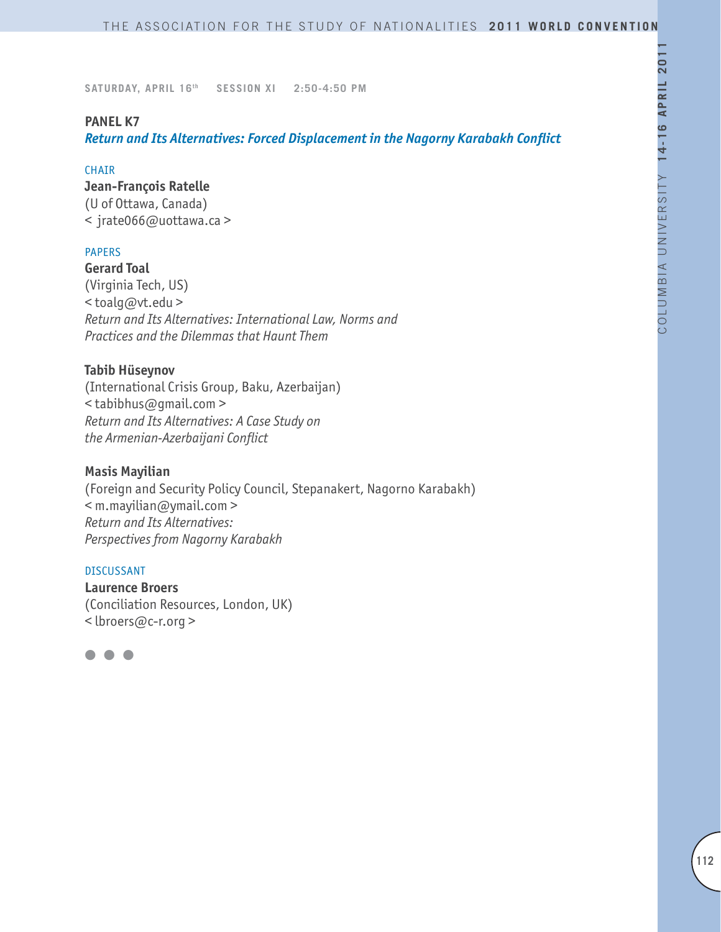#### **PANEL K7**

*Return and Its Alternatives: Forced Displacement in the Nagorny Karabakh Conflict*

#### **CHAIR**

**Jean-François Ratelle** (U of Ottawa, Canada) < jrate066@uottawa.ca >

### PAPERS

**Gerard Toal** (Virginia Tech, US) < toalg@vt.edu > *Return and Its Alternatives: International Law, Norms and Practices and the Dilemmas that Haunt Them*

### **Tabib Hüseynov**

(International Crisis Group, Baku, Azerbaijan) < tabibhus@gmail.com > *Return and Its Alternatives: A Case Study on the Armenian-Azerbaijani Conflict*

### **Masis Mayilian**

(Foreign and Security Policy Council, Stepanakert, Nagorno Karabakh) < m.mayilian@ymail.com > *Return and Its Alternatives: Perspectives from Nagorny Karabakh*

#### DISCUSSANT

**Laurence Broers** (Conciliation Resources, London, UK) < lbroers@c-r.org >

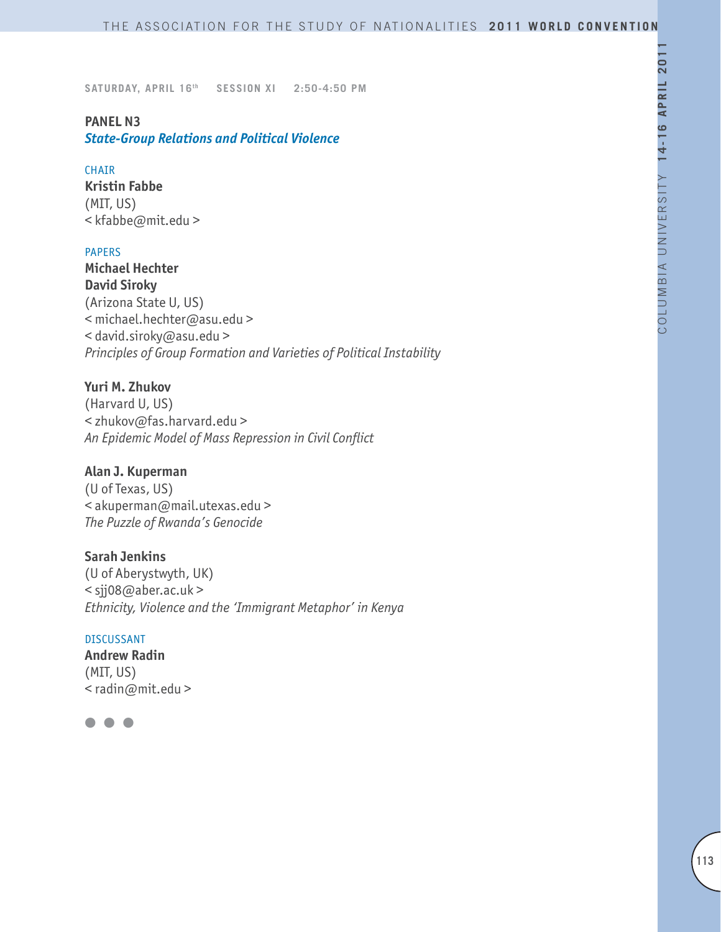# **PANEL N3**

# *State-Group Relations and Political Violence*

#### CHAIR

**Kristin Fabbe**  (MIT, US) < kfabbe@mit.edu >

### PAPERS

**Michael Hechter David Siroky** (Arizona State U, US) < michael.hechter@asu.edu > < david.siroky@asu.edu > *Principles of Group Formation and Varieties of Political Instability*

# **Yuri M. Zhukov**

(Harvard U, US) < zhukov@fas.harvard.edu > *An Epidemic Model of Mass Repression in Civil Conflict*

### **Alan J. Kuperman**

(U of Texas, US) < akuperman@mail.utexas.edu > *The Puzzle of Rwanda's Genocide*

### **Sarah Jenkins**

(U of Aberystwyth, UK) < sjj08@aber.ac.uk > *Ethnicity, Violence and the 'Immigrant Metaphor' in Kenya*

#### DISCUSSANT

**Andrew Radin** (MIT, US) < radin@mit.edu >

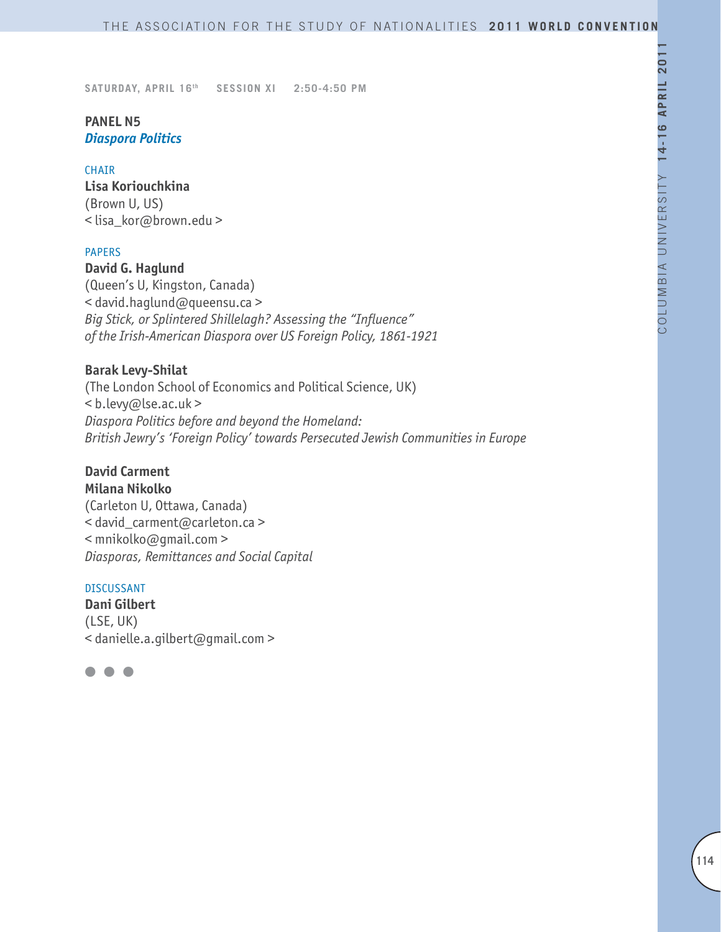# **PANEL N5**  *Diaspora Politics*

#### CHAIR

**Lisa Koriouchkina** (Brown U, US) < lisa\_kor@brown.edu >

#### PAPERS

**David G. Haglund** (Queen's U, Kingston, Canada) < david.haglund@queensu.ca > *Big Stick, or Splintered Shillelagh? Assessing the "Influence" of the Irish-American Diaspora over US Foreign Policy, 1861-1921*

### **Barak Levy-Shilat**

(The London School of Economics and Political Science, UK) < b.levy@lse.ac.uk > *Diaspora Politics before and beyond the Homeland: British Jewry's 'Foreign Policy' towards Persecuted Jewish Communities in Europe*

### **David Carment Milana Nikolko**

(Carleton U, Ottawa, Canada) < david\_carment@carleton.ca > < mnikolko@gmail.com > *Diasporas, Remittances and Social Capital*

### DISCUSSANT

**Dani Gilbert** (LSE, UK) < danielle.a.gilbert@gmail.com >

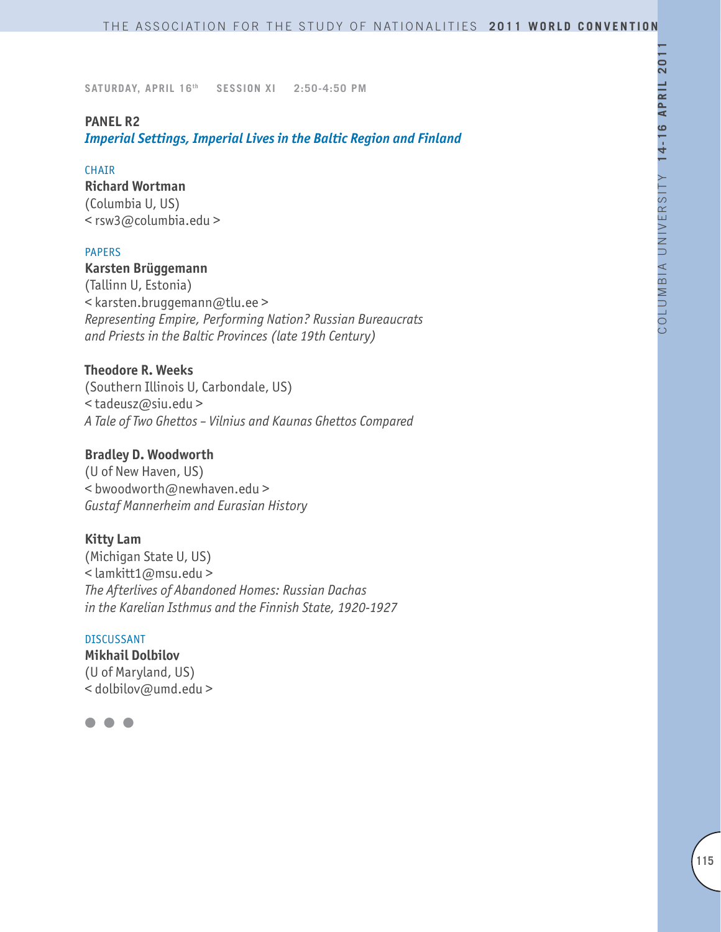### **PANEL R2**

*Imperial Settings, Imperial Lives in the Baltic Region and Finland*

#### CHAIR

**Richard Wortman**

(Columbia U, US) < rsw3@columbia.edu >

### PAPERS

### **Karsten Brüggemann**

(Tallinn U, Estonia) < karsten.bruggemann@tlu.ee > *Representing Empire, Performing Nation? Russian Bureaucrats and Priests in the Baltic Provinces (late 19th Century)*

### **Theodore R. Weeks**

(Southern Illinois U, Carbondale, US) < tadeusz@siu.edu > *A Tale of Two Ghettos – Vilnius and Kaunas Ghettos Compared*

### **Bradley D. Woodworth**

(U of New Haven, US) < bwoodworth@newhaven.edu > *Gustaf Mannerheim and Eurasian History*

### **Kitty Lam**

(Michigan State U, US) < lamkitt1@msu.edu > *The Afterlives of Abandoned Homes: Russian Dachas in the Karelian Isthmus and the Finnish State, 1920-1927* 

#### DISCUSSANT

**Mikhail Dolbilov** (U of Maryland, US) < dolbilov@umd.edu >

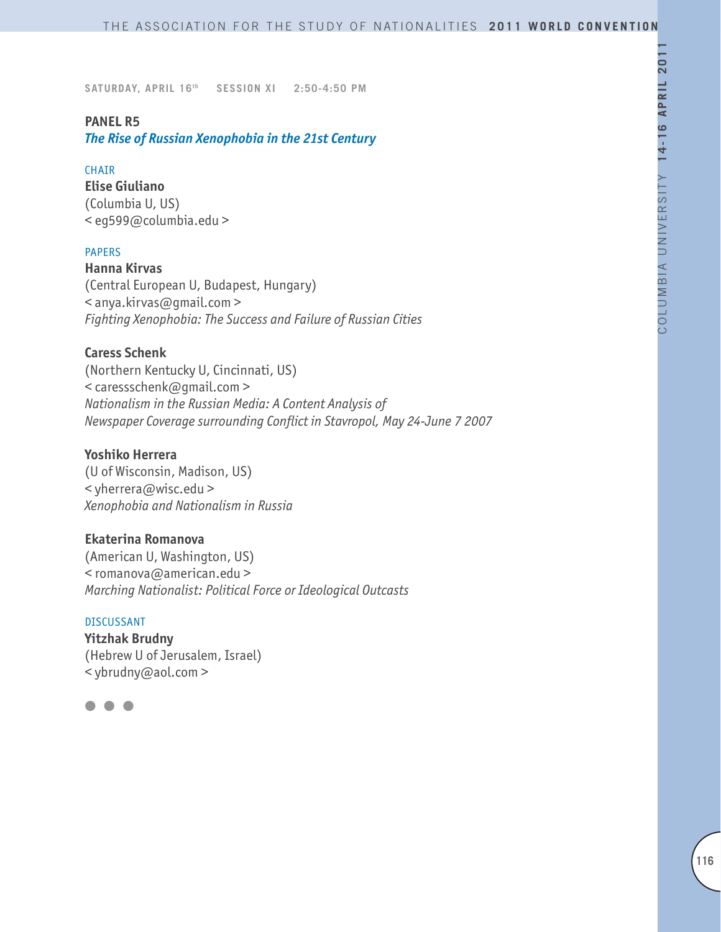### **PANEL R5**

*The Rise of Russian Xenophobia in the 21st Century*

#### CHAIR

**Elise Giuliano** (Columbia U, US) < eg599@columbia.edu >

### PAPERS

**Hanna Kirvas** (Central European U, Budapest, Hungary) < anya.kirvas@gmail.com > *Fighting Xenophobia: The Success and Failure of Russian Cities*

### **Caress Schenk**

(Northern Kentucky U, Cincinnati, US) < caressschenk@gmail.com > *Nationalism in the Russian Media: A Content Analysis of Newspaper Coverage surrounding Conflict in Stavropol, May 24-June 7 2007*

# **Yoshiko Herrera**

(U of Wisconsin, Madison, US) < yherrera@wisc.edu > *Xenophobia and Nationalism in Russia*

### **Ekaterina Romanova**

(American U, Washington, US) < romanova@american.edu > *Marching Nationalist: Political Force or Ideological Outcasts*

#### DISCUSSANT

**Yitzhak Brudny** (Hebrew U of Jerusalem, Israel) < ybrudny@aol.com >

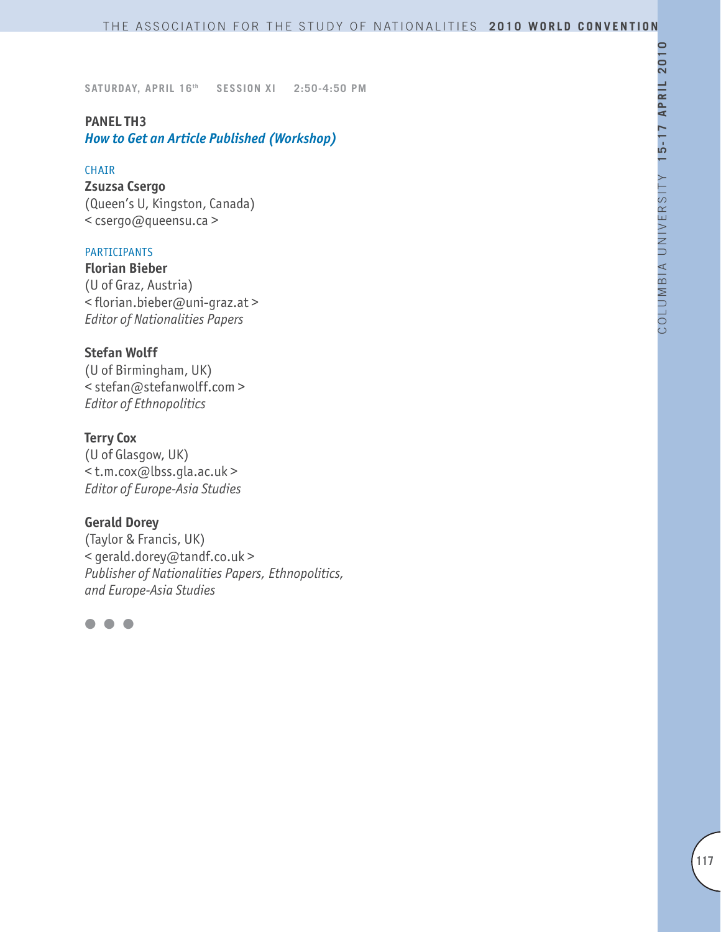# **PANEL TH3**

*How to Get an Article Published (Workshop)*

### CHAIR

**Zsuzsa Csergo** (Queen's U, Kingston, Canada) < csergo@queensu.ca >

# PARTICIPANTS

**Florian Bieber**  (U of Graz, Austria) < florian.bieber@uni-graz.at > *Editor of Nationalities Papers*

### **Stefan Wolff**

(U of Birmingham, UK) < stefan@stefanwolff.com > *Editor of Ethnopolitics*

### **Terry Cox**

(U of Glasgow, UK) < t.m.cox@lbss.gla.ac.uk > *Editor of Europe-Asia Studies*

### **Gerald Dorey**

(Taylor & Francis, UK) < gerald.dorey@tandf.co.uk > *Publisher of Nationalities Papers, Ethnopolitics, and Europe-Asia Studies*

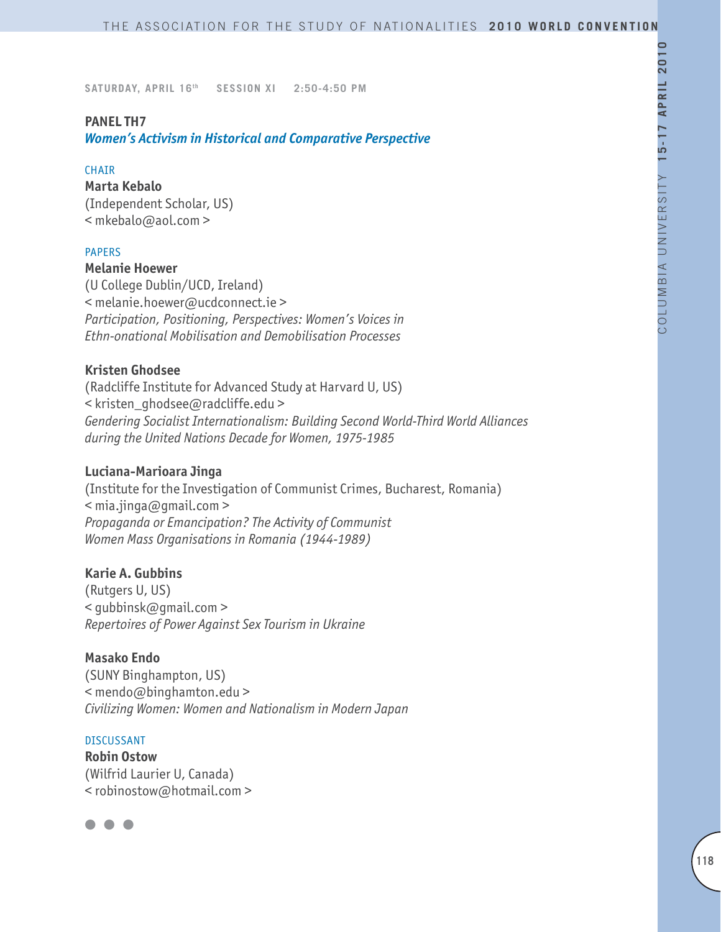### **PANEL TH7**

*Women's Activism in Historical and Comparative Perspective*

#### CHAIR

**Marta Kebalo** (Independent Scholar, US) < mkebalo@aol.com >

#### PAPERS

### **Melanie Hoewer**

(U College Dublin/UCD, Ireland) < melanie.hoewer@ucdconnect.ie > *Participation, Positioning, Perspectives: Women's Voices in Ethn-onational Mobilisation and Demobilisation Processes*

### **Kristen Ghodsee**

(Radcliffe Institute for Advanced Study at Harvard U, US) < kristen\_ghodsee@radcliffe.edu > *Gendering Socialist Internationalism: Building Second World-Third World Alliances during the United Nations Decade for Women, 1975-1985*

#### **Luciana-Marioara Jinga**

(Institute for the Investigation of Communist Crimes, Bucharest, Romania)  $\leq$  mia.jinga@gmail.com > *Propaganda or Emancipation? The Activity of Communist Women Mass Organisations in Romania (1944-1989)*

### **Karie A. Gubbins**

(Rutgers U, US) < gubbinsk@gmail.com > *Repertoires of Power Against Sex Tourism in Ukraine*

### **Masako Endo**

(SUNY Binghampton, US) < mendo@binghamton.edu > *Civilizing Women: Women and Nationalism in Modern Japan*

#### DISCUSSANT

**Robin Ostow** (Wilfrid Laurier U, Canada) < robinostow@hotmail.com >

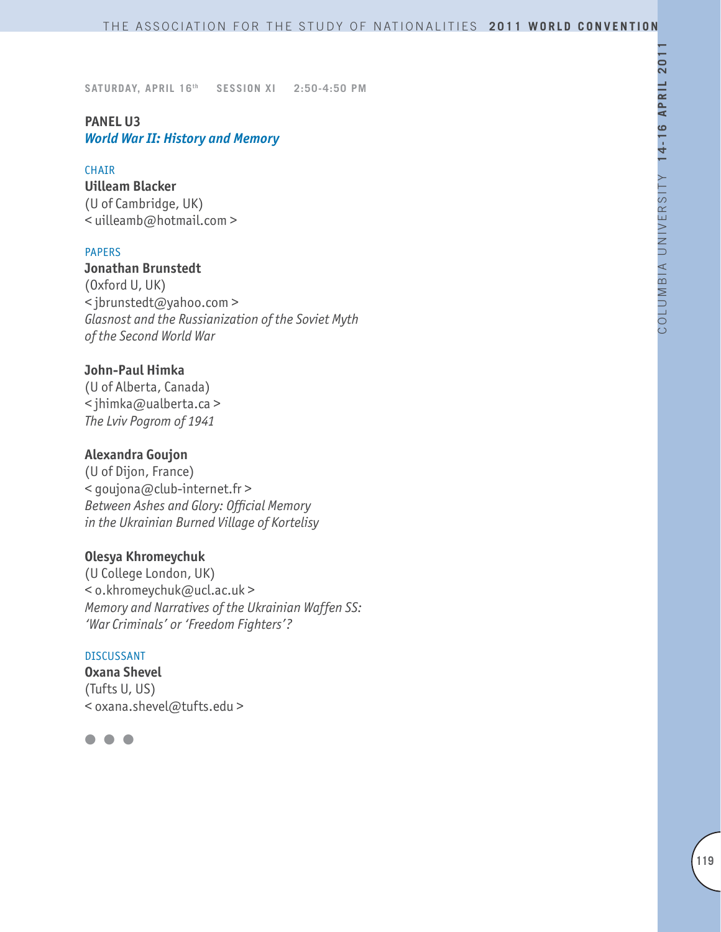### **PANEL U3** *World War II: History and Memory*

#### CHAIR

**Uilleam Blacker** (U of Cambridge, UK) < uilleamb@hotmail.com >

### PAPERS

**Jonathan Brunstedt**  (Oxford U, UK) < jbrunstedt@yahoo.com > *Glasnost and the Russianization of the Soviet Myth of the Second World War*

### **John-Paul Himka**

(U of Alberta, Canada) < jhimka@ualberta.ca > *The Lviv Pogrom of 1941*

### **Alexandra Goujon**

(U of Dijon, France) < goujona@club-internet.fr > *Between Ashes and Glory: Official Memory in the Ukrainian Burned Village of Kortelisy*

### **Olesya Khromeychuk**

(U College London, UK) < o.khromeychuk@ucl.ac.uk > *Memory and Narratives of the Ukrainian Waffen SS: 'War Criminals' or 'Freedom Fighters'?* 

#### DISCUSSANT

**Oxana Shevel** (Tufts U, US) < oxana.shevel@tufts.edu >

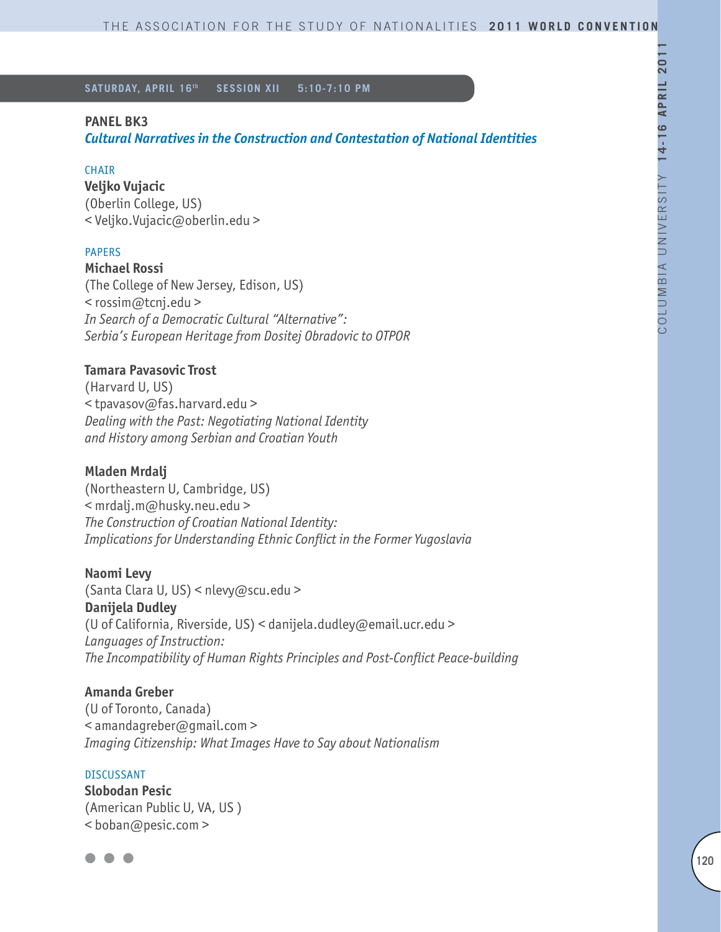### **PANEL BK3**

*Cultural Narratives in the Construction and Contestation of National Identities* 

#### **CHAIR**

**Veljko Vujacic** (Oberlin College, US) < Veljko.Vujacic@oberlin.edu >

### PAPERS

**Michael Rossi** (The College of New Jersey, Edison, US) < rossim@tcnj.edu > *In Search of a Democratic Cultural "Alternative": Serbia's European Heritage from Dositej Obradovic to OTPOR*

### **Tamara Pavasovic Trost**

(Harvard U, US) < tpavasov@fas.harvard.edu > *Dealing with the Past: Negotiating National Identity and History among Serbian and Croatian Youth*

### **Mladen Mrdalj**

(Northeastern U, Cambridge, US) < mrdalj.m@husky.neu.edu > *The Construction of Croatian National Identity: Implications for Understanding Ethnic Conflict in the Former Yugoslavia*

#### **Naomi Levy**

(Santa Clara U, US) < nlevy@scu.edu > **Danijela Dudley**  (U of California, Riverside, US) < danijela.dudley@email.ucr.edu > *Languages of Instruction: The Incompatibility of Human Rights Principles and Post-Conflict Peace-building*

### **Amanda Greber**

(U of Toronto, Canada) < amandagreber@gmail.com > *Imaging Citizenship: What Images Have to Say about Nationalism*

#### **DISCUSSANT**

**Slobodan Pesic** (American Public U, VA, US ) < boban@pesic.com >

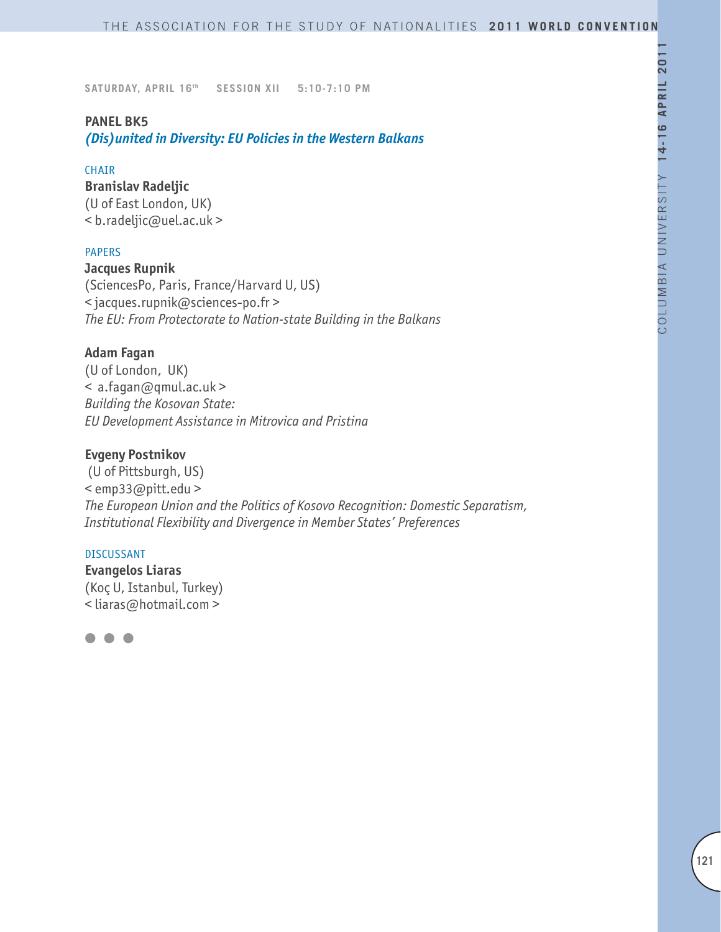### **PANEL BK5**

*(Dis)united in Diversity: EU Policies in the Western Balkans*

#### CHAIR

**Branislav Radeljic** (U of East London, UK) < b.radeljic@uel.ac.uk >

### PAPERS

**Jacques Rupnik** (SciencesPo, Paris, France/Harvard U, US) < jacques.rupnik@sciences-po.fr > *The EU: From Protectorate to Nation-state Building in the Balkans*

### **Adam Fagan**

(U of London, UK) < a.fagan@qmul.ac.uk > *Building the Kosovan State: EU Development Assistance in Mitrovica and Pristina*

### **Evgeny Postnikov**

 (U of Pittsburgh, US) < emp33@pitt.edu > *The European Union and the Politics of Kosovo Recognition: Domestic Separatism, Institutional Flexibility and Divergence in Member States' Preferences*

#### DISCUSSANT

**Evangelos Liaras** (Koç U, Istanbul, Turkey) < liaras@hotmail.com >

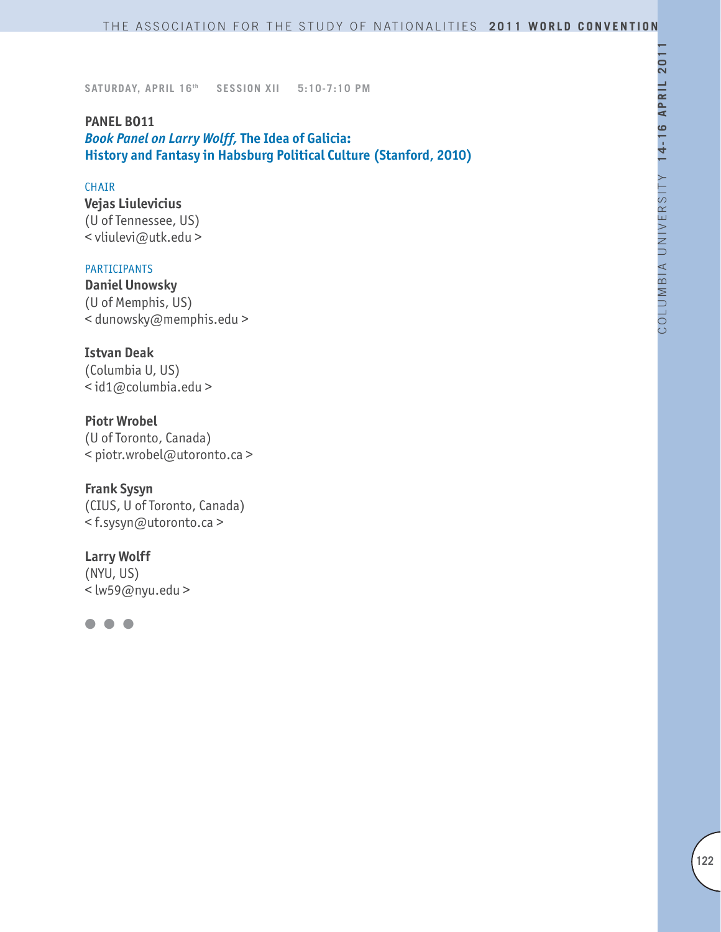**PANEL BO11** *Book Panel on Larry Wolff,* **The Idea of Galicia: History and Fantasy in Habsburg Political Culture (Stanford, 2010)**

#### **CHAIR**

**Vejas Liulevicius** (U of Tennessee, US) < vliulevi@utk.edu >

#### PARTICIPANTS

**Daniel Unowsky** (U of Memphis, US) < dunowsky@memphis.edu >

### **Istvan Deak**

(Columbia U, US) < id1@columbia.edu >

**Piotr Wrobel** (U of Toronto, Canada) < piotr.wrobel@utoronto.ca >

**Frank Sysyn**

(CIUS, U of Toronto, Canada) < f.sysyn@utoronto.ca >

# **Larry Wolff**

(NYU, US) < lw59@nyu.edu >

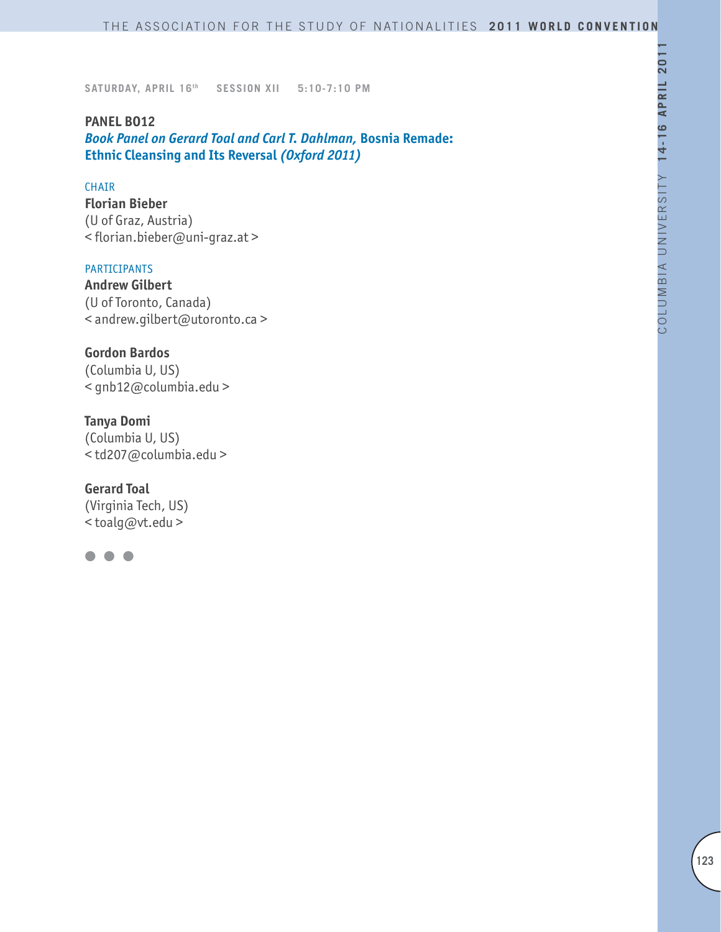**PANEL BO12** *Book Panel on Gerard Toal and Carl T. Dahlman,* **Bosnia Remade: Ethnic Cleansing and Its Reversal** *(Oxford 2011)*

#### CHAIR

**Florian Bieber** (U of Graz, Austria) < florian.bieber@uni-graz.at >

#### PARTICIPANTS

**Andrew Gilbert** (U of Toronto, Canada) < andrew.gilbert@utoronto.ca >

**Gordon Bardos** (Columbia U, US) < gnb12@columbia.edu >

**Tanya Domi** (Columbia U, US) < td207@columbia.edu >

**Gerard Toal** (Virginia Tech, US) < toalg@vt.edu >

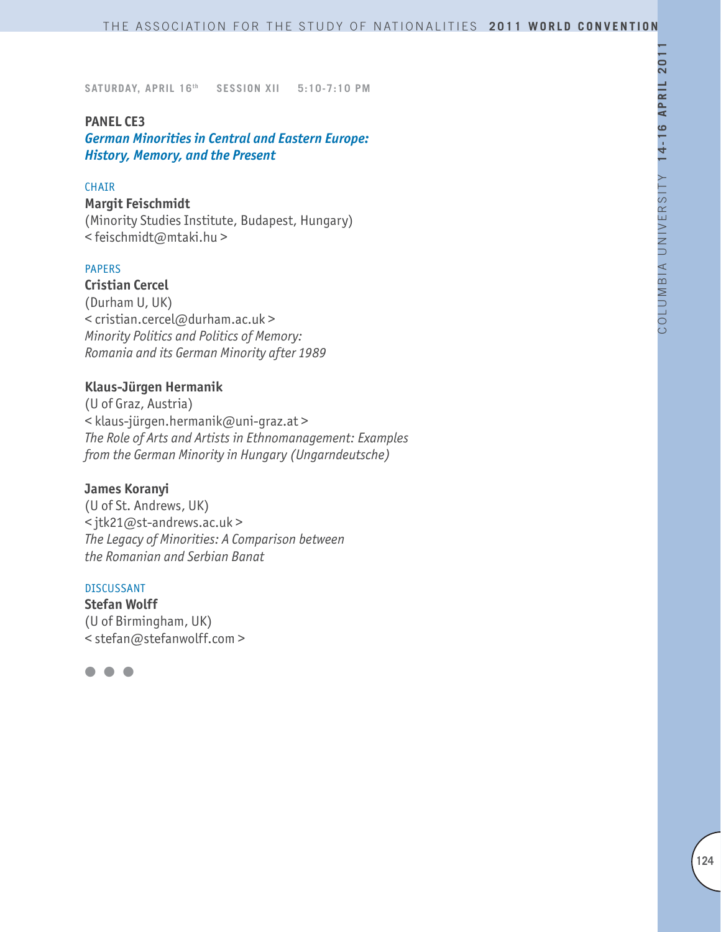#### **PANEL CE3**

*German Minorities in Central and Eastern Europe: History, Memory, and the Present*

#### **CHAIR**

#### **Margit Feischmidt**

(Minority Studies Institute, Budapest, Hungary) < feischmidt@mtaki.hu >

### PAPERS

**Cristian Cercel**  (Durham U, UK) < cristian.cercel@durham.ac.uk > *Minority Politics and Politics of Memory: Romania and its German Minority after 1989*

#### **Klaus-Jürgen Hermanik**

(U of Graz, Austria) < klaus-jürgen.hermanik@uni-graz.at > *The Role of Arts and Artists in Ethnomanagement: Examples from the German Minority in Hungary (Ungarndeutsche)*

#### **James Koranyi**

(U of St. Andrews, UK) < jtk21@st-andrews.ac.uk > *The Legacy of Minorities: A Comparison between the Romanian and Serbian Banat*

### DISCUSSANT

**Stefan Wolff**  (U of Birmingham, UK) < stefan@stefanwolff.com >

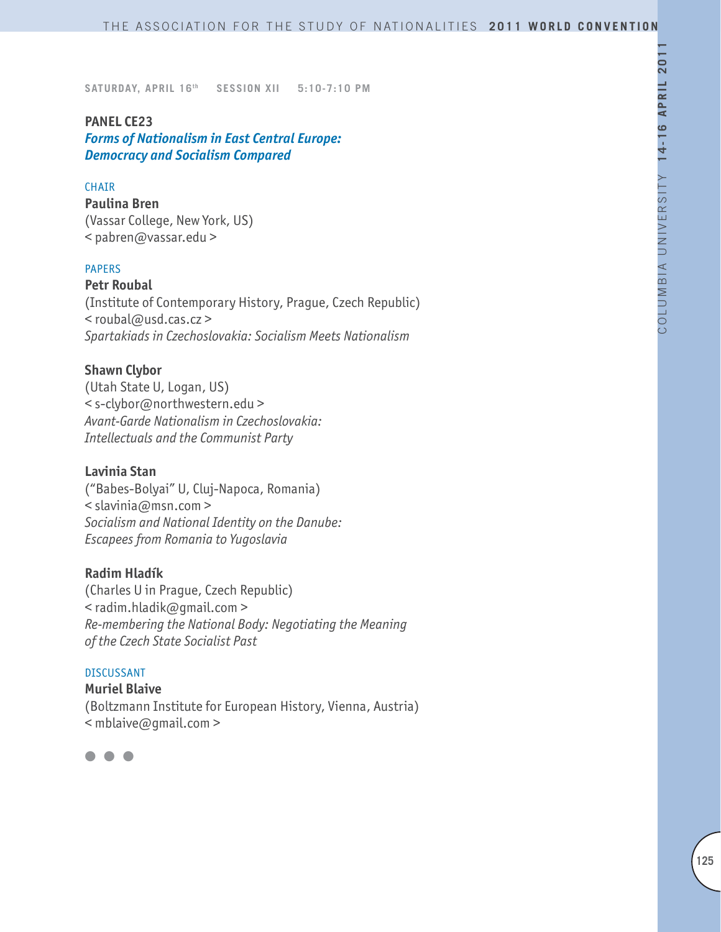#### **PANEL CE23**

*Forms of Nationalism in East Central Europe: Democracy and Socialism Compared*

#### **CHAIR**

**Paulina Bren**  (Vassar College, New York, US) < pabren@vassar.edu >

### PAPERS

**Petr Roubal** (Institute of Contemporary History, Prague, Czech Republic) < roubal@usd.cas.cz > *Spartakiads in Czechoslovakia: Socialism Meets Nationalism*

#### **Shawn Clybor**

(Utah State U, Logan, US) < s-clybor@northwestern.edu > *Avant-Garde Nationalism in Czechoslovakia: Intellectuals and the Communist Party*

#### **Lavinia Stan**

("Babes-Bolyai" U, Cluj-Napoca, Romania) < slavinia@msn.com > *Socialism and National Identity on the Danube: Escapees from Romania to Yugoslavia* 

#### **Radim Hladík**

(Charles U in Prague, Czech Republic) < radim.hladik@gmail.com > *Re-membering the National Body: Negotiating the Meaning of the Czech State Socialist Past*

### DISCUSSANT

**Muriel Blaive**  (Boltzmann Institute for European History, Vienna, Austria) < mblaive@gmail.com >

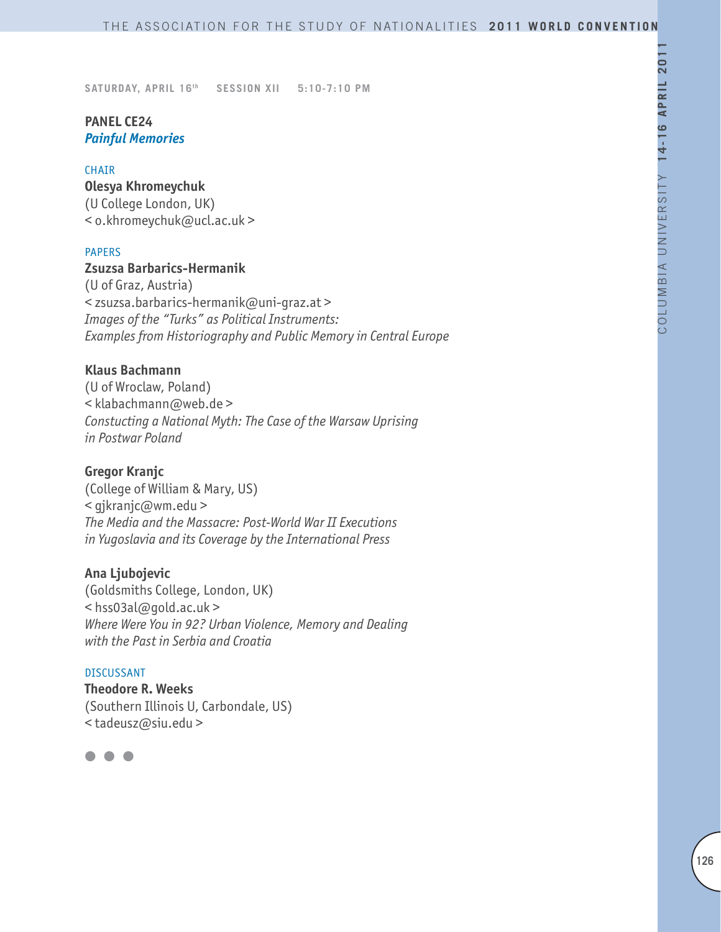# **PANEL CE24** *Painful Memories*

### CHAIR

**Olesya Khromeychuk** (U College London, UK) < o.khromeychuk@ucl.ac.uk >

### PAPERS

### **Zsuzsa Barbarics-Hermanik**

(U of Graz, Austria) < zsuzsa.barbarics-hermanik@uni-graz.at > *Images of the "Turks" as Political Instruments: Examples from Historiography and Public Memory in Central Europe*

### **Klaus Bachmann**

(U of Wroclaw, Poland) < klabachmann@web.de > *Constucting a National Myth: The Case of the Warsaw Uprising in Postwar Poland*

### **Gregor Kranjc**

(College of William & Mary, US) < gjkranjc@wm.edu > *The Media and the Massacre: Post-World War II Executions in Yugoslavia and its Coverage by the International Press*

### **Ana Ljubojevic**

(Goldsmiths College, London, UK) < hss03al@gold.ac.uk > *Where Were You in 92? Urban Violence, Memory and Dealing with the Past in Serbia and Croatia*

### DISCUSSANT

**Theodore R. Weeks** (Southern Illinois U, Carbondale, US) < tadeusz@siu.edu >

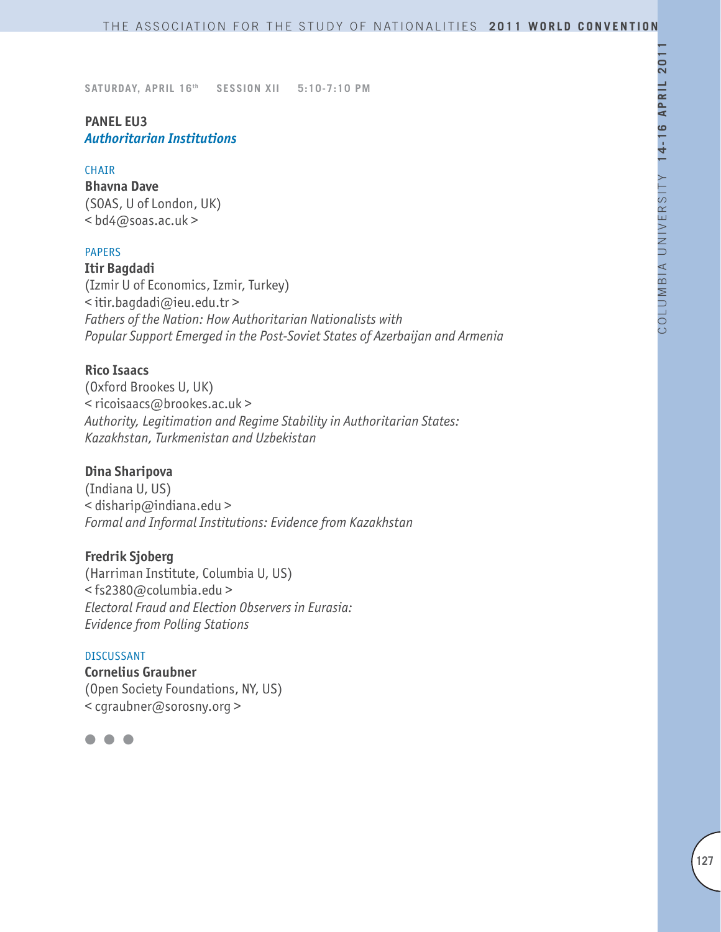# **PANEL EU3** *Authoritarian Institutions*

#### **CHATR**

**Bhavna Dave** (SOAS, U of London, UK) < bd4@soas.ac.uk >

### PAPERS

**Itir Bagdadi** (Izmir U of Economics, Izmir, Turkey) < itir.bagdadi@ieu.edu.tr > *Fathers of the Nation: How Authoritarian Nationalists with Popular Support Emerged in the Post-Soviet States of Azerbaijan and Armenia*

### **Rico Isaacs**

(Oxford Brookes U, UK) < ricoisaacs@brookes.ac.uk > *Authority, Legitimation and Regime Stability in Authoritarian States: Kazakhstan, Turkmenistan and Uzbekistan* 

# **Dina Sharipova**

(Indiana U, US)  $\leq$  disharip@indiana.edu > *Formal and Informal Institutions: Evidence from Kazakhstan*

#### **Fredrik Sjoberg**

(Harriman Institute, Columbia U, US) < fs2380@columbia.edu > *Electoral Fraud and Election Observers in Eurasia: Evidence from Polling Stations*

#### DISCUSSANT

**Cornelius Graubner** (Open Society Foundations, NY, US) < cgraubner@sorosny.org >

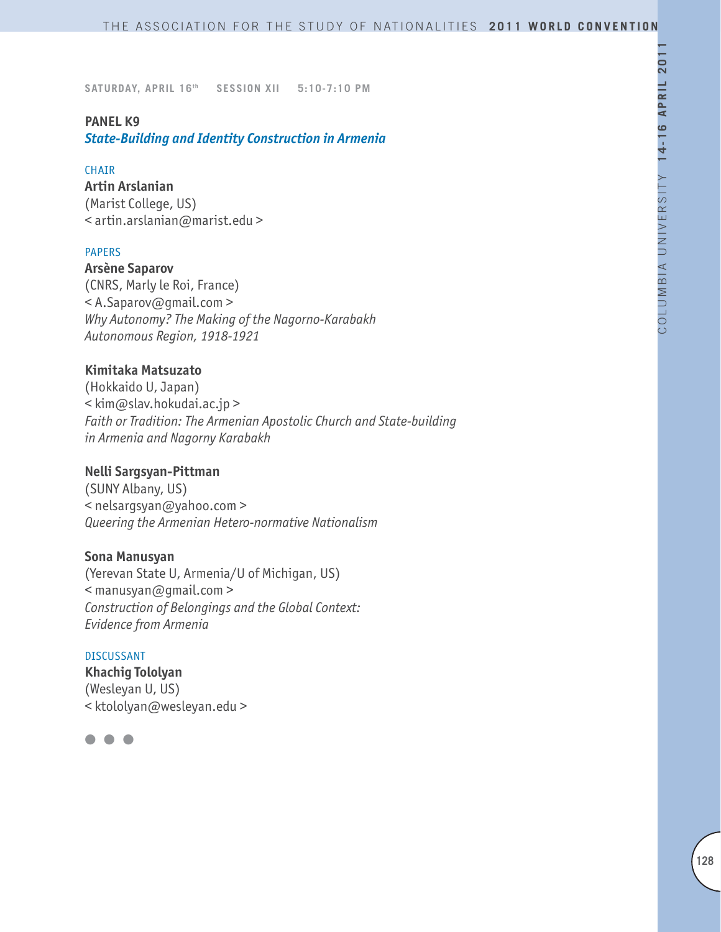#### **PANEL K9**

*State-Building and Identity Construction in Armenia*

#### CHAIR

**Artin Arslanian** (Marist College, US) < artin.arslanian@marist.edu >

### PAPERS

**Arsène Saparov** (CNRS, Marly le Roi, France) < A.Saparov@gmail.com > *Why Autonomy? The Making of the Nagorno-Karabakh Autonomous Region, 1918-1921*

### **Kimitaka Matsuzato**

(Hokkaido U, Japan) < kim@slav.hokudai.ac.jp > *Faith or Tradition: The Armenian Apostolic Church and State-building in Armenia and Nagorny Karabakh*

### **Nelli Sargsyan-Pittman**

(SUNY Albany, US) < nelsargsyan@yahoo.com > *Queering the Armenian Hetero-normative Nationalism* 

#### **Sona Manusyan**

(Yerevan State U, Armenia/U of Michigan, US) < manusyan@gmail.com > *Construction of Belongings and the Global Context: Evidence from Armenia*

#### DISCUSSANT

**Khachig Tololyan** (Wesleyan U, US) < ktololyan@wesleyan.edu >

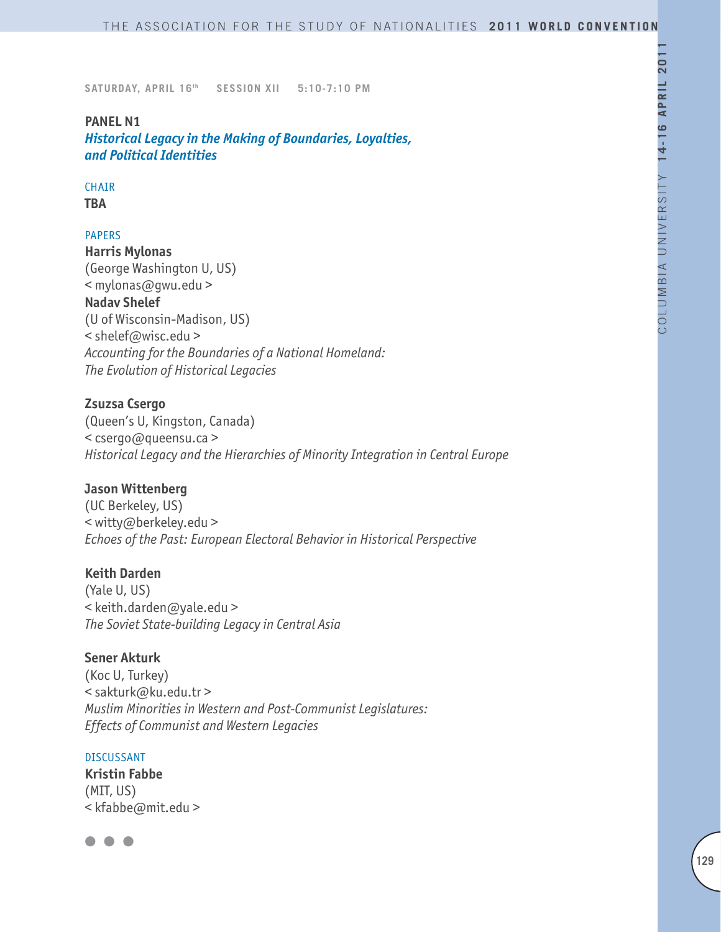#### **PANEL N1**

*Historical Legacy in the Making of Boundaries, Loyalties, and Political Identities*

# **CHAIR**

**TBA**

### PAPERS

**Harris Mylonas** (George Washington U, US) < mylonas@gwu.edu > **Nadav Shelef** (U of Wisconsin-Madison, US) < shelef@wisc.edu > *Accounting for the Boundaries of a National Homeland: The Evolution of Historical Legacies*

### **Zsuzsa Csergo**

(Queen's U, Kingston, Canada) < csergo@queensu.ca > *Historical Legacy and the Hierarchies of Minority Integration in Central Europe*

### **Jason Wittenberg**

(UC Berkeley, US) < witty@berkeley.edu > *Echoes of the Past: European Electoral Behavior in Historical Perspective*

#### **Keith Darden**

(Yale U, US) < keith.darden@yale.edu > *The Soviet State-building Legacy in Central Asia*

#### **Sener Akturk**

(Koc U, Turkey) < sakturk@ku.edu.tr > *Muslim Minorities in Western and Post-Communist Legislatures: Effects of Communist and Western Legacies*

#### DISCUSSANT

**Kristin Fabbe**  (MIT, US) < kfabbe@mit.edu >

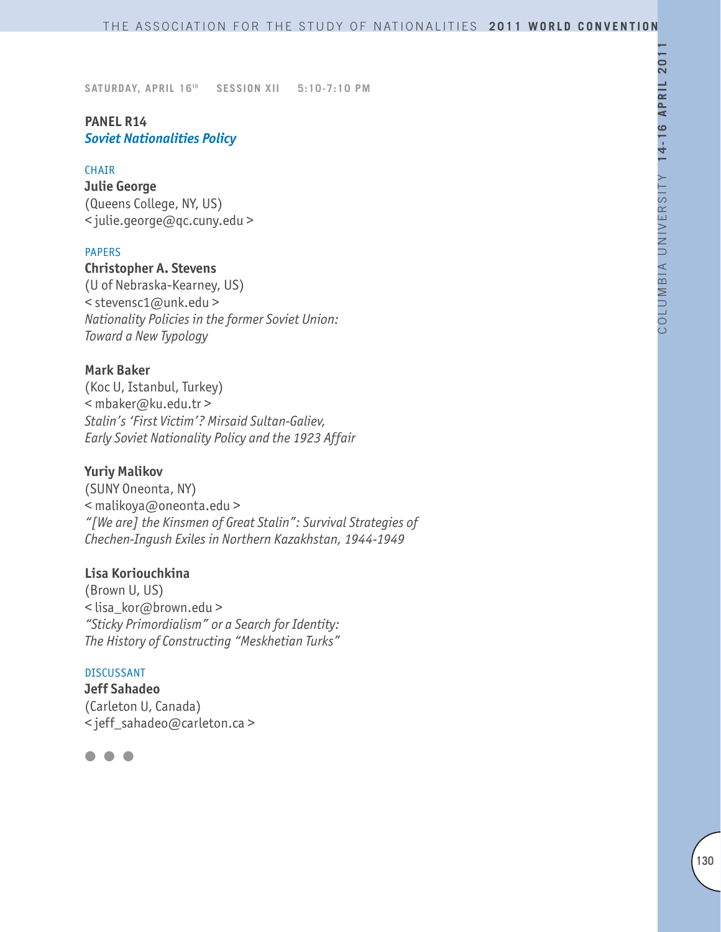# **PANEL R14** *Soviet Nationalities Policy*

#### **CHAIR**

**Julie George** (Queens College, NY, US) < julie.george@qc.cuny.edu >

### PAPERS

# **Christopher A. Stevens**

(U of Nebraska-Kearney, US) < stevensc1@unk.edu > *Nationality Policies in the former Soviet Union: Toward a New Typology*

#### **Mark Baker**

(Koc U, Istanbul, Turkey) < mbaker@ku.edu.tr > *Stalin's 'First Victim'? Mirsaid Sultan-Galiev, Early Soviet Nationality Policy and the 1923 Affair*

#### **Yuriy Malikov**

(SUNY Oneonta, NY) < malikoya@oneonta.edu > *"[We are] the Kinsmen of Great Stalin": Survival Strategies of Chechen-Ingush Exiles in Northern Kazakhstan, 1944-1949*

### **Lisa Koriouchkina**

(Brown U, US) < lisa\_kor@brown.edu > *"Sticky Primordialism" or a Search for Identity: The History of Constructing "Meskhetian Turks"*

### DISCUSSANT

**Jeff Sahadeo** (Carleton U, Canada) < jeff\_sahadeo@carleton.ca >

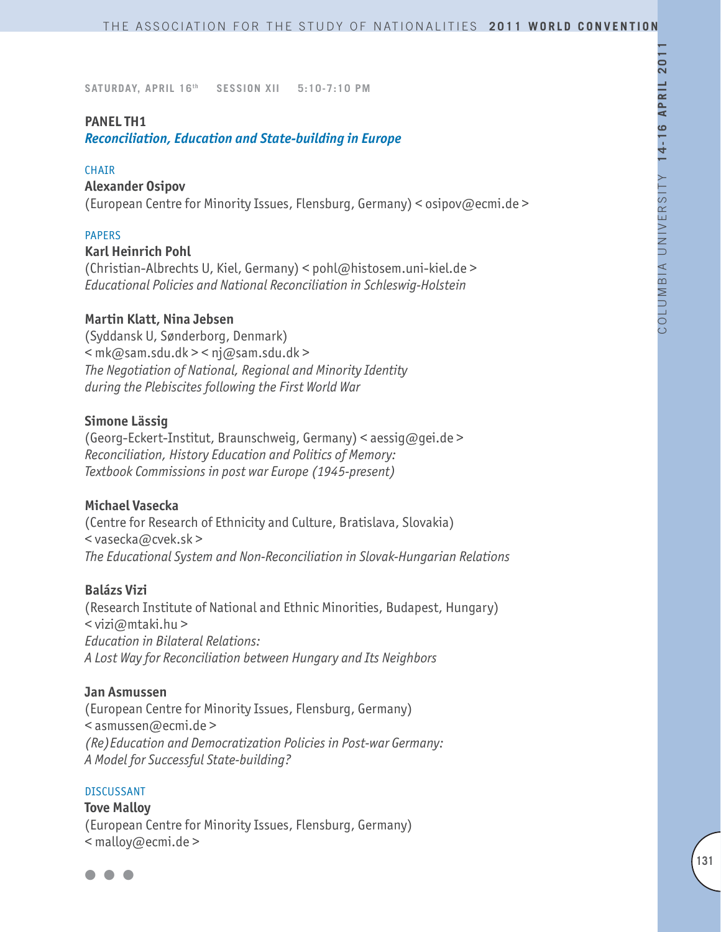#### **PANEL TH1**

*Reconciliation, Education and State-building in Europe*

#### **CHAIR**

#### **Alexander Osipov**

(European Centre for Minority Issues, Flensburg, Germany) < osipov@ecmi.de >

#### PAPERS

#### **Karl Heinrich Pohl**

(Christian-Albrechts U, Kiel, Germany) < pohl@histosem.uni-kiel.de > *Educational Policies and National Reconciliation in Schleswig-Holstein*

#### **Martin Klatt, Nina Jebsen**

(Syddansk U, Sønderborg, Denmark)  $\leq$  mk@sam.sdu.dk >  $\leq$  nj@sam.sdu.dk > *The Negotiation of National, Regional and Minority Identity during the Plebiscites following the First World War*

#### **Simone Lässig**

(Georg-Eckert-Institut, Braunschweig, Germany) < aessig@gei.de > *Reconciliation, History Education and Politics of Memory: Textbook Commissions in post war Europe (1945-present)*

### **Michael Vasecka**

(Centre for Research of Ethnicity and Culture, Bratislava, Slovakia) < vasecka@cvek.sk > *The Educational System and Non-Reconciliation in Slovak-Hungarian Relations*

#### **Balázs Vizi**

(Research Institute of National and Ethnic Minorities, Budapest, Hungary)  $\leq$  vizi $\omega$ mtaki.hu > *Education in Bilateral Relations: A Lost Way for Reconciliation between Hungary and Its Neighbors*

#### **Jan Asmussen**

(European Centre for Minority Issues, Flensburg, Germany) < asmussen@ecmi.de > *(Re)Education and Democratization Policies in Post-war Germany: A Model for Successful State-building?*

#### DISCUSSANT

**Tove Malloy** (European Centre for Minority Issues, Flensburg, Germany) < malloy@ecmi.de >

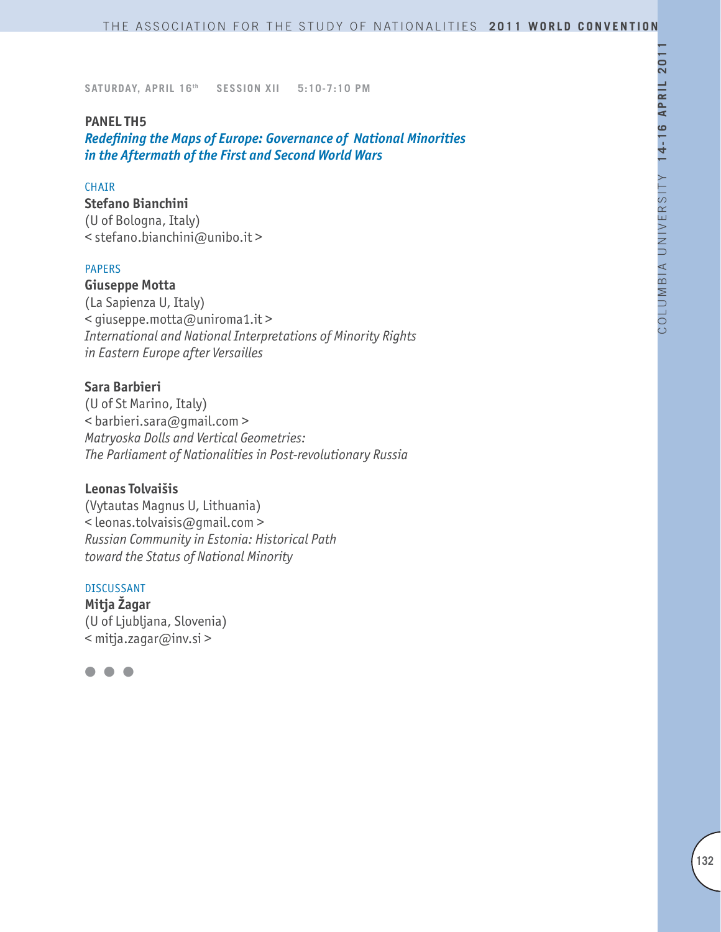### **PANEL TH5**

*Redefining the Maps of Europe: Governance of National Minorities in the Aftermath of the First and Second World Wars*

### **CHAIR**

**Stefano Bianchini** (U of Bologna, Italy) < stefano.bianchini@unibo.it >

### PAPERS

**Giuseppe Motta** (La Sapienza U, Italy) < giuseppe.motta@uniroma1.it > *International and National Interpretations of Minority Rights in Eastern Europe after Versailles*

### **Sara Barbieri**

(U of St Marino, Italy) < barbieri.sara@gmail.com > *Matryoska Dolls and Vertical Geometries: The Parliament of Nationalities in Post-revolutionary Russia*

### **Leonas Tolvaišis**

(Vytautas Magnus U, Lithuania) < leonas.tolvaisis@gmail.com > *Russian Community in Estonia: Historical Path toward the Status of National Minority*

#### DISCUSSANT

**Mitja Žagar** (U of Ljubljana, Slovenia) < mitja.zagar@inv.si >

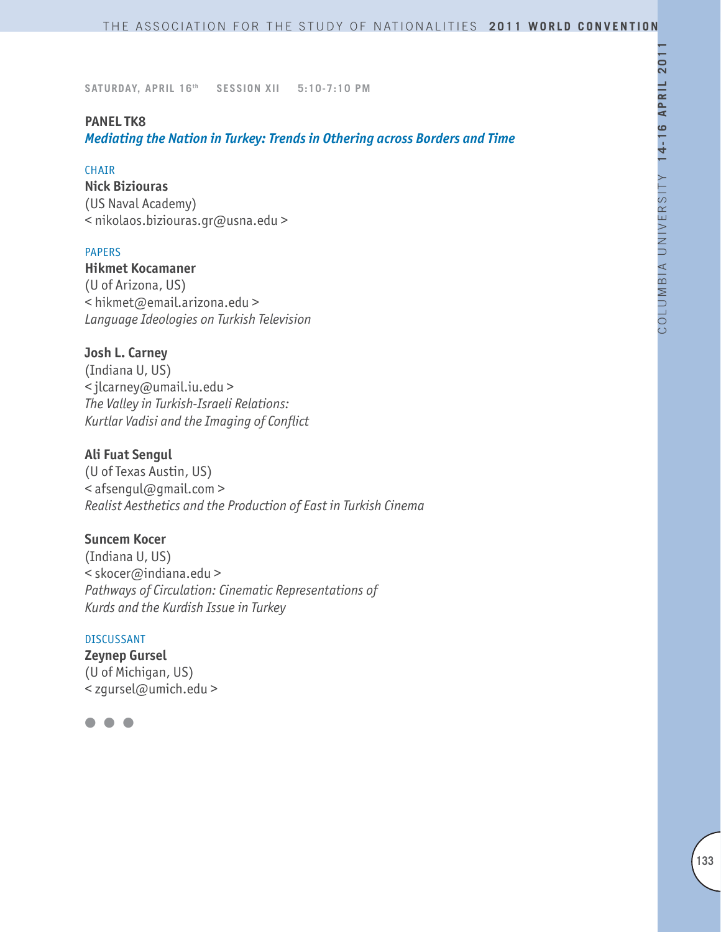### **PANEL TK8**

*Mediating the Nation in Turkey: Trends in Othering across Borders and Time*

#### CHAIR

**Nick Biziouras** (US Naval Academy) < nikolaos.biziouras.gr@usna.edu >

#### PAPERS

**Hikmet Kocamaner**  (U of Arizona, US) < hikmet@email.arizona.edu > *Language Ideologies on Turkish Television*

### **Josh L. Carney**

(Indiana U, US) < jlcarney@umail.iu.edu > *The Valley in Turkish-Israeli Relations: Kurtlar Vadisi and the Imaging of Conflict*

### **Ali Fuat Sengul**

(U of Texas Austin, US) < afsengul@gmail.com > *Realist Aesthetics and the Production of East in Turkish Cinema* 

# **Suncem Kocer**

(Indiana U, US) < skocer@indiana.edu > *Pathways of Circulation: Cinematic Representations of Kurds and the Kurdish Issue in Turkey*

#### DISCUSSANT

**Zeynep Gursel** (U of Michigan, US) < zgursel@umich.edu >